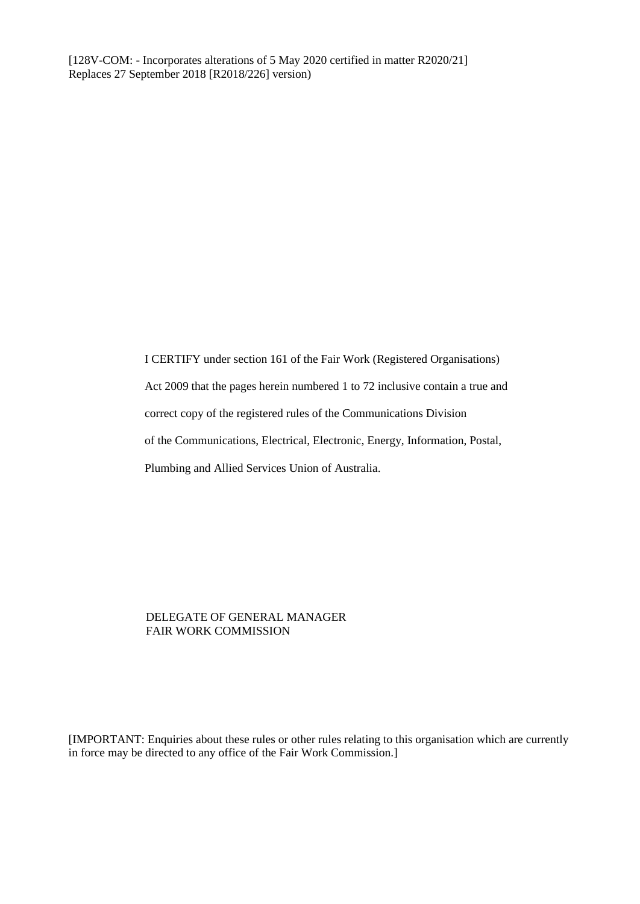I CERTIFY under section 161 of the Fair Work (Registered Organisations) Act 2009 that the pages herein numbered 1 to 72 inclusive contain a true and correct copy of the registered rules of the Communications Division of the Communications, Electrical, Electronic, Energy, Information, Postal, Plumbing and Allied Services Union of Australia.

#### DELEGATE OF GENERAL MANAGER FAIR WORK COMMISSION

[IMPORTANT: Enquiries about these rules or other rules relating to this organisation which are currently in force may be directed to any office of the Fair Work Commission.]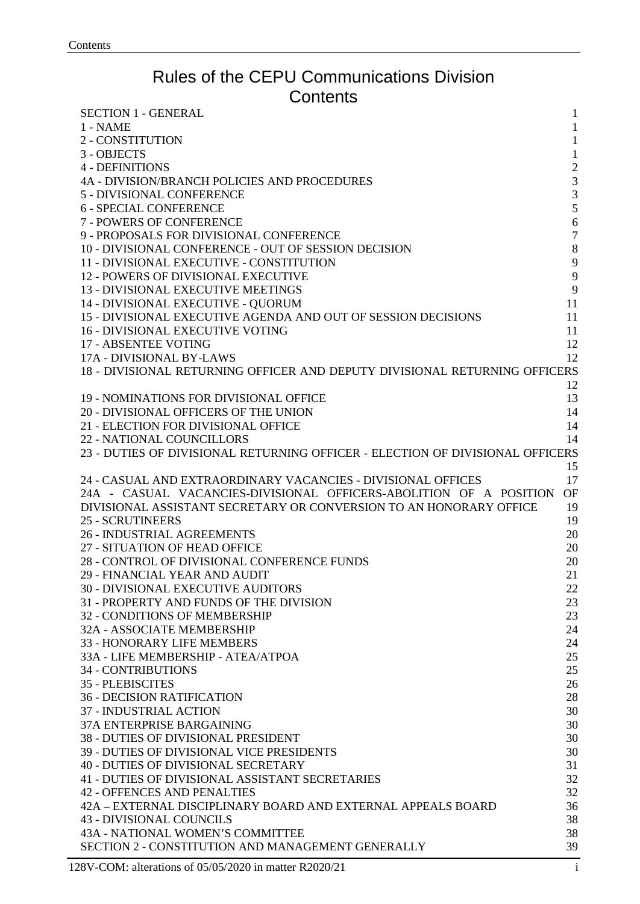# Rules of the CEPU Communications Division **Contents**

| <b>SECTION 1 - GENERAL</b>                                                    | $\mathbf{1}$                               |
|-------------------------------------------------------------------------------|--------------------------------------------|
| 1 - NAME                                                                      | $\mathbf{1}$                               |
| 2 - CONSTITUTION                                                              | $\mathbf{1}$                               |
| 3 - OBJECTS                                                                   | $\mathbf{1}$                               |
| <b>4 - DEFINITIONS</b>                                                        |                                            |
| <b>4A - DIVISION/BRANCH POLICIES AND PROCEDURES</b>                           | $\begin{array}{c} 2 \\ 3 \\ 3 \end{array}$ |
| 5 - DIVISIONAL CONFERENCE                                                     |                                            |
| <b>6 - SPECIAL CONFERENCE</b>                                                 | 5                                          |
| 7 - POWERS OF CONFERENCE                                                      | $\sqrt{6}$                                 |
| 9 - PROPOSALS FOR DIVISIONAL CONFERENCE                                       | $\overline{7}$                             |
| 10 - DIVISIONAL CONFERENCE - OUT OF SESSION DECISION                          | $\,8\,$                                    |
| 11 - DIVISIONAL EXECUTIVE - CONSTITUTION                                      | 9                                          |
| 12 - POWERS OF DIVISIONAL EXECUTIVE                                           | 9                                          |
| 13 - DIVISIONAL EXECUTIVE MEETINGS                                            | 9                                          |
| 14 - DIVISIONAL EXECUTIVE - QUORUM                                            | 11                                         |
| 15 - DIVISIONAL EXECUTIVE AGENDA AND OUT OF SESSION DECISIONS                 | 11                                         |
|                                                                               |                                            |
| <b>16 - DIVISIONAL EXECUTIVE VOTING</b>                                       | 11                                         |
| 17 - ABSENTEE VOTING                                                          | 12                                         |
| 17A - DIVISIONAL BY-LAWS                                                      | 12                                         |
| 18 - DIVISIONAL RETURNING OFFICER AND DEPUTY DIVISIONAL RETURNING OFFICERS    |                                            |
|                                                                               | 12                                         |
| 19 - NOMINATIONS FOR DIVISIONAL OFFICE                                        | 13                                         |
| 20 - DIVISIONAL OFFICERS OF THE UNION                                         | 14                                         |
| 21 - ELECTION FOR DIVISIONAL OFFICE                                           | 14                                         |
| <b>22 - NATIONAL COUNCILLORS</b>                                              | 14                                         |
| 23 - DUTIES OF DIVISIONAL RETURNING OFFICER - ELECTION OF DIVISIONAL OFFICERS |                                            |
|                                                                               | 15                                         |
| 24 - CASUAL AND EXTRAORDINARY VACANCIES - DIVISIONAL OFFICES                  | 17                                         |
| 24A - CASUAL VACANCIES-DIVISIONAL OFFICERS-ABOLITION OF A POSITION            | <b>OF</b>                                  |
| DIVISIONAL ASSISTANT SECRETARY OR CONVERSION TO AN HONORARY OFFICE            | 19                                         |
| <b>25 - SCRUTINEERS</b>                                                       | 19                                         |
| <b>26 - INDUSTRIAL AGREEMENTS</b>                                             | 20                                         |
| 27 - SITUATION OF HEAD OFFICE                                                 | 20                                         |
| 28 - CONTROL OF DIVISIONAL CONFERENCE FUNDS                                   | 20                                         |
| 29 - FINANCIAL YEAR AND AUDIT                                                 | 21                                         |
| <b>30 - DIVISIONAL EXECUTIVE AUDITORS</b>                                     | 22                                         |
| 31 - PROPERTY AND FUNDS OF THE DIVISION                                       | 23                                         |
| 32 - CONDITIONS OF MEMBERSHIP                                                 | 23                                         |
| 32A - ASSOCIATE MEMBERSHIP                                                    | 24                                         |
| <b>33 - HONORARY LIFE MEMBERS</b>                                             | 24                                         |
| 33A - LIFE MEMBERSHIP - ATEA/ATPOA                                            | 25                                         |
| 34 - CONTRIBUTIONS                                                            | 25                                         |
| 35 - PLEBISCITES                                                              | 26                                         |
| <b>36 - DECISION RATIFICATION</b>                                             | 28                                         |
| <b>37 - INDUSTRIAL ACTION</b>                                                 | 30                                         |
| <b>37A ENTERPRISE BARGAINING</b>                                              | 30                                         |
| <b>38 - DUTIES OF DIVISIONAL PRESIDENT</b>                                    | 30                                         |
| 39 - DUTIES OF DIVISIONAL VICE PRESIDENTS                                     | 30                                         |
| <b>40 - DUTIES OF DIVISIONAL SECRETARY</b>                                    | 31                                         |
| 41 - DUTIES OF DIVISIONAL ASSISTANT SECRETARIES                               | 32                                         |
| <b>42 - OFFENCES AND PENALTIES</b>                                            | 32                                         |
| 42A – EXTERNAL DISCIPLINARY BOARD AND EXTERNAL APPEALS BOARD                  | 36                                         |
| <b>43 - DIVISIONAL COUNCILS</b>                                               | 38                                         |
| 43A - NATIONAL WOMEN'S COMMITTEE                                              | 38                                         |
| SECTION 2 - CONSTITUTION AND MANAGEMENT GENERALLY                             | 39                                         |
| 128V-COM: alterations of 05/05/2020 in matter R2020/21                        | $\mathbf{i}$                               |
|                                                                               |                                            |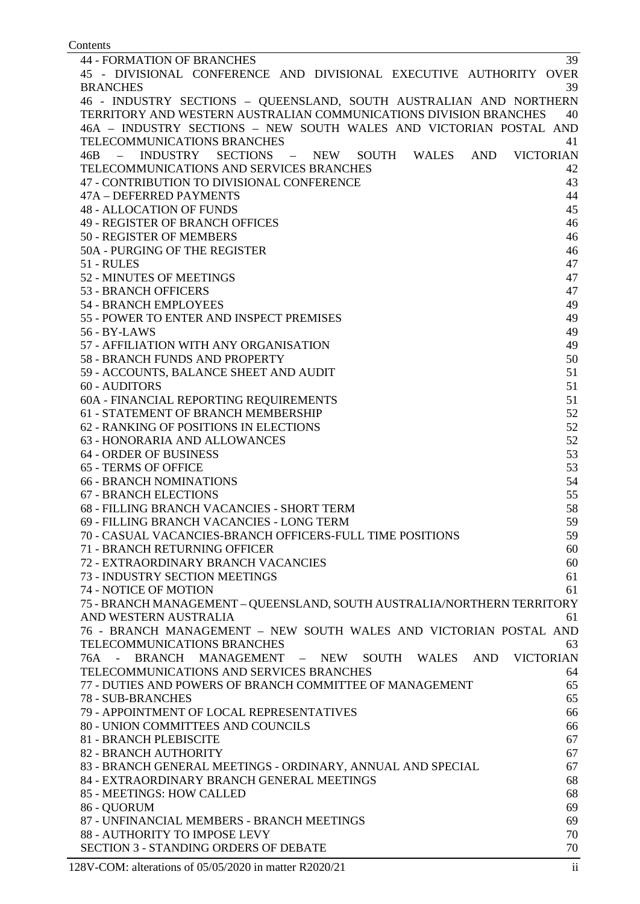| Contents                                                                           |                  |
|------------------------------------------------------------------------------------|------------------|
| <b>44 - FORMATION OF BRANCHES</b>                                                  | 39               |
| 45 - DIVISIONAL CONFERENCE AND DIVISIONAL EXECUTIVE AUTHORITY OVER                 |                  |
| <b>BRANCHES</b>                                                                    | 39               |
| 46 - INDUSTRY SECTIONS - QUEENSLAND, SOUTH AUSTRALIAN AND NORTHERN                 |                  |
| TERRITORY AND WESTERN AUSTRALIAN COMMUNICATIONS DIVISION BRANCHES                  | 40               |
| 46A - INDUSTRY SECTIONS - NEW SOUTH WALES AND VICTORIAN POSTAL AND                 |                  |
| TELECOMMUNICATIONS BRANCHES                                                        | 41               |
| <b>INDUSTRY</b><br>SECTIONS –<br>WALES<br><b>AND</b><br>46B<br>NEW<br>SOUTH<br>$-$ | <b>VICTORIAN</b> |
| TELECOMMUNICATIONS AND SERVICES BRANCHES                                           | 42               |
| 47 - CONTRIBUTION TO DIVISIONAL CONFERENCE                                         | 43               |
| 47A - DEFERRED PAYMENTS                                                            | 44               |
| <b>48 - ALLOCATION OF FUNDS</b>                                                    | 45               |
| <b>49 - REGISTER OF BRANCH OFFICES</b>                                             | 46               |
| 50 - REGISTER OF MEMBERS                                                           | 46               |
| 50A - PURGING OF THE REGISTER                                                      | 46               |
| 51 - RULES                                                                         | 47               |
| 52 - MINUTES OF MEETINGS                                                           | 47               |
| 53 - BRANCH OFFICERS                                                               | 47               |
| 54 - BRANCH EMPLOYEES                                                              | 49               |
| 55 - POWER TO ENTER AND INSPECT PREMISES                                           | 49               |
| 56 - BY-LAWS                                                                       | 49               |
| 57 - AFFILIATION WITH ANY ORGANISATION                                             | 49               |
| 58 - BRANCH FUNDS AND PROPERTY                                                     | 50               |
| 59 - ACCOUNTS, BALANCE SHEET AND AUDIT                                             | 51               |
| 60 - AUDITORS                                                                      | 51               |
| 60A - FINANCIAL REPORTING REQUIREMENTS                                             | 51               |
| 61 - STATEMENT OF BRANCH MEMBERSHIP                                                | 52               |
| 62 - RANKING OF POSITIONS IN ELECTIONS                                             | 52               |
| 63 - HONORARIA AND ALLOWANCES                                                      | 52               |
| <b>64 - ORDER OF BUSINESS</b>                                                      | 53               |
| 65 - TERMS OF OFFICE                                                               | 53               |
| <b>66 - BRANCH NOMINATIONS</b>                                                     | 54               |
| <b>67 - BRANCH ELECTIONS</b>                                                       | 55               |
| 68 - FILLING BRANCH VACANCIES - SHORT TERM                                         | 58               |
| 69 - FILLING BRANCH VACANCIES - LONG TERM                                          | 59               |
| 70 - CASUAL VACANCIES-BRANCH OFFICERS-FULL TIME POSITIONS                          | 59               |
| 71 - BRANCH RETURNING OFFICER                                                      | 60               |
| 72 - EXTRAORDINARY BRANCH VACANCIES                                                | 60               |
| 73 - INDUSTRY SECTION MEETINGS                                                     | 61               |
| 74 - NOTICE OF MOTION                                                              | 61               |
| 75 - BRANCH MANAGEMENT – QUEENSLAND, SOUTH AUSTRALIA/NORTHERN TERRITORY            |                  |
| AND WESTERN AUSTRALIA                                                              | 61               |
| 76 - BRANCH MANAGEMENT - NEW SOUTH WALES AND VICTORIAN POSTAL AND                  |                  |
| <b>TELECOMMUNICATIONS BRANCHES</b>                                                 | 63               |
| BRANCH MANAGEMENT –<br>76A -<br>NEW<br><b>SOUTH</b><br>WALES<br>AND                | <b>VICTORIAN</b> |
| TELECOMMUNICATIONS AND SERVICES BRANCHES                                           | 64               |
| 77 - DUTIES AND POWERS OF BRANCH COMMITTEE OF MANAGEMENT                           | 65               |
| 78 - SUB-BRANCHES                                                                  | 65               |
| 79 - APPOINTMENT OF LOCAL REPRESENTATIVES                                          | 66               |
| 80 - UNION COMMITTEES AND COUNCILS                                                 | 66               |
| 81 - BRANCH PLEBISCITE                                                             | 67               |
| 82 - BRANCH AUTHORITY                                                              | 67               |
| 83 - BRANCH GENERAL MEETINGS - ORDINARY, ANNUAL AND SPECIAL                        | 67               |
| 84 - EXTRAORDINARY BRANCH GENERAL MEETINGS                                         | 68               |
| 85 - MEETINGS: HOW CALLED                                                          | 68               |
| 86 - QUORUM                                                                        | 69               |
| 87 - UNFINANCIAL MEMBERS - BRANCH MEETINGS                                         | 69               |
| 88 - AUTHORITY TO IMPOSE LEVY                                                      | 70               |
| <b>SECTION 3 - STANDING ORDERS OF DEBATE</b>                                       | 70               |

128V-COM: alterations of 05/05/2020 in matter R2020/21 iii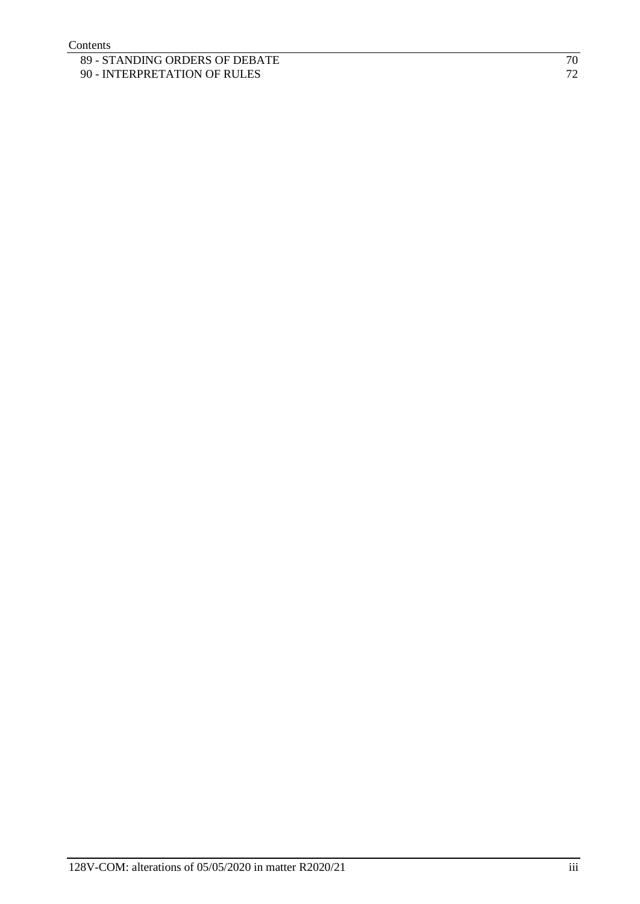89 - [STANDING ORDERS OF DEBATE](#page-73-2) 70<br>
90 - INTERPRETATION OF RULES 72 90 - [INTERPRETATION OF RULES](#page-75-0)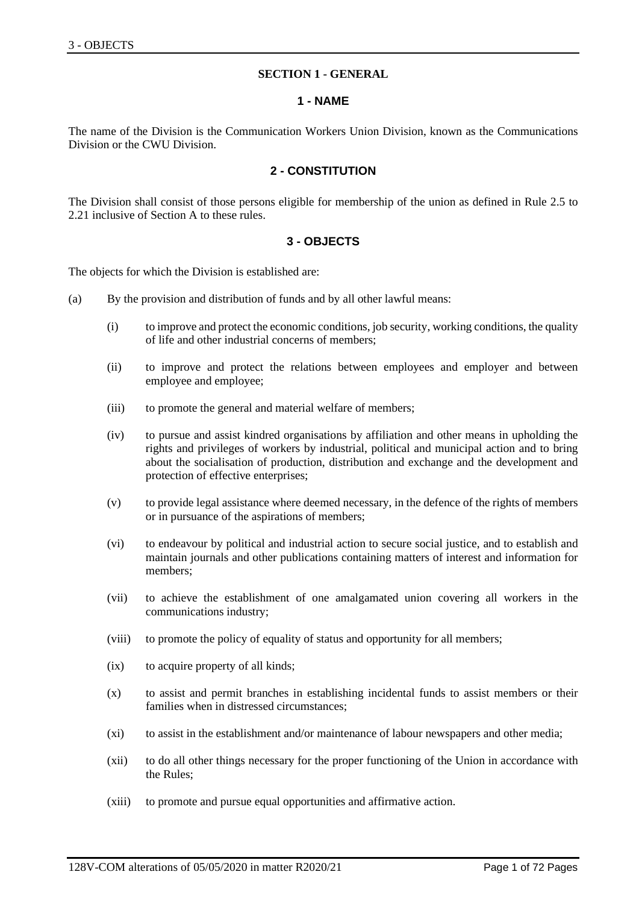#### **SECTION 1 - GENERAL**

#### **1 - NAME**

<span id="page-4-2"></span><span id="page-4-1"></span><span id="page-4-0"></span>The name of the Division is the Communication Workers Union Division, known as the Communications Division or the CWU Division.

#### **2 - CONSTITUTION**

<span id="page-4-3"></span>The Division shall consist of those persons eligible for membership of the union as defined in Rule 2.5 to 2.21 inclusive of Section A to these rules.

#### **3 - OBJECTS**

The objects for which the Division is established are:

- (a) By the provision and distribution of funds and by all other lawful means:
	- (i) to improve and protect the economic conditions, job security, working conditions, the quality of life and other industrial concerns of members;
	- (ii) to improve and protect the relations between employees and employer and between employee and employee;
	- (iii) to promote the general and material welfare of members;
	- (iv) to pursue and assist kindred organisations by affiliation and other means in upholding the rights and privileges of workers by industrial, political and municipal action and to bring about the socialisation of production, distribution and exchange and the development and protection of effective enterprises;
	- (v) to provide legal assistance where deemed necessary, in the defence of the rights of members or in pursuance of the aspirations of members;
	- (vi) to endeavour by political and industrial action to secure social justice, and to establish and maintain journals and other publications containing matters of interest and information for members;
	- (vii) to achieve the establishment of one amalgamated union covering all workers in the communications industry;
	- (viii) to promote the policy of equality of status and opportunity for all members;
	- (ix) to acquire property of all kinds;
	- (x) to assist and permit branches in establishing incidental funds to assist members or their families when in distressed circumstances;
	- (xi) to assist in the establishment and/or maintenance of labour newspapers and other media;
	- (xii) to do all other things necessary for the proper functioning of the Union in accordance with the Rules;
	- (xiii) to promote and pursue equal opportunities and affirmative action.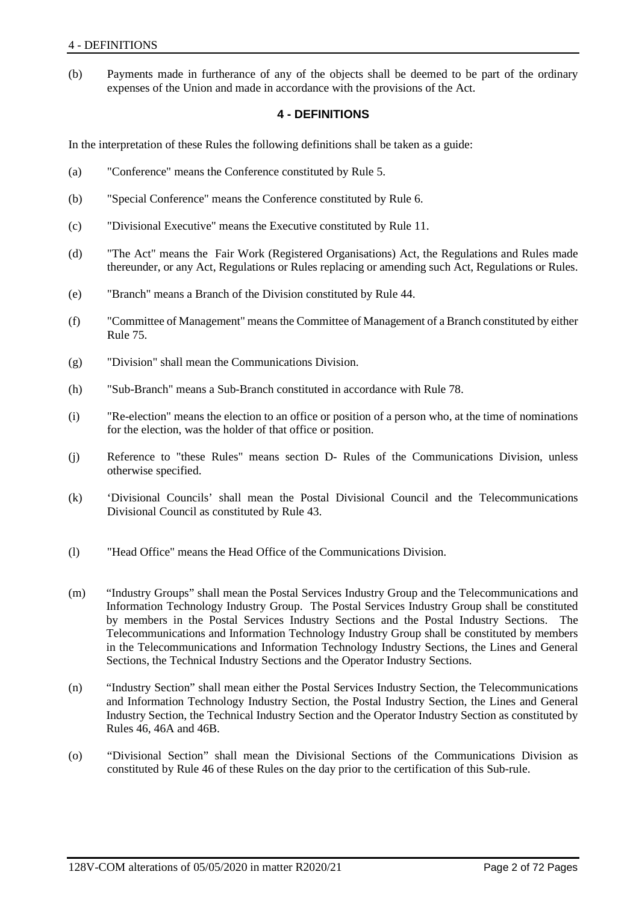<span id="page-5-0"></span>(b) Payments made in furtherance of any of the objects shall be deemed to be part of the ordinary expenses of the Union and made in accordance with the provisions of the Act.

#### **4 - DEFINITIONS**

In the interpretation of these Rules the following definitions shall be taken as a guide:

- (a) "Conference" means the Conference constituted by Rule 5.
- (b) "Special Conference" means the Conference constituted by Rule 6.
- (c) "Divisional Executive" means the Executive constituted by Rule 11.
- (d) "The Act" means the Fair Work (Registered Organisations) Act, the Regulations and Rules made thereunder, or any Act, Regulations or Rules replacing or amending such Act, Regulations or Rules.
- (e) "Branch" means a Branch of the Division constituted by Rule 44.
- (f) "Committee of Management" means the Committee of Management of a Branch constituted by either Rule 75.
- (g) "Division" shall mean the Communications Division.
- (h) "Sub-Branch" means a Sub-Branch constituted in accordance with Rule 78.
- (i) "Re-election" means the election to an office or position of a person who, at the time of nominations for the election, was the holder of that office or position.
- (j) Reference to "these Rules" means section D- Rules of the Communications Division, unless otherwise specified.
- (k) 'Divisional Councils' shall mean the Postal Divisional Council and the Telecommunications Divisional Council as constituted by Rule 43.
- (l) "Head Office" means the Head Office of the Communications Division.
- (m) "Industry Groups" shall mean the Postal Services Industry Group and the Telecommunications and Information Technology Industry Group. The Postal Services Industry Group shall be constituted by members in the Postal Services Industry Sections and the Postal Industry Sections. The Telecommunications and Information Technology Industry Group shall be constituted by members in the Telecommunications and Information Technology Industry Sections, the Lines and General Sections, the Technical Industry Sections and the Operator Industry Sections.
- (n) "Industry Section" shall mean either the Postal Services Industry Section, the Telecommunications and Information Technology Industry Section, the Postal Industry Section, the Lines and General Industry Section, the Technical Industry Section and the Operator Industry Section as constituted by Rules 46, 46A and 46B.
- (o) "Divisional Section" shall mean the Divisional Sections of the Communications Division as constituted by Rule 46 of these Rules on the day prior to the certification of this Sub-rule.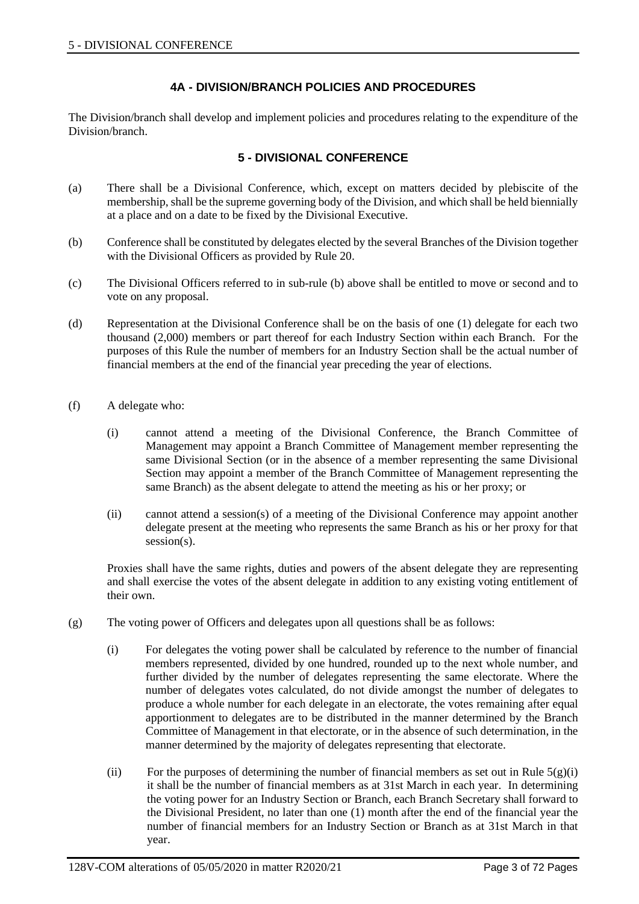## **4A - DIVISION/BRANCH POLICIES AND PROCEDURES**

<span id="page-6-1"></span><span id="page-6-0"></span>The Division/branch shall develop and implement policies and procedures relating to the expenditure of the Division/branch.

# **5 - DIVISIONAL CONFERENCE**

- (a) There shall be a Divisional Conference, which, except on matters decided by plebiscite of the membership, shall be the supreme governing body of the Division, and which shall be held biennially at a place and on a date to be fixed by the Divisional Executive.
- (b) Conference shall be constituted by delegates elected by the several Branches of the Division together with the Divisional Officers as provided by Rule 20.
- (c) The Divisional Officers referred to in sub-rule (b) above shall be entitled to move or second and to vote on any proposal.
- (d) Representation at the Divisional Conference shall be on the basis of one (1) delegate for each two thousand (2,000) members or part thereof for each Industry Section within each Branch. For the purposes of this Rule the number of members for an Industry Section shall be the actual number of financial members at the end of the financial year preceding the year of elections.
- (f) A delegate who:
	- (i) cannot attend a meeting of the Divisional Conference, the Branch Committee of Management may appoint a Branch Committee of Management member representing the same Divisional Section (or in the absence of a member representing the same Divisional Section may appoint a member of the Branch Committee of Management representing the same Branch) as the absent delegate to attend the meeting as his or her proxy; or
	- (ii) cannot attend a session(s) of a meeting of the Divisional Conference may appoint another delegate present at the meeting who represents the same Branch as his or her proxy for that session(s).

Proxies shall have the same rights, duties and powers of the absent delegate they are representing and shall exercise the votes of the absent delegate in addition to any existing voting entitlement of their own.

- (g) The voting power of Officers and delegates upon all questions shall be as follows:
	- (i) For delegates the voting power shall be calculated by reference to the number of financial members represented, divided by one hundred, rounded up to the next whole number, and further divided by the number of delegates representing the same electorate. Where the number of delegates votes calculated, do not divide amongst the number of delegates to produce a whole number for each delegate in an electorate, the votes remaining after equal apportionment to delegates are to be distributed in the manner determined by the Branch Committee of Management in that electorate, or in the absence of such determination, in the manner determined by the majority of delegates representing that electorate.
	- (ii) For the purposes of determining the number of financial members as set out in Rule  $5(g)(i)$ it shall be the number of financial members as at 31st March in each year. In determining the voting power for an Industry Section or Branch, each Branch Secretary shall forward to the Divisional President, no later than one (1) month after the end of the financial year the number of financial members for an Industry Section or Branch as at 31st March in that year.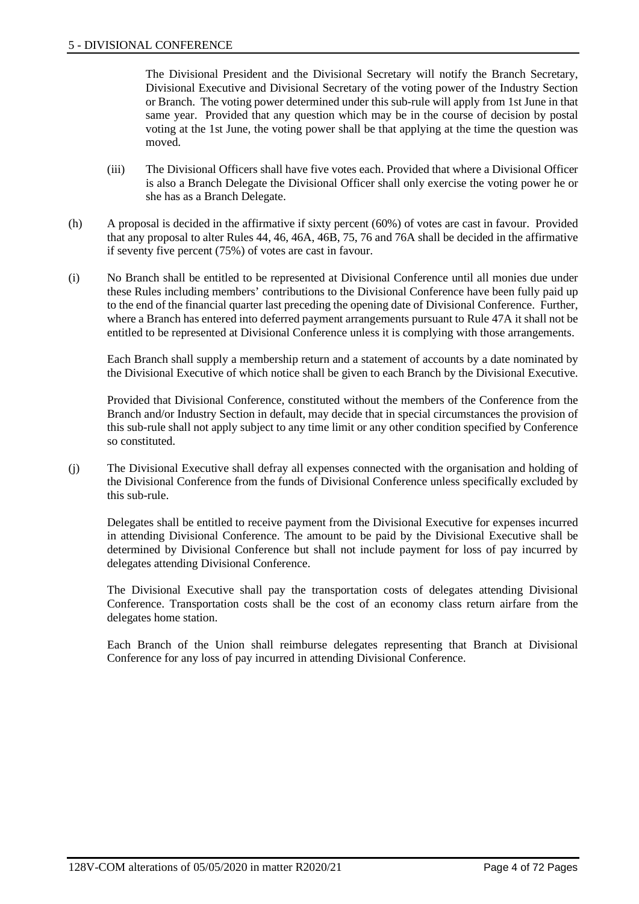The Divisional President and the Divisional Secretary will notify the Branch Secretary, Divisional Executive and Divisional Secretary of the voting power of the Industry Section or Branch. The voting power determined under this sub-rule will apply from 1st June in that same year. Provided that any question which may be in the course of decision by postal voting at the 1st June, the voting power shall be that applying at the time the question was moved.

- (iii) The Divisional Officers shall have five votes each. Provided that where a Divisional Officer is also a Branch Delegate the Divisional Officer shall only exercise the voting power he or she has as a Branch Delegate.
- (h) A proposal is decided in the affirmative if sixty percent (60%) of votes are cast in favour. Provided that any proposal to alter Rules 44, 46, 46A, 46B, 75, 76 and 76A shall be decided in the affirmative if seventy five percent (75%) of votes are cast in favour.
- (i) No Branch shall be entitled to be represented at Divisional Conference until all monies due under these Rules including members' contributions to the Divisional Conference have been fully paid up to the end of the financial quarter last preceding the opening date of Divisional Conference. Further, where a Branch has entered into deferred payment arrangements pursuant to Rule 47A it shall not be entitled to be represented at Divisional Conference unless it is complying with those arrangements.

Each Branch shall supply a membership return and a statement of accounts by a date nominated by the Divisional Executive of which notice shall be given to each Branch by the Divisional Executive.

Provided that Divisional Conference, constituted without the members of the Conference from the Branch and/or Industry Section in default, may decide that in special circumstances the provision of this sub-rule shall not apply subject to any time limit or any other condition specified by Conference so constituted.

(j) The Divisional Executive shall defray all expenses connected with the organisation and holding of the Divisional Conference from the funds of Divisional Conference unless specifically excluded by this sub-rule.

Delegates shall be entitled to receive payment from the Divisional Executive for expenses incurred in attending Divisional Conference. The amount to be paid by the Divisional Executive shall be determined by Divisional Conference but shall not include payment for loss of pay incurred by delegates attending Divisional Conference.

The Divisional Executive shall pay the transportation costs of delegates attending Divisional Conference. Transportation costs shall be the cost of an economy class return airfare from the delegates home station.

Each Branch of the Union shall reimburse delegates representing that Branch at Divisional Conference for any loss of pay incurred in attending Divisional Conference.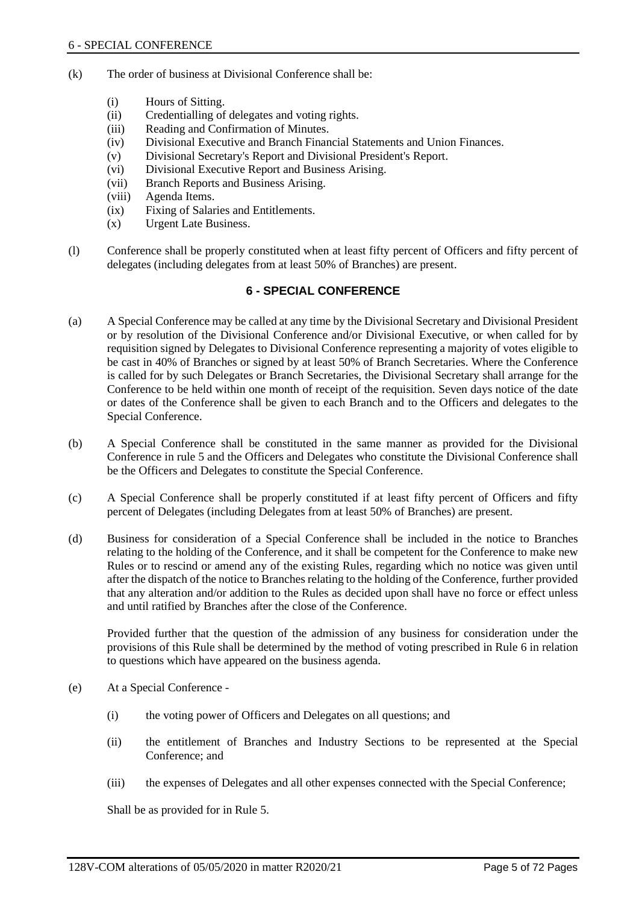- (k) The order of business at Divisional Conference shall be:
	- (i) Hours of Sitting.
	- (ii) Credentialling of delegates and voting rights.
	- (iii) Reading and Confirmation of Minutes.
	- (iv) Divisional Executive and Branch Financial Statements and Union Finances.
	- (v) Divisional Secretary's Report and Divisional President's Report.
	- (vi) Divisional Executive Report and Business Arising.
	- (vii) Branch Reports and Business Arising.
	- (viii) Agenda Items.
	- (ix) Fixing of Salaries and Entitlements.
	- (x) Urgent Late Business.
- <span id="page-8-0"></span>(l) Conference shall be properly constituted when at least fifty percent of Officers and fifty percent of delegates (including delegates from at least 50% of Branches) are present.

#### **6 - SPECIAL CONFERENCE**

- (a) A Special Conference may be called at any time by the Divisional Secretary and Divisional President or by resolution of the Divisional Conference and/or Divisional Executive, or when called for by requisition signed by Delegates to Divisional Conference representing a majority of votes eligible to be cast in 40% of Branches or signed by at least 50% of Branch Secretaries. Where the Conference is called for by such Delegates or Branch Secretaries, the Divisional Secretary shall arrange for the Conference to be held within one month of receipt of the requisition. Seven days notice of the date or dates of the Conference shall be given to each Branch and to the Officers and delegates to the Special Conference.
- (b) A Special Conference shall be constituted in the same manner as provided for the Divisional Conference in rule 5 and the Officers and Delegates who constitute the Divisional Conference shall be the Officers and Delegates to constitute the Special Conference.
- (c) A Special Conference shall be properly constituted if at least fifty percent of Officers and fifty percent of Delegates (including Delegates from at least 50% of Branches) are present.
- (d) Business for consideration of a Special Conference shall be included in the notice to Branches relating to the holding of the Conference, and it shall be competent for the Conference to make new Rules or to rescind or amend any of the existing Rules, regarding which no notice was given until after the dispatch of the notice to Branches relating to the holding of the Conference, further provided that any alteration and/or addition to the Rules as decided upon shall have no force or effect unless and until ratified by Branches after the close of the Conference.

Provided further that the question of the admission of any business for consideration under the provisions of this Rule shall be determined by the method of voting prescribed in Rule 6 in relation to questions which have appeared on the business agenda.

- (e) At a Special Conference
	- (i) the voting power of Officers and Delegates on all questions; and
	- (ii) the entitlement of Branches and Industry Sections to be represented at the Special Conference; and
	- (iii) the expenses of Delegates and all other expenses connected with the Special Conference;

Shall be as provided for in Rule 5.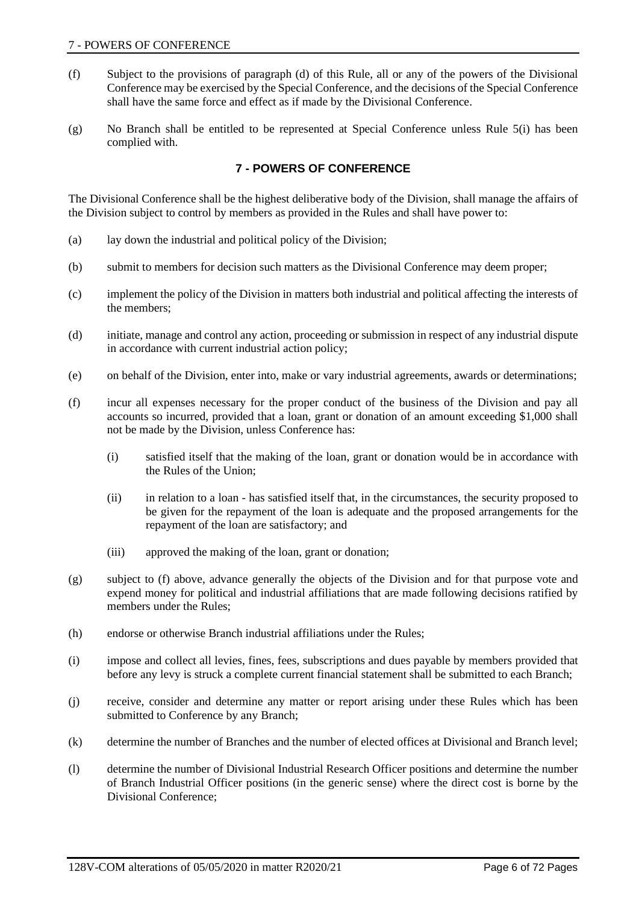- (f) Subject to the provisions of paragraph (d) of this Rule, all or any of the powers of the Divisional Conference may be exercised by the Special Conference, and the decisions of the Special Conference shall have the same force and effect as if made by the Divisional Conference.
- <span id="page-9-0"></span>(g) No Branch shall be entitled to be represented at Special Conference unless Rule 5(i) has been complied with.

## **7 - POWERS OF CONFERENCE**

The Divisional Conference shall be the highest deliberative body of the Division, shall manage the affairs of the Division subject to control by members as provided in the Rules and shall have power to:

- (a) lay down the industrial and political policy of the Division;
- (b) submit to members for decision such matters as the Divisional Conference may deem proper;
- (c) implement the policy of the Division in matters both industrial and political affecting the interests of the members;
- (d) initiate, manage and control any action, proceeding or submission in respect of any industrial dispute in accordance with current industrial action policy;
- (e) on behalf of the Division, enter into, make or vary industrial agreements, awards or determinations;
- (f) incur all expenses necessary for the proper conduct of the business of the Division and pay all accounts so incurred, provided that a loan, grant or donation of an amount exceeding \$1,000 shall not be made by the Division, unless Conference has:
	- (i) satisfied itself that the making of the loan, grant or donation would be in accordance with the Rules of the Union;
	- (ii) in relation to a loan has satisfied itself that, in the circumstances, the security proposed to be given for the repayment of the loan is adequate and the proposed arrangements for the repayment of the loan are satisfactory; and
	- (iii) approved the making of the loan, grant or donation;
- (g) subject to (f) above, advance generally the objects of the Division and for that purpose vote and expend money for political and industrial affiliations that are made following decisions ratified by members under the Rules;
- (h) endorse or otherwise Branch industrial affiliations under the Rules;
- (i) impose and collect all levies, fines, fees, subscriptions and dues payable by members provided that before any levy is struck a complete current financial statement shall be submitted to each Branch;
- (j) receive, consider and determine any matter or report arising under these Rules which has been submitted to Conference by any Branch;
- (k) determine the number of Branches and the number of elected offices at Divisional and Branch level;
- (l) determine the number of Divisional Industrial Research Officer positions and determine the number of Branch Industrial Officer positions (in the generic sense) where the direct cost is borne by the Divisional Conference;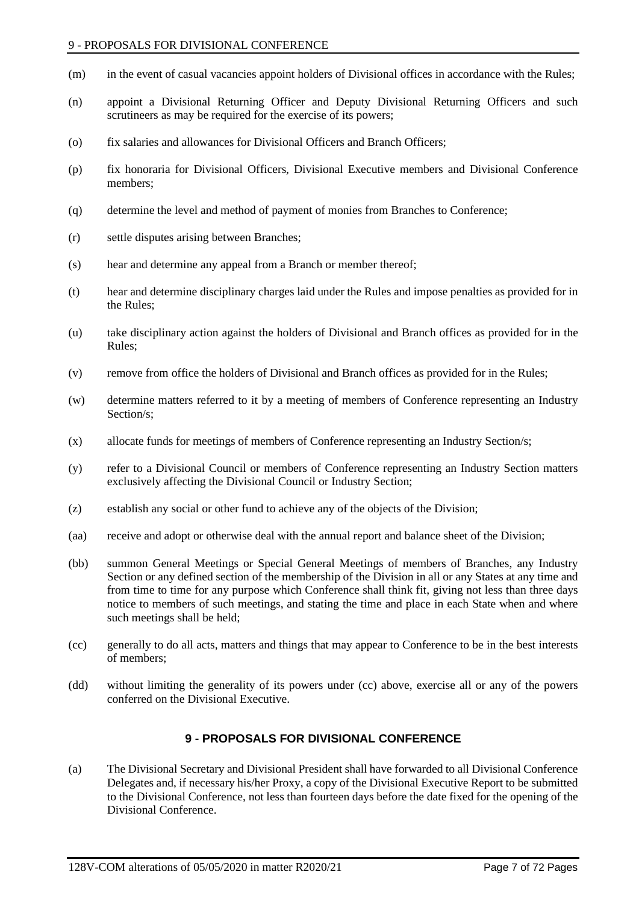#### 9 - PROPOSALS FOR DIVISIONAL CONFERENCE

- (m) in the event of casual vacancies appoint holders of Divisional offices in accordance with the Rules;
- (n) appoint a Divisional Returning Officer and Deputy Divisional Returning Officers and such scrutineers as may be required for the exercise of its powers;
- (o) fix salaries and allowances for Divisional Officers and Branch Officers;
- (p) fix honoraria for Divisional Officers, Divisional Executive members and Divisional Conference members;
- (q) determine the level and method of payment of monies from Branches to Conference;
- (r) settle disputes arising between Branches;
- (s) hear and determine any appeal from a Branch or member thereof;
- (t) hear and determine disciplinary charges laid under the Rules and impose penalties as provided for in the Rules;
- (u) take disciplinary action against the holders of Divisional and Branch offices as provided for in the Rules;
- (v) remove from office the holders of Divisional and Branch offices as provided for in the Rules;
- (w) determine matters referred to it by a meeting of members of Conference representing an Industry Section/s;
- (x) allocate funds for meetings of members of Conference representing an Industry Section/s;
- (y) refer to a Divisional Council or members of Conference representing an Industry Section matters exclusively affecting the Divisional Council or Industry Section;
- (z) establish any social or other fund to achieve any of the objects of the Division;
- (aa) receive and adopt or otherwise deal with the annual report and balance sheet of the Division;
- (bb) summon General Meetings or Special General Meetings of members of Branches, any Industry Section or any defined section of the membership of the Division in all or any States at any time and from time to time for any purpose which Conference shall think fit, giving not less than three days notice to members of such meetings, and stating the time and place in each State when and where such meetings shall be held;
- (cc) generally to do all acts, matters and things that may appear to Conference to be in the best interests of members;
- <span id="page-10-0"></span>(dd) without limiting the generality of its powers under (cc) above, exercise all or any of the powers conferred on the Divisional Executive.

#### **9 - PROPOSALS FOR DIVISIONAL CONFERENCE**

(a) The Divisional Secretary and Divisional President shall have forwarded to all Divisional Conference Delegates and, if necessary his/her Proxy, a copy of the Divisional Executive Report to be submitted to the Divisional Conference, not less than fourteen days before the date fixed for the opening of the Divisional Conference.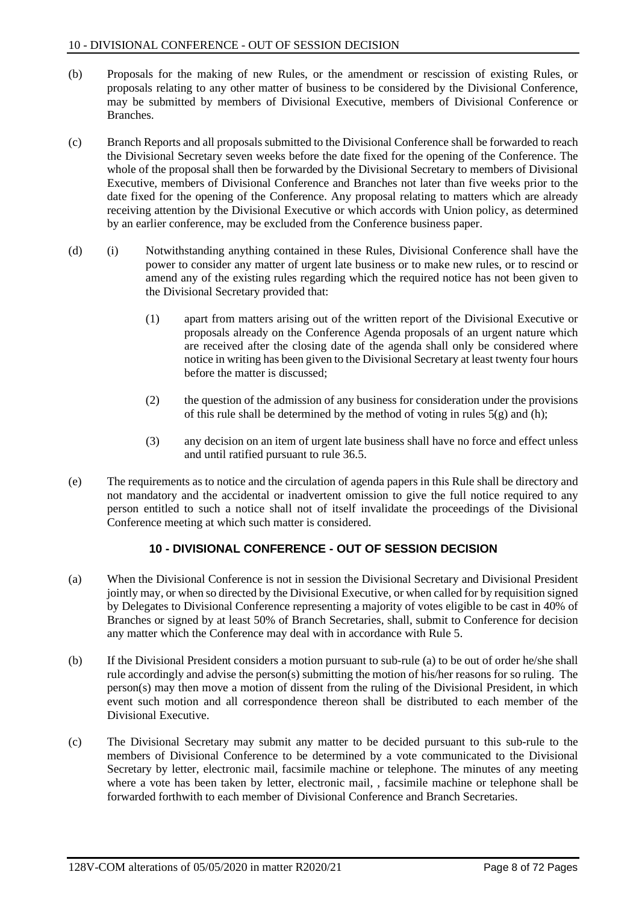- (b) Proposals for the making of new Rules, or the amendment or rescission of existing Rules, or proposals relating to any other matter of business to be considered by the Divisional Conference, may be submitted by members of Divisional Executive, members of Divisional Conference or Branches.
- (c) Branch Reports and all proposals submitted to the Divisional Conference shall be forwarded to reach the Divisional Secretary seven weeks before the date fixed for the opening of the Conference. The whole of the proposal shall then be forwarded by the Divisional Secretary to members of Divisional Executive, members of Divisional Conference and Branches not later than five weeks prior to the date fixed for the opening of the Conference. Any proposal relating to matters which are already receiving attention by the Divisional Executive or which accords with Union policy, as determined by an earlier conference, may be excluded from the Conference business paper.
- (d) (i) Notwithstanding anything contained in these Rules, Divisional Conference shall have the power to consider any matter of urgent late business or to make new rules, or to rescind or amend any of the existing rules regarding which the required notice has not been given to the Divisional Secretary provided that:
	- (1) apart from matters arising out of the written report of the Divisional Executive or proposals already on the Conference Agenda proposals of an urgent nature which are received after the closing date of the agenda shall only be considered where notice in writing has been given to the Divisional Secretary at least twenty four hours before the matter is discussed;
	- (2) the question of the admission of any business for consideration under the provisions of this rule shall be determined by the method of voting in rules  $5(g)$  and (h);
	- (3) any decision on an item of urgent late business shall have no force and effect unless and until ratified pursuant to rule 36.5.
- (e) The requirements as to notice and the circulation of agenda papers in this Rule shall be directory and not mandatory and the accidental or inadvertent omission to give the full notice required to any person entitled to such a notice shall not of itself invalidate the proceedings of the Divisional Conference meeting at which such matter is considered.

# **10 - DIVISIONAL CONFERENCE - OUT OF SESSION DECISION**

- <span id="page-11-0"></span>(a) When the Divisional Conference is not in session the Divisional Secretary and Divisional President jointly may, or when so directed by the Divisional Executive, or when called for by requisition signed by Delegates to Divisional Conference representing a majority of votes eligible to be cast in 40% of Branches or signed by at least 50% of Branch Secretaries, shall, submit to Conference for decision any matter which the Conference may deal with in accordance with Rule 5.
- (b) If the Divisional President considers a motion pursuant to sub-rule (a) to be out of order he/she shall rule accordingly and advise the person(s) submitting the motion of his/her reasons for so ruling. The person(s) may then move a motion of dissent from the ruling of the Divisional President, in which event such motion and all correspondence thereon shall be distributed to each member of the Divisional Executive.
- (c) The Divisional Secretary may submit any matter to be decided pursuant to this sub-rule to the members of Divisional Conference to be determined by a vote communicated to the Divisional Secretary by letter, electronic mail, facsimile machine or telephone. The minutes of any meeting where a vote has been taken by letter, electronic mail, , facsimile machine or telephone shall be forwarded forthwith to each member of Divisional Conference and Branch Secretaries.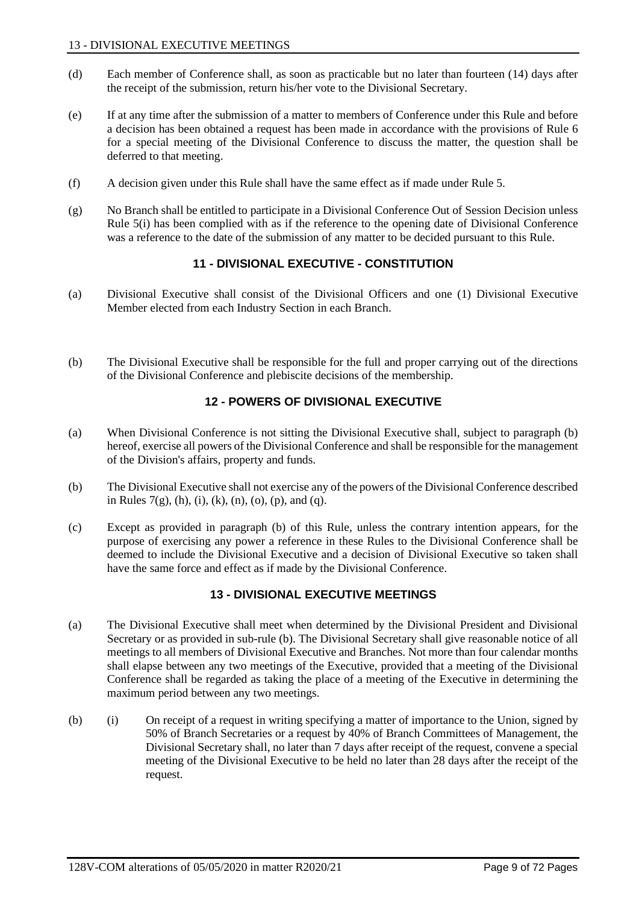- (d) Each member of Conference shall, as soon as practicable but no later than fourteen (14) days after the receipt of the submission, return his/her vote to the Divisional Secretary.
- (e) If at any time after the submission of a matter to members of Conference under this Rule and before a decision has been obtained a request has been made in accordance with the provisions of Rule 6 for a special meeting of the Divisional Conference to discuss the matter, the question shall be deferred to that meeting.
- (f) A decision given under this Rule shall have the same effect as if made under Rule 5.
- <span id="page-12-0"></span>(g) No Branch shall be entitled to participate in a Divisional Conference Out of Session Decision unless Rule 5(i) has been complied with as if the reference to the opening date of Divisional Conference was a reference to the date of the submission of any matter to be decided pursuant to this Rule.

# **11 - DIVISIONAL EXECUTIVE - CONSTITUTION**

- (a) Divisional Executive shall consist of the Divisional Officers and one (1) Divisional Executive Member elected from each Industry Section in each Branch.
- <span id="page-12-1"></span>(b) The Divisional Executive shall be responsible for the full and proper carrying out of the directions of the Divisional Conference and plebiscite decisions of the membership.

## **12 - POWERS OF DIVISIONAL EXECUTIVE**

- (a) When Divisional Conference is not sitting the Divisional Executive shall, subject to paragraph (b) hereof, exercise all powers of the Divisional Conference and shall be responsible for the management of the Division's affairs, property and funds.
- (b) The Divisional Executive shall not exercise any of the powers of the Divisional Conference described in Rules  $7(g)$ , (h), (i), (k), (n), (o), (p), and (q).
- (c) Except as provided in paragraph (b) of this Rule, unless the contrary intention appears, for the purpose of exercising any power a reference in these Rules to the Divisional Conference shall be deemed to include the Divisional Executive and a decision of Divisional Executive so taken shall have the same force and effect as if made by the Divisional Conference.

# **13 - DIVISIONAL EXECUTIVE MEETINGS**

- <span id="page-12-2"></span>(a) The Divisional Executive shall meet when determined by the Divisional President and Divisional Secretary or as provided in sub-rule (b). The Divisional Secretary shall give reasonable notice of all meetings to all members of Divisional Executive and Branches. Not more than four calendar months shall elapse between any two meetings of the Executive, provided that a meeting of the Divisional Conference shall be regarded as taking the place of a meeting of the Executive in determining the maximum period between any two meetings.
- (b) (i) On receipt of a request in writing specifying a matter of importance to the Union, signed by 50% of Branch Secretaries or a request by 40% of Branch Committees of Management, the Divisional Secretary shall, no later than 7 days after receipt of the request, convene a special meeting of the Divisional Executive to be held no later than 28 days after the receipt of the request.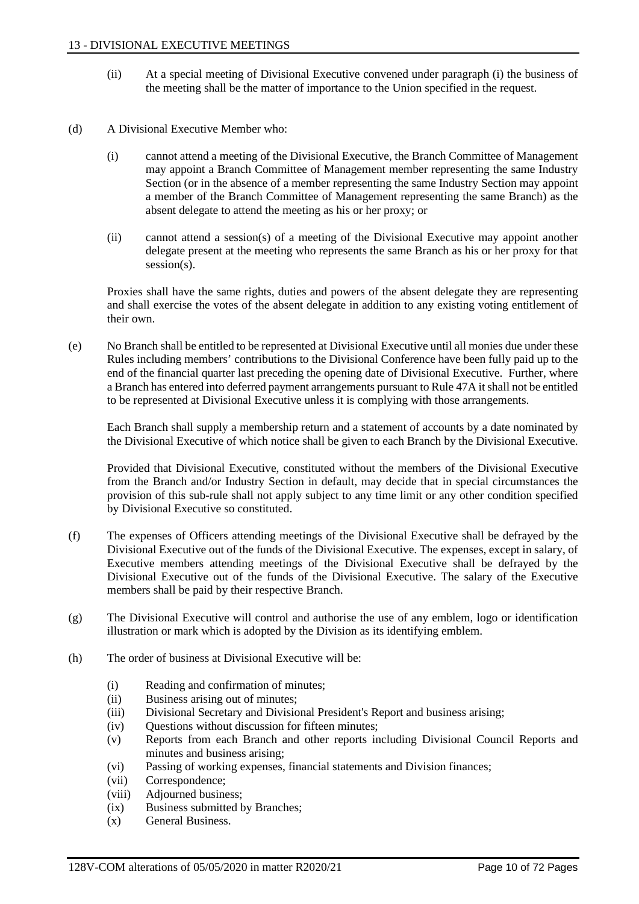- (ii) At a special meeting of Divisional Executive convened under paragraph (i) the business of the meeting shall be the matter of importance to the Union specified in the request.
- (d) A Divisional Executive Member who:
	- (i) cannot attend a meeting of the Divisional Executive, the Branch Committee of Management may appoint a Branch Committee of Management member representing the same Industry Section (or in the absence of a member representing the same Industry Section may appoint a member of the Branch Committee of Management representing the same Branch) as the absent delegate to attend the meeting as his or her proxy; or
	- (ii) cannot attend a session(s) of a meeting of the Divisional Executive may appoint another delegate present at the meeting who represents the same Branch as his or her proxy for that session(s).

Proxies shall have the same rights, duties and powers of the absent delegate they are representing and shall exercise the votes of the absent delegate in addition to any existing voting entitlement of their own.

(e) No Branch shall be entitled to be represented at Divisional Executive until all monies due under these Rules including members' contributions to the Divisional Conference have been fully paid up to the end of the financial quarter last preceding the opening date of Divisional Executive. Further, where a Branch has entered into deferred payment arrangements pursuant to Rule 47A it shall not be entitled to be represented at Divisional Executive unless it is complying with those arrangements.

Each Branch shall supply a membership return and a statement of accounts by a date nominated by the Divisional Executive of which notice shall be given to each Branch by the Divisional Executive.

Provided that Divisional Executive, constituted without the members of the Divisional Executive from the Branch and/or Industry Section in default, may decide that in special circumstances the provision of this sub-rule shall not apply subject to any time limit or any other condition specified by Divisional Executive so constituted.

- (f) The expenses of Officers attending meetings of the Divisional Executive shall be defrayed by the Divisional Executive out of the funds of the Divisional Executive. The expenses, except in salary, of Executive members attending meetings of the Divisional Executive shall be defrayed by the Divisional Executive out of the funds of the Divisional Executive. The salary of the Executive members shall be paid by their respective Branch.
- (g) The Divisional Executive will control and authorise the use of any emblem, logo or identification illustration or mark which is adopted by the Division as its identifying emblem.
- (h) The order of business at Divisional Executive will be:
	- (i) Reading and confirmation of minutes;
	- (ii) Business arising out of minutes;
	- (iii) Divisional Secretary and Divisional President's Report and business arising;
	- (iv) Questions without discussion for fifteen minutes;
	- (v) Reports from each Branch and other reports including Divisional Council Reports and minutes and business arising;
	- (vi) Passing of working expenses, financial statements and Division finances;
	- (vii) Correspondence;
	- (viii) Adjourned business;
	- (ix) Business submitted by Branches;
	- (x) General Business.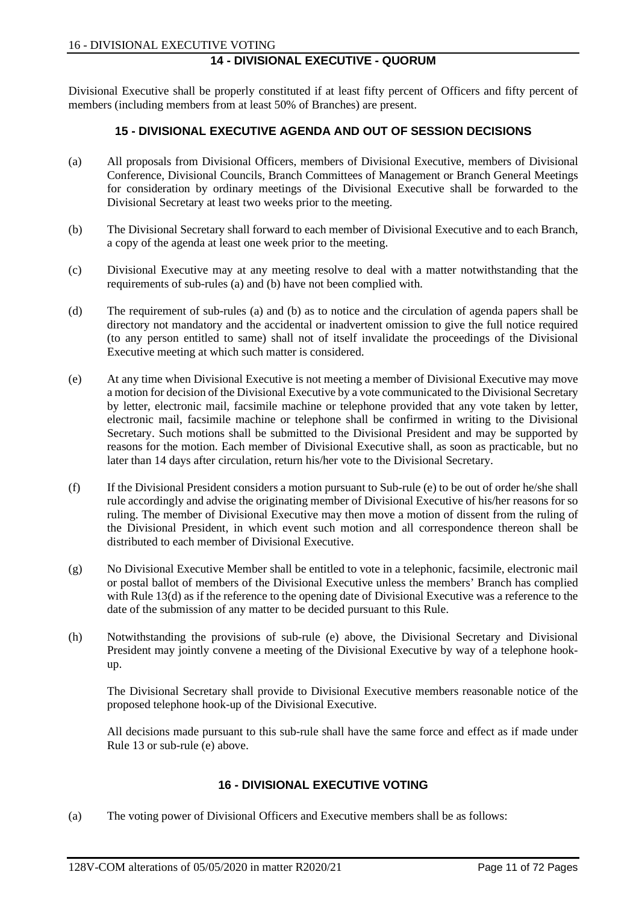## **14 - DIVISIONAL EXECUTIVE - QUORUM**

<span id="page-14-1"></span><span id="page-14-0"></span>Divisional Executive shall be properly constituted if at least fifty percent of Officers and fifty percent of members (including members from at least 50% of Branches) are present.

#### **15 - DIVISIONAL EXECUTIVE AGENDA AND OUT OF SESSION DECISIONS**

- (a) All proposals from Divisional Officers, members of Divisional Executive, members of Divisional Conference, Divisional Councils, Branch Committees of Management or Branch General Meetings for consideration by ordinary meetings of the Divisional Executive shall be forwarded to the Divisional Secretary at least two weeks prior to the meeting.
- (b) The Divisional Secretary shall forward to each member of Divisional Executive and to each Branch, a copy of the agenda at least one week prior to the meeting.
- (c) Divisional Executive may at any meeting resolve to deal with a matter notwithstanding that the requirements of sub-rules (a) and (b) have not been complied with.
- (d) The requirement of sub-rules (a) and (b) as to notice and the circulation of agenda papers shall be directory not mandatory and the accidental or inadvertent omission to give the full notice required (to any person entitled to same) shall not of itself invalidate the proceedings of the Divisional Executive meeting at which such matter is considered.
- (e) At any time when Divisional Executive is not meeting a member of Divisional Executive may move a motion for decision of the Divisional Executive by a vote communicated to the Divisional Secretary by letter, electronic mail, facsimile machine or telephone provided that any vote taken by letter, electronic mail, facsimile machine or telephone shall be confirmed in writing to the Divisional Secretary. Such motions shall be submitted to the Divisional President and may be supported by reasons for the motion. Each member of Divisional Executive shall, as soon as practicable, but no later than 14 days after circulation, return his/her vote to the Divisional Secretary.
- (f) If the Divisional President considers a motion pursuant to Sub-rule (e) to be out of order he/she shall rule accordingly and advise the originating member of Divisional Executive of his/her reasons for so ruling. The member of Divisional Executive may then move a motion of dissent from the ruling of the Divisional President, in which event such motion and all correspondence thereon shall be distributed to each member of Divisional Executive.
- (g) No Divisional Executive Member shall be entitled to vote in a telephonic, facsimile, electronic mail or postal ballot of members of the Divisional Executive unless the members' Branch has complied with Rule 13(d) as if the reference to the opening date of Divisional Executive was a reference to the date of the submission of any matter to be decided pursuant to this Rule.
- (h) Notwithstanding the provisions of sub-rule (e) above, the Divisional Secretary and Divisional President may jointly convene a meeting of the Divisional Executive by way of a telephone hookup.

The Divisional Secretary shall provide to Divisional Executive members reasonable notice of the proposed telephone hook-up of the Divisional Executive.

All decisions made pursuant to this sub-rule shall have the same force and effect as if made under Rule 13 or sub-rule (e) above.

#### **16 - DIVISIONAL EXECUTIVE VOTING**

<span id="page-14-2"></span>(a) The voting power of Divisional Officers and Executive members shall be as follows: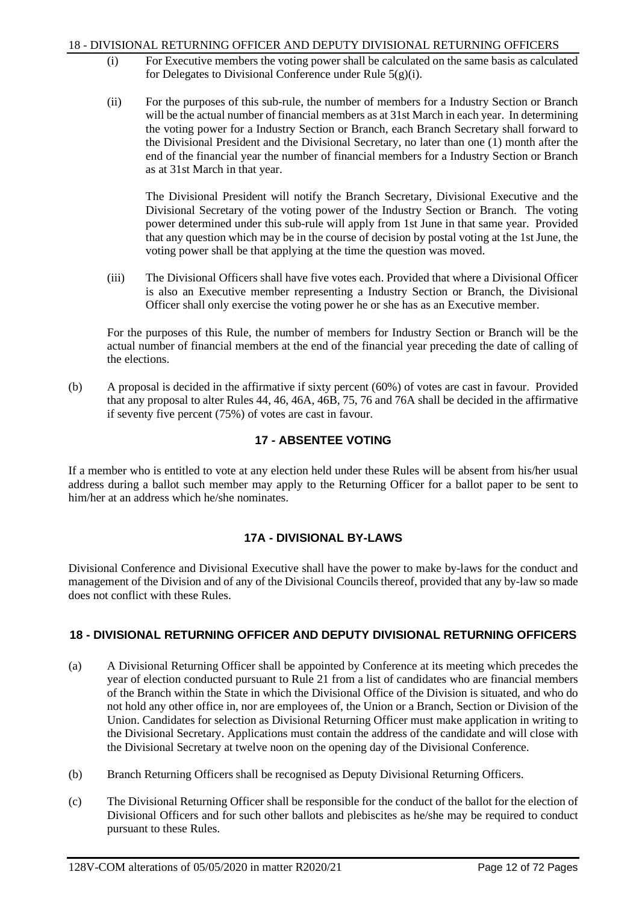#### 18 - DIVISIONAL RETURNING OFFICER AND DEPUTY DIVISIONAL RETURNING OFFICERS

- (i) For Executive members the voting power shall be calculated on the same basis as calculated for Delegates to Divisional Conference under Rule 5(g)(i).
- (ii) For the purposes of this sub-rule, the number of members for a Industry Section or Branch will be the actual number of financial members as at 31st March in each year. In determining the voting power for a Industry Section or Branch, each Branch Secretary shall forward to the Divisional President and the Divisional Secretary, no later than one (1) month after the end of the financial year the number of financial members for a Industry Section or Branch as at 31st March in that year.

The Divisional President will notify the Branch Secretary, Divisional Executive and the Divisional Secretary of the voting power of the Industry Section or Branch. The voting power determined under this sub-rule will apply from 1st June in that same year. Provided that any question which may be in the course of decision by postal voting at the 1st June, the voting power shall be that applying at the time the question was moved.

(iii) The Divisional Officers shall have five votes each. Provided that where a Divisional Officer is also an Executive member representing a Industry Section or Branch, the Divisional Officer shall only exercise the voting power he or she has as an Executive member.

For the purposes of this Rule, the number of members for Industry Section or Branch will be the actual number of financial members at the end of the financial year preceding the date of calling of the elections.

<span id="page-15-0"></span>(b) A proposal is decided in the affirmative if sixty percent (60%) of votes are cast in favour. Provided that any proposal to alter Rules 44, 46, 46A, 46B, 75, 76 and 76A shall be decided in the affirmative if seventy five percent (75%) of votes are cast in favour.

# **17 - ABSENTEE VOTING**

If a member who is entitled to vote at any election held under these Rules will be absent from his/her usual address during a ballot such member may apply to the Returning Officer for a ballot paper to be sent to him/her at an address which he/she nominates.

# **17A - DIVISIONAL BY-LAWS**

<span id="page-15-1"></span>Divisional Conference and Divisional Executive shall have the power to make by-laws for the conduct and management of the Division and of any of the Divisional Councils thereof, provided that any by-law so made does not conflict with these Rules.

# <span id="page-15-2"></span>**18 - DIVISIONAL RETURNING OFFICER AND DEPUTY DIVISIONAL RETURNING OFFICERS**

- (a) A Divisional Returning Officer shall be appointed by Conference at its meeting which precedes the year of election conducted pursuant to Rule 21 from a list of candidates who are financial members of the Branch within the State in which the Divisional Office of the Division is situated, and who do not hold any other office in, nor are employees of, the Union or a Branch, Section or Division of the Union. Candidates for selection as Divisional Returning Officer must make application in writing to the Divisional Secretary. Applications must contain the address of the candidate and will close with the Divisional Secretary at twelve noon on the opening day of the Divisional Conference.
- (b) Branch Returning Officers shall be recognised as Deputy Divisional Returning Officers.
- (c) The Divisional Returning Officer shall be responsible for the conduct of the ballot for the election of Divisional Officers and for such other ballots and plebiscites as he/she may be required to conduct pursuant to these Rules.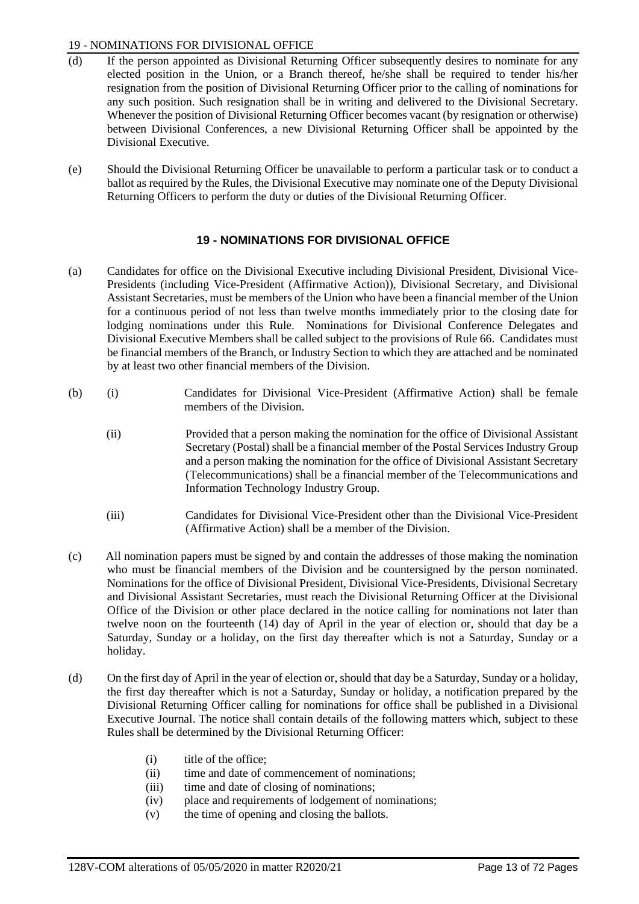#### 19 - NOMINATIONS FOR DIVISIONAL OFFICE

- (d) If the person appointed as Divisional Returning Officer subsequently desires to nominate for any elected position in the Union, or a Branch thereof, he/she shall be required to tender his/her resignation from the position of Divisional Returning Officer prior to the calling of nominations for any such position. Such resignation shall be in writing and delivered to the Divisional Secretary. Whenever the position of Divisional Returning Officer becomes vacant (by resignation or otherwise) between Divisional Conferences, a new Divisional Returning Officer shall be appointed by the Divisional Executive.
- (e) Should the Divisional Returning Officer be unavailable to perform a particular task or to conduct a ballot as required by the Rules, the Divisional Executive may nominate one of the Deputy Divisional Returning Officers to perform the duty or duties of the Divisional Returning Officer.

## **19 - NOMINATIONS FOR DIVISIONAL OFFICE**

- <span id="page-16-0"></span>(a) Candidates for office on the Divisional Executive including Divisional President, Divisional Vice-Presidents (including Vice-President (Affirmative Action)), Divisional Secretary, and Divisional Assistant Secretaries, must be members of the Union who have been a financial member of the Union for a continuous period of not less than twelve months immediately prior to the closing date for lodging nominations under this Rule. Nominations for Divisional Conference Delegates and Divisional Executive Members shall be called subject to the provisions of Rule 66. Candidates must be financial members of the Branch, or Industry Section to which they are attached and be nominated by at least two other financial members of the Division.
- (b) (i) Candidates for Divisional Vice-President (Affirmative Action) shall be female members of the Division.
	- (ii) Provided that a person making the nomination for the office of Divisional Assistant Secretary (Postal) shall be a financial member of the Postal Services Industry Group and a person making the nomination for the office of Divisional Assistant Secretary (Telecommunications) shall be a financial member of the Telecommunications and Information Technology Industry Group.
	- (iii) Candidates for Divisional Vice-President other than the Divisional Vice-President (Affirmative Action) shall be a member of the Division.
- (c) All nomination papers must be signed by and contain the addresses of those making the nomination who must be financial members of the Division and be countersigned by the person nominated. Nominations for the office of Divisional President, Divisional Vice-Presidents, Divisional Secretary and Divisional Assistant Secretaries, must reach the Divisional Returning Officer at the Divisional Office of the Division or other place declared in the notice calling for nominations not later than twelve noon on the fourteenth (14) day of April in the year of election or, should that day be a Saturday, Sunday or a holiday, on the first day thereafter which is not a Saturday, Sunday or a holiday.
- (d) On the first day of April in the year of election or, should that day be a Saturday, Sunday or a holiday, the first day thereafter which is not a Saturday, Sunday or holiday, a notification prepared by the Divisional Returning Officer calling for nominations for office shall be published in a Divisional Executive Journal. The notice shall contain details of the following matters which, subject to these Rules shall be determined by the Divisional Returning Officer:
	- (i) title of the office;
	- (ii) time and date of commencement of nominations;
	- (iii) time and date of closing of nominations;
	- (iv) place and requirements of lodgement of nominations;
	- (v) the time of opening and closing the ballots.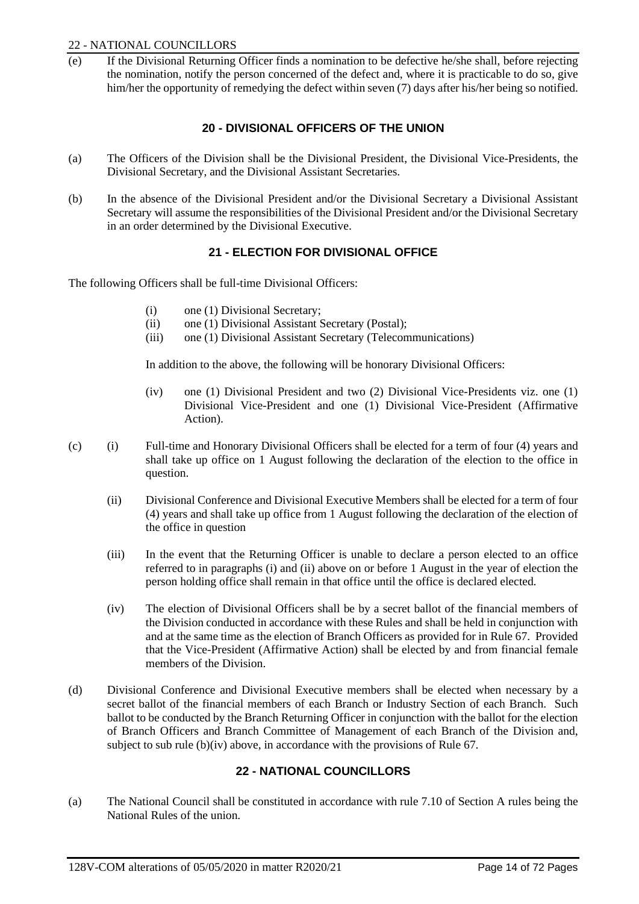#### 22 - NATIONAL COUNCILLORS

If the Divisional Returning Officer finds a nomination to be defective he/she shall, before rejecting the nomination, notify the person concerned of the defect and, where it is practicable to do so, give him/her the opportunity of remedying the defect within seven (7) days after his/her being so notified.

## **20 - DIVISIONAL OFFICERS OF THE UNION**

- <span id="page-17-0"></span>(a) The Officers of the Division shall be the Divisional President, the Divisional Vice-Presidents, the Divisional Secretary, and the Divisional Assistant Secretaries.
- <span id="page-17-1"></span>(b) In the absence of the Divisional President and/or the Divisional Secretary a Divisional Assistant Secretary will assume the responsibilities of the Divisional President and/or the Divisional Secretary in an order determined by the Divisional Executive.

## **21 - ELECTION FOR DIVISIONAL OFFICE**

The following Officers shall be full-time Divisional Officers:

- (i) one (1) Divisional Secretary;
- (ii) one (1) Divisional Assistant Secretary (Postal);
- (iii) one (1) Divisional Assistant Secretary (Telecommunications)

In addition to the above, the following will be honorary Divisional Officers:

- (iv) one (1) Divisional President and two (2) Divisional Vice-Presidents viz. one (1) Divisional Vice-President and one (1) Divisional Vice-President (Affirmative Action).
- (c) (i) Full-time and Honorary Divisional Officers shall be elected for a term of four (4) years and shall take up office on 1 August following the declaration of the election to the office in question.
	- (ii) Divisional Conference and Divisional Executive Members shall be elected for a term of four (4) years and shall take up office from 1 August following the declaration of the election of the office in question
	- (iii) In the event that the Returning Officer is unable to declare a person elected to an office referred to in paragraphs (i) and (ii) above on or before 1 August in the year of election the person holding office shall remain in that office until the office is declared elected.
	- (iv) The election of Divisional Officers shall be by a secret ballot of the financial members of the Division conducted in accordance with these Rules and shall be held in conjunction with and at the same time as the election of Branch Officers as provided for in Rule 67. Provided that the Vice-President (Affirmative Action) shall be elected by and from financial female members of the Division.
- (d) Divisional Conference and Divisional Executive members shall be elected when necessary by a secret ballot of the financial members of each Branch or Industry Section of each Branch. Such ballot to be conducted by the Branch Returning Officer in conjunction with the ballot for the election of Branch Officers and Branch Committee of Management of each Branch of the Division and, subject to sub rule (b)(iv) above, in accordance with the provisions of Rule 67.

# **22 - NATIONAL COUNCILLORS**

<span id="page-17-2"></span>(a) The National Council shall be constituted in accordance with rule 7.10 of Section A rules being the National Rules of the union.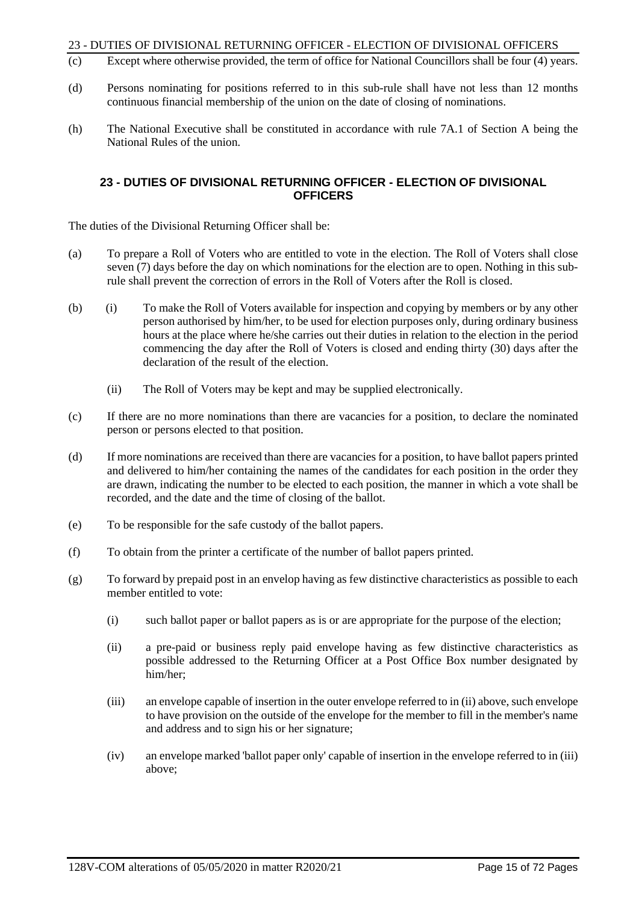- (c) Except where otherwise provided, the term of office for National Councillors shall be four (4) years.
- (d) Persons nominating for positions referred to in this sub-rule shall have not less than 12 months continuous financial membership of the union on the date of closing of nominations.
- (h) The National Executive shall be constituted in accordance with rule 7A.1 of Section A being the National Rules of the union.

#### <span id="page-18-0"></span>**23 - DUTIES OF DIVISIONAL RETURNING OFFICER - ELECTION OF DIVISIONAL OFFICERS**

The duties of the Divisional Returning Officer shall be:

- (a) To prepare a Roll of Voters who are entitled to vote in the election. The Roll of Voters shall close seven (7) days before the day on which nominations for the election are to open. Nothing in this subrule shall prevent the correction of errors in the Roll of Voters after the Roll is closed.
- (b) (i) To make the Roll of Voters available for inspection and copying by members or by any other person authorised by him/her, to be used for election purposes only, during ordinary business hours at the place where he/she carries out their duties in relation to the election in the period commencing the day after the Roll of Voters is closed and ending thirty (30) days after the declaration of the result of the election.
	- (ii) The Roll of Voters may be kept and may be supplied electronically.
- (c) If there are no more nominations than there are vacancies for a position, to declare the nominated person or persons elected to that position.
- (d) If more nominations are received than there are vacancies for a position, to have ballot papers printed and delivered to him/her containing the names of the candidates for each position in the order they are drawn, indicating the number to be elected to each position, the manner in which a vote shall be recorded, and the date and the time of closing of the ballot.
- (e) To be responsible for the safe custody of the ballot papers.
- (f) To obtain from the printer a certificate of the number of ballot papers printed.
- (g) To forward by prepaid post in an envelop having as few distinctive characteristics as possible to each member entitled to vote:
	- (i) such ballot paper or ballot papers as is or are appropriate for the purpose of the election;
	- (ii) a pre-paid or business reply paid envelope having as few distinctive characteristics as possible addressed to the Returning Officer at a Post Office Box number designated by him/her;
	- (iii) an envelope capable of insertion in the outer envelope referred to in (ii) above, such envelope to have provision on the outside of the envelope for the member to fill in the member's name and address and to sign his or her signature;
	- (iv) an envelope marked 'ballot paper only' capable of insertion in the envelope referred to in (iii) above;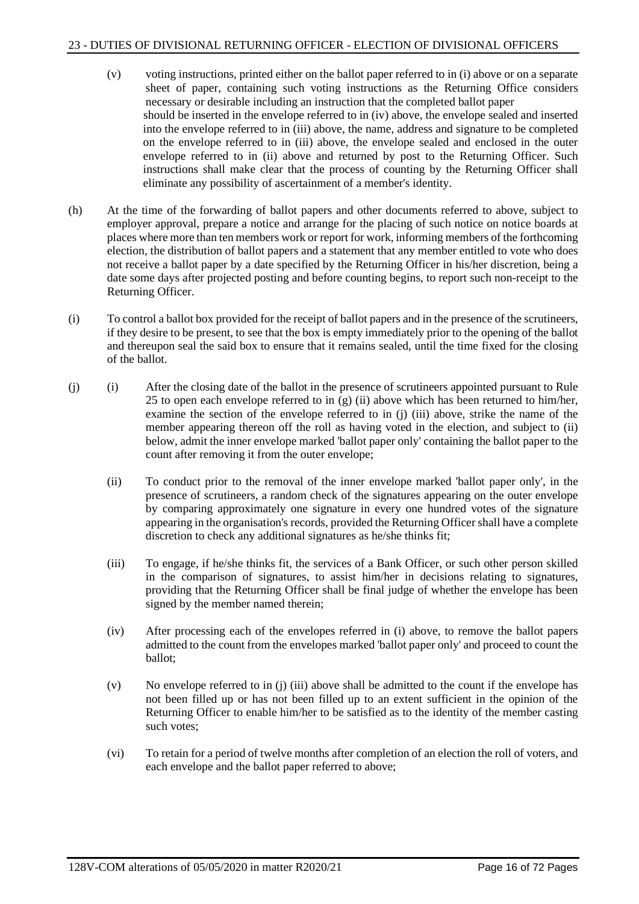- (v) voting instructions, printed either on the ballot paper referred to in (i) above or on a separate sheet of paper, containing such voting instructions as the Returning Office considers necessary or desirable including an instruction that the completed ballot paper should be inserted in the envelope referred to in (iv) above, the envelope sealed and inserted into the envelope referred to in (iii) above, the name, address and signature to be completed on the envelope referred to in (iii) above, the envelope sealed and enclosed in the outer envelope referred to in (ii) above and returned by post to the Returning Officer. Such instructions shall make clear that the process of counting by the Returning Officer shall eliminate any possibility of ascertainment of a member's identity.
- (h) At the time of the forwarding of ballot papers and other documents referred to above, subject to employer approval, prepare a notice and arrange for the placing of such notice on notice boards at places where more than ten members work or report for work, informing members of the forthcoming election, the distribution of ballot papers and a statement that any member entitled to vote who does not receive a ballot paper by a date specified by the Returning Officer in his/her discretion, being a date some days after projected posting and before counting begins, to report such non-receipt to the Returning Officer.
- (i) To control a ballot box provided for the receipt of ballot papers and in the presence of the scrutineers, if they desire to be present, to see that the box is empty immediately prior to the opening of the ballot and thereupon seal the said box to ensure that it remains sealed, until the time fixed for the closing of the ballot.
- (j) (i) After the closing date of the ballot in the presence of scrutineers appointed pursuant to Rule 25 to open each envelope referred to in  $(g)$  (ii) above which has been returned to him/her, examine the section of the envelope referred to in (j) (iii) above, strike the name of the member appearing thereon off the roll as having voted in the election, and subject to (ii) below, admit the inner envelope marked 'ballot paper only' containing the ballot paper to the count after removing it from the outer envelope;
	- (ii) To conduct prior to the removal of the inner envelope marked 'ballot paper only', in the presence of scrutineers, a random check of the signatures appearing on the outer envelope by comparing approximately one signature in every one hundred votes of the signature appearing in the organisation's records, provided the Returning Officer shall have a complete discretion to check any additional signatures as he/she thinks fit;
	- (iii) To engage, if he/she thinks fit, the services of a Bank Officer, or such other person skilled in the comparison of signatures, to assist him/her in decisions relating to signatures, providing that the Returning Officer shall be final judge of whether the envelope has been signed by the member named therein;
	- (iv) After processing each of the envelopes referred in (i) above, to remove the ballot papers admitted to the count from the envelopes marked 'ballot paper only' and proceed to count the ballot;
	- (v) No envelope referred to in (j) (iii) above shall be admitted to the count if the envelope has not been filled up or has not been filled up to an extent sufficient in the opinion of the Returning Officer to enable him/her to be satisfied as to the identity of the member casting such votes;
	- (vi) To retain for a period of twelve months after completion of an election the roll of voters, and each envelope and the ballot paper referred to above;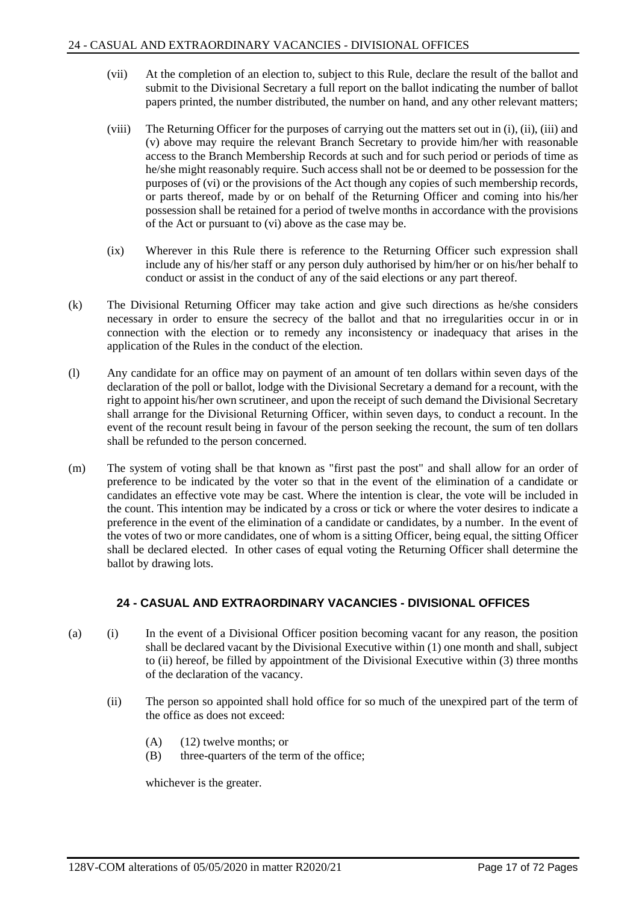- (vii) At the completion of an election to, subject to this Rule, declare the result of the ballot and submit to the Divisional Secretary a full report on the ballot indicating the number of ballot papers printed, the number distributed, the number on hand, and any other relevant matters;
- (viii) The Returning Officer for the purposes of carrying out the matters set out in (i), (ii), (iii) and (v) above may require the relevant Branch Secretary to provide him/her with reasonable access to the Branch Membership Records at such and for such period or periods of time as he/she might reasonably require. Such access shall not be or deemed to be possession for the purposes of (vi) or the provisions of the Act though any copies of such membership records, or parts thereof, made by or on behalf of the Returning Officer and coming into his/her possession shall be retained for a period of twelve months in accordance with the provisions of the Act or pursuant to (vi) above as the case may be.
- (ix) Wherever in this Rule there is reference to the Returning Officer such expression shall include any of his/her staff or any person duly authorised by him/her or on his/her behalf to conduct or assist in the conduct of any of the said elections or any part thereof.
- (k) The Divisional Returning Officer may take action and give such directions as he/she considers necessary in order to ensure the secrecy of the ballot and that no irregularities occur in or in connection with the election or to remedy any inconsistency or inadequacy that arises in the application of the Rules in the conduct of the election.
- (l) Any candidate for an office may on payment of an amount of ten dollars within seven days of the declaration of the poll or ballot, lodge with the Divisional Secretary a demand for a recount, with the right to appoint his/her own scrutineer, and upon the receipt of such demand the Divisional Secretary shall arrange for the Divisional Returning Officer, within seven days, to conduct a recount. In the event of the recount result being in favour of the person seeking the recount, the sum of ten dollars shall be refunded to the person concerned.
- (m) The system of voting shall be that known as "first past the post" and shall allow for an order of preference to be indicated by the voter so that in the event of the elimination of a candidate or candidates an effective vote may be cast. Where the intention is clear, the vote will be included in the count. This intention may be indicated by a cross or tick or where the voter desires to indicate a preference in the event of the elimination of a candidate or candidates, by a number. In the event of the votes of two or more candidates, one of whom is a sitting Officer, being equal, the sitting Officer shall be declared elected. In other cases of equal voting the Returning Officer shall determine the ballot by drawing lots.

# **24 - CASUAL AND EXTRAORDINARY VACANCIES - DIVISIONAL OFFICES**

- <span id="page-20-0"></span>(a) (i) In the event of a Divisional Officer position becoming vacant for any reason, the position shall be declared vacant by the Divisional Executive within (1) one month and shall, subject to (ii) hereof, be filled by appointment of the Divisional Executive within (3) three months of the declaration of the vacancy.
	- (ii) The person so appointed shall hold office for so much of the unexpired part of the term of the office as does not exceed:
		- (A) (12) twelve months; or
		- (B) three-quarters of the term of the office;

whichever is the greater.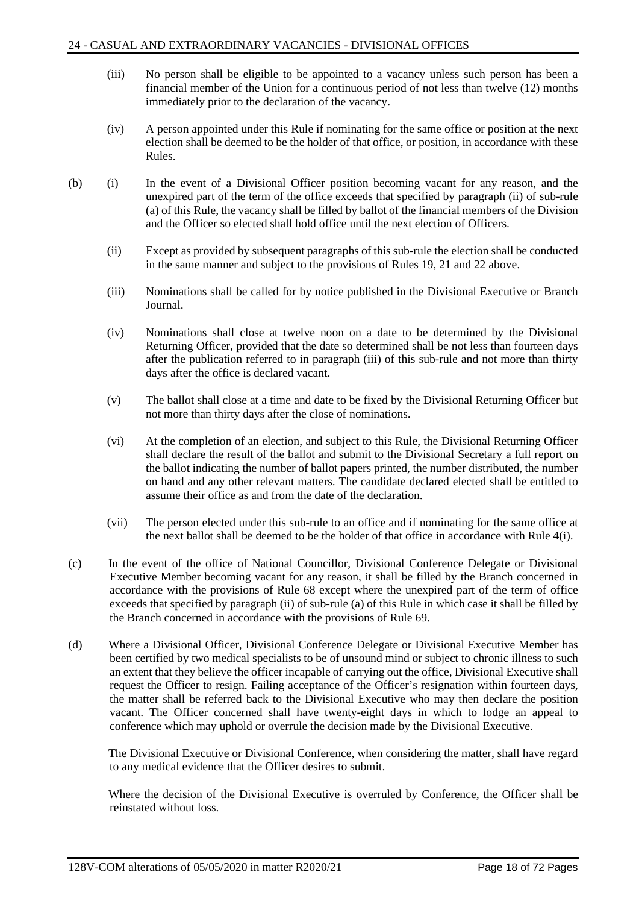- (iii) No person shall be eligible to be appointed to a vacancy unless such person has been a financial member of the Union for a continuous period of not less than twelve (12) months immediately prior to the declaration of the vacancy.
- (iv) A person appointed under this Rule if nominating for the same office or position at the next election shall be deemed to be the holder of that office, or position, in accordance with these Rules.
- (b) (i) In the event of a Divisional Officer position becoming vacant for any reason, and the unexpired part of the term of the office exceeds that specified by paragraph (ii) of sub-rule (a) of this Rule, the vacancy shall be filled by ballot of the financial members of the Division and the Officer so elected shall hold office until the next election of Officers.
	- (ii) Except as provided by subsequent paragraphs of this sub-rule the election shall be conducted in the same manner and subject to the provisions of Rules 19, 21 and 22 above.
	- (iii) Nominations shall be called for by notice published in the Divisional Executive or Branch Journal.
	- (iv) Nominations shall close at twelve noon on a date to be determined by the Divisional Returning Officer, provided that the date so determined shall be not less than fourteen days after the publication referred to in paragraph (iii) of this sub-rule and not more than thirty days after the office is declared vacant.
	- (v) The ballot shall close at a time and date to be fixed by the Divisional Returning Officer but not more than thirty days after the close of nominations.
	- (vi) At the completion of an election, and subject to this Rule, the Divisional Returning Officer shall declare the result of the ballot and submit to the Divisional Secretary a full report on the ballot indicating the number of ballot papers printed, the number distributed, the number on hand and any other relevant matters. The candidate declared elected shall be entitled to assume their office as and from the date of the declaration.
	- (vii) The person elected under this sub-rule to an office and if nominating for the same office at the next ballot shall be deemed to be the holder of that office in accordance with Rule 4(i).
- (c) In the event of the office of National Councillor, Divisional Conference Delegate or Divisional Executive Member becoming vacant for any reason, it shall be filled by the Branch concerned in accordance with the provisions of Rule 68 except where the unexpired part of the term of office exceeds that specified by paragraph (ii) of sub-rule (a) of this Rule in which case it shall be filled by the Branch concerned in accordance with the provisions of Rule 69.
- (d) Where a Divisional Officer, Divisional Conference Delegate or Divisional Executive Member has been certified by two medical specialists to be of unsound mind or subject to chronic illness to such an extent that they believe the officer incapable of carrying out the office, Divisional Executive shall request the Officer to resign. Failing acceptance of the Officer's resignation within fourteen days, the matter shall be referred back to the Divisional Executive who may then declare the position vacant. The Officer concerned shall have twenty-eight days in which to lodge an appeal to conference which may uphold or overrule the decision made by the Divisional Executive.

The Divisional Executive or Divisional Conference, when considering the matter, shall have regard to any medical evidence that the Officer desires to submit.

Where the decision of the Divisional Executive is overruled by Conference, the Officer shall be reinstated without loss.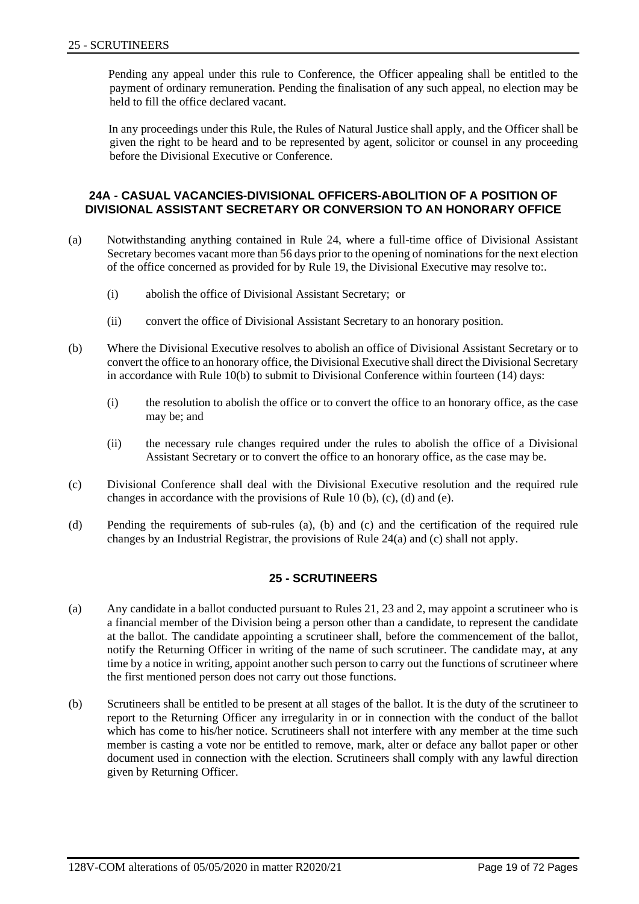Pending any appeal under this rule to Conference, the Officer appealing shall be entitled to the payment of ordinary remuneration. Pending the finalisation of any such appeal, no election may be held to fill the office declared vacant.

In any proceedings under this Rule, the Rules of Natural Justice shall apply, and the Officer shall be given the right to be heard and to be represented by agent, solicitor or counsel in any proceeding before the Divisional Executive or Conference.

#### <span id="page-22-0"></span>**24A - CASUAL VACANCIES-DIVISIONAL OFFICERS-ABOLITION OF A POSITION OF DIVISIONAL ASSISTANT SECRETARY OR CONVERSION TO AN HONORARY OFFICE**

- (a) Notwithstanding anything contained in Rule 24, where a full-time office of Divisional Assistant Secretary becomes vacant more than 56 days prior to the opening of nominations for the next election of the office concerned as provided for by Rule 19, the Divisional Executive may resolve to:.
	- (i) abolish the office of Divisional Assistant Secretary; or
	- (ii) convert the office of Divisional Assistant Secretary to an honorary position.
- (b) Where the Divisional Executive resolves to abolish an office of Divisional Assistant Secretary or to convert the office to an honorary office, the Divisional Executive shall direct the Divisional Secretary in accordance with Rule 10(b) to submit to Divisional Conference within fourteen (14) days:
	- (i) the resolution to abolish the office or to convert the office to an honorary office, as the case may be; and
	- (ii) the necessary rule changes required under the rules to abolish the office of a Divisional Assistant Secretary or to convert the office to an honorary office, as the case may be.
- (c) Divisional Conference shall deal with the Divisional Executive resolution and the required rule changes in accordance with the provisions of Rule 10 (b), (c), (d) and (e).
- <span id="page-22-1"></span>(d) Pending the requirements of sub-rules (a), (b) and (c) and the certification of the required rule changes by an Industrial Registrar, the provisions of Rule 24(a) and (c) shall not apply.

#### **25 - SCRUTINEERS**

- (a) Any candidate in a ballot conducted pursuant to Rules 21, 23 and 2, may appoint a scrutineer who is a financial member of the Division being a person other than a candidate, to represent the candidate at the ballot. The candidate appointing a scrutineer shall, before the commencement of the ballot, notify the Returning Officer in writing of the name of such scrutineer. The candidate may, at any time by a notice in writing, appoint another such person to carry out the functions of scrutineer where the first mentioned person does not carry out those functions.
- (b) Scrutineers shall be entitled to be present at all stages of the ballot. It is the duty of the scrutineer to report to the Returning Officer any irregularity in or in connection with the conduct of the ballot which has come to his/her notice. Scrutineers shall not interfere with any member at the time such member is casting a vote nor be entitled to remove, mark, alter or deface any ballot paper or other document used in connection with the election. Scrutineers shall comply with any lawful direction given by Returning Officer.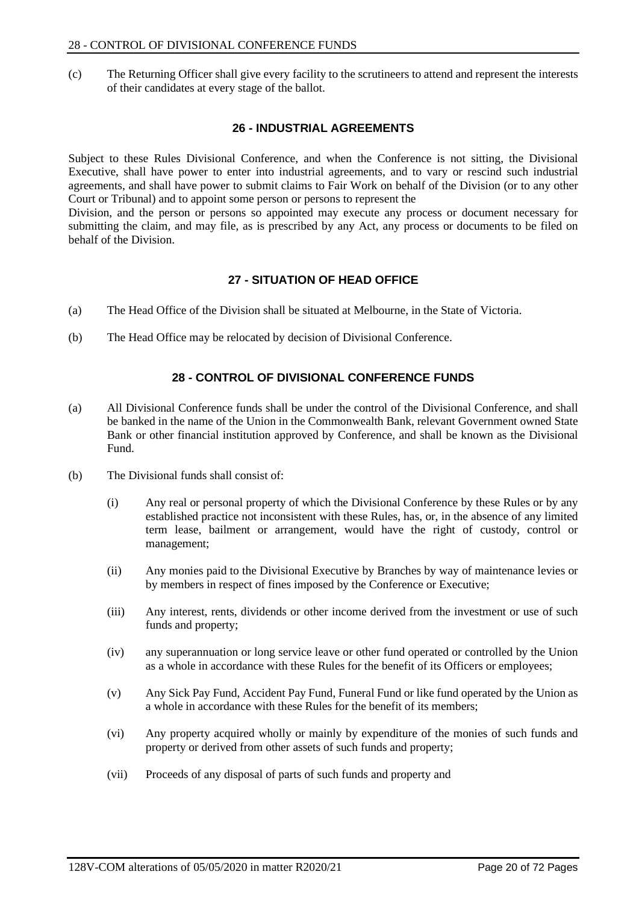<span id="page-23-0"></span>(c) The Returning Officer shall give every facility to the scrutineers to attend and represent the interests of their candidates at every stage of the ballot.

#### **26 - INDUSTRIAL AGREEMENTS**

Subject to these Rules Divisional Conference, and when the Conference is not sitting, the Divisional Executive, shall have power to enter into industrial agreements, and to vary or rescind such industrial agreements, and shall have power to submit claims to Fair Work on behalf of the Division (or to any other Court or Tribunal) and to appoint some person or persons to represent the

Division, and the person or persons so appointed may execute any process or document necessary for submitting the claim, and may file, as is prescribed by any Act, any process or documents to be filed on behalf of the Division.

#### **27 - SITUATION OF HEAD OFFICE**

- <span id="page-23-1"></span>(a) The Head Office of the Division shall be situated at Melbourne, in the State of Victoria.
- <span id="page-23-2"></span>(b) The Head Office may be relocated by decision of Divisional Conference.

#### **28 - CONTROL OF DIVISIONAL CONFERENCE FUNDS**

- (a) All Divisional Conference funds shall be under the control of the Divisional Conference, and shall be banked in the name of the Union in the Commonwealth Bank, relevant Government owned State Bank or other financial institution approved by Conference, and shall be known as the Divisional Fund.
- (b) The Divisional funds shall consist of:
	- (i) Any real or personal property of which the Divisional Conference by these Rules or by any established practice not inconsistent with these Rules, has, or, in the absence of any limited term lease, bailment or arrangement, would have the right of custody, control or management;
	- (ii) Any monies paid to the Divisional Executive by Branches by way of maintenance levies or by members in respect of fines imposed by the Conference or Executive;
	- (iii) Any interest, rents, dividends or other income derived from the investment or use of such funds and property;
	- (iv) any superannuation or long service leave or other fund operated or controlled by the Union as a whole in accordance with these Rules for the benefit of its Officers or employees;
	- (v) Any Sick Pay Fund, Accident Pay Fund, Funeral Fund or like fund operated by the Union as a whole in accordance with these Rules for the benefit of its members;
	- (vi) Any property acquired wholly or mainly by expenditure of the monies of such funds and property or derived from other assets of such funds and property;
	- (vii) Proceeds of any disposal of parts of such funds and property and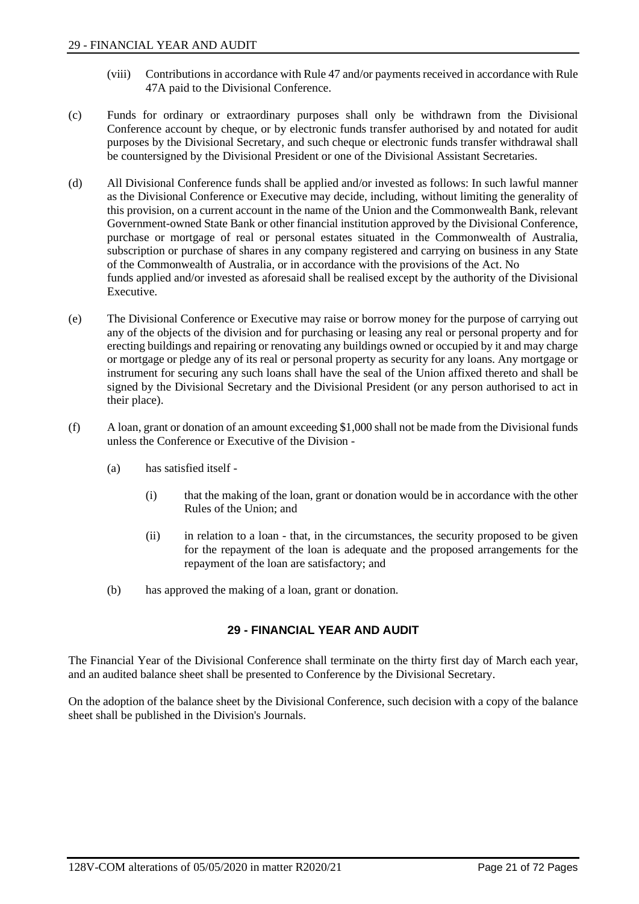- (viii) Contributions in accordance with Rule 47 and/or payments received in accordance with Rule 47A paid to the Divisional Conference.
- (c) Funds for ordinary or extraordinary purposes shall only be withdrawn from the Divisional Conference account by cheque, or by electronic funds transfer authorised by and notated for audit purposes by the Divisional Secretary, and such cheque or electronic funds transfer withdrawal shall be countersigned by the Divisional President or one of the Divisional Assistant Secretaries.
- (d) All Divisional Conference funds shall be applied and/or invested as follows: In such lawful manner as the Divisional Conference or Executive may decide, including, without limiting the generality of this provision, on a current account in the name of the Union and the Commonwealth Bank, relevant Government-owned State Bank or other financial institution approved by the Divisional Conference, purchase or mortgage of real or personal estates situated in the Commonwealth of Australia, subscription or purchase of shares in any company registered and carrying on business in any State of the Commonwealth of Australia, or in accordance with the provisions of the Act. No funds applied and/or invested as aforesaid shall be realised except by the authority of the Divisional Executive.
- (e) The Divisional Conference or Executive may raise or borrow money for the purpose of carrying out any of the objects of the division and for purchasing or leasing any real or personal property and for erecting buildings and repairing or renovating any buildings owned or occupied by it and may charge or mortgage or pledge any of its real or personal property as security for any loans. Any mortgage or instrument for securing any such loans shall have the seal of the Union affixed thereto and shall be signed by the Divisional Secretary and the Divisional President (or any person authorised to act in their place).
- (f) A loan, grant or donation of an amount exceeding \$1,000 shall not be made from the Divisional funds unless the Conference or Executive of the Division -
	- (a) has satisfied itself
		- (i) that the making of the loan, grant or donation would be in accordance with the other Rules of the Union; and
		- (ii) in relation to a loan that, in the circumstances, the security proposed to be given for the repayment of the loan is adequate and the proposed arrangements for the repayment of the loan are satisfactory; and
	- (b) has approved the making of a loan, grant or donation.

# **29 - FINANCIAL YEAR AND AUDIT**

<span id="page-24-0"></span>The Financial Year of the Divisional Conference shall terminate on the thirty first day of March each year, and an audited balance sheet shall be presented to Conference by the Divisional Secretary.

On the adoption of the balance sheet by the Divisional Conference, such decision with a copy of the balance sheet shall be published in the Division's Journals.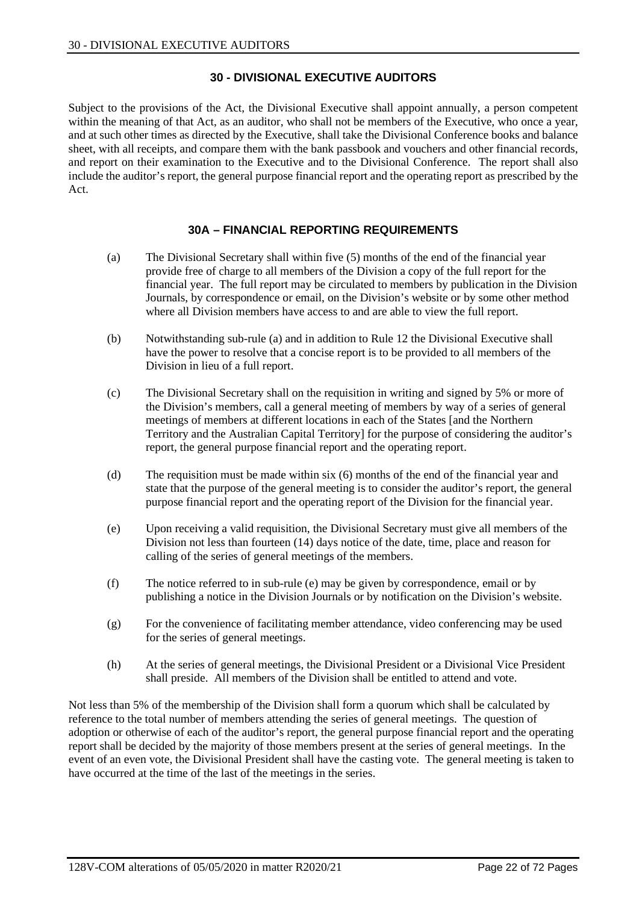#### **30 - DIVISIONAL EXECUTIVE AUDITORS**

<span id="page-25-0"></span>Subject to the provisions of the Act, the Divisional Executive shall appoint annually, a person competent within the meaning of that Act, as an auditor, who shall not be members of the Executive, who once a year, and at such other times as directed by the Executive, shall take the Divisional Conference books and balance sheet, with all receipts, and compare them with the bank passbook and vouchers and other financial records, and report on their examination to the Executive and to the Divisional Conference. The report shall also include the auditor's report, the general purpose financial report and the operating report as prescribed by the Act.

#### **30A – FINANCIAL REPORTING REQUIREMENTS**

- (a) The Divisional Secretary shall within five (5) months of the end of the financial year provide free of charge to all members of the Division a copy of the full report for the financial year. The full report may be circulated to members by publication in the Division Journals, by correspondence or email, on the Division's website or by some other method where all Division members have access to and are able to view the full report.
- (b) Notwithstanding sub-rule (a) and in addition to Rule 12 the Divisional Executive shall have the power to resolve that a concise report is to be provided to all members of the Division in lieu of a full report.
- (c) The Divisional Secretary shall on the requisition in writing and signed by 5% or more of the Division's members, call a general meeting of members by way of a series of general meetings of members at different locations in each of the States [and the Northern Territory and the Australian Capital Territory] for the purpose of considering the auditor's report, the general purpose financial report and the operating report.
- (d) The requisition must be made within six (6) months of the end of the financial year and state that the purpose of the general meeting is to consider the auditor's report, the general purpose financial report and the operating report of the Division for the financial year.
- (e) Upon receiving a valid requisition, the Divisional Secretary must give all members of the Division not less than fourteen (14) days notice of the date, time, place and reason for calling of the series of general meetings of the members.
- (f) The notice referred to in sub-rule (e) may be given by correspondence, email or by publishing a notice in the Division Journals or by notification on the Division's website.
- (g) For the convenience of facilitating member attendance, video conferencing may be used for the series of general meetings.
- (h) At the series of general meetings, the Divisional President or a Divisional Vice President shall preside. All members of the Division shall be entitled to attend and vote.

Not less than 5% of the membership of the Division shall form a quorum which shall be calculated by reference to the total number of members attending the series of general meetings. The question of adoption or otherwise of each of the auditor's report, the general purpose financial report and the operating report shall be decided by the majority of those members present at the series of general meetings. In the event of an even vote, the Divisional President shall have the casting vote. The general meeting is taken to have occurred at the time of the last of the meetings in the series.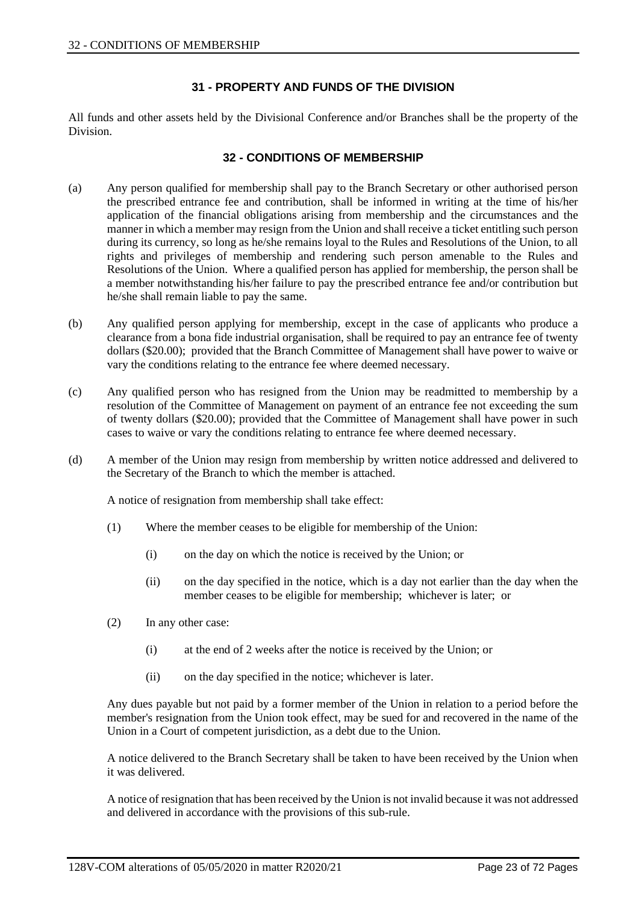#### **31 - PROPERTY AND FUNDS OF THE DIVISION**

<span id="page-26-1"></span><span id="page-26-0"></span>All funds and other assets held by the Divisional Conference and/or Branches shall be the property of the Division.

## **32 - CONDITIONS OF MEMBERSHIP**

- (a) Any person qualified for membership shall pay to the Branch Secretary or other authorised person the prescribed entrance fee and contribution, shall be informed in writing at the time of his/her application of the financial obligations arising from membership and the circumstances and the manner in which a member may resign from the Union and shall receive a ticket entitling such person during its currency, so long as he/she remains loyal to the Rules and Resolutions of the Union, to all rights and privileges of membership and rendering such person amenable to the Rules and Resolutions of the Union. Where a qualified person has applied for membership, the person shall be a member notwithstanding his/her failure to pay the prescribed entrance fee and/or contribution but he/she shall remain liable to pay the same.
- (b) Any qualified person applying for membership, except in the case of applicants who produce a clearance from a bona fide industrial organisation, shall be required to pay an entrance fee of twenty dollars (\$20.00); provided that the Branch Committee of Management shall have power to waive or vary the conditions relating to the entrance fee where deemed necessary.
- (c) Any qualified person who has resigned from the Union may be readmitted to membership by a resolution of the Committee of Management on payment of an entrance fee not exceeding the sum of twenty dollars (\$20.00); provided that the Committee of Management shall have power in such cases to waive or vary the conditions relating to entrance fee where deemed necessary.
- (d) A member of the Union may resign from membership by written notice addressed and delivered to the Secretary of the Branch to which the member is attached.

A notice of resignation from membership shall take effect:

- (1) Where the member ceases to be eligible for membership of the Union:
	- (i) on the day on which the notice is received by the Union; or
	- (ii) on the day specified in the notice, which is a day not earlier than the day when the member ceases to be eligible for membership; whichever is later; or
- (2) In any other case:
	- (i) at the end of 2 weeks after the notice is received by the Union; or
	- (ii) on the day specified in the notice; whichever is later.

Any dues payable but not paid by a former member of the Union in relation to a period before the member's resignation from the Union took effect, may be sued for and recovered in the name of the Union in a Court of competent jurisdiction, as a debt due to the Union.

A notice delivered to the Branch Secretary shall be taken to have been received by the Union when it was delivered.

A notice of resignation that has been received by the Union is not invalid because it was not addressed and delivered in accordance with the provisions of this sub-rule.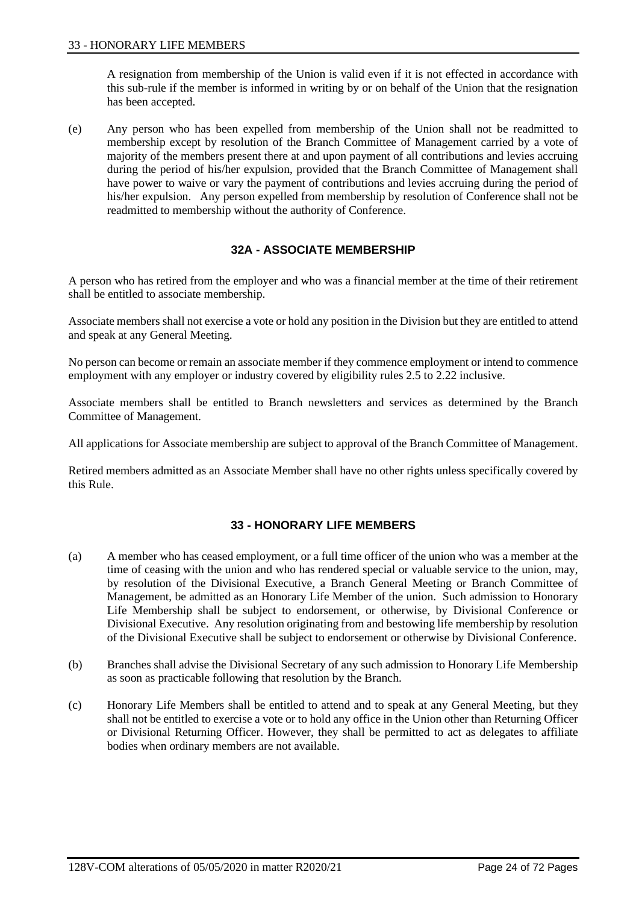A resignation from membership of the Union is valid even if it is not effected in accordance with this sub-rule if the member is informed in writing by or on behalf of the Union that the resignation has been accepted.

(e) Any person who has been expelled from membership of the Union shall not be readmitted to membership except by resolution of the Branch Committee of Management carried by a vote of majority of the members present there at and upon payment of all contributions and levies accruing during the period of his/her expulsion, provided that the Branch Committee of Management shall have power to waive or vary the payment of contributions and levies accruing during the period of his/her expulsion. Any person expelled from membership by resolution of Conference shall not be readmitted to membership without the authority of Conference.

# **32A - ASSOCIATE MEMBERSHIP**

<span id="page-27-0"></span>A person who has retired from the employer and who was a financial member at the time of their retirement shall be entitled to associate membership.

Associate members shall not exercise a vote or hold any position in the Division but they are entitled to attend and speak at any General Meeting.

No person can become or remain an associate member if they commence employment or intend to commence employment with any employer or industry covered by eligibility rules 2.5 to 2.22 inclusive.

Associate members shall be entitled to Branch newsletters and services as determined by the Branch Committee of Management.

All applications for Associate membership are subject to approval of the Branch Committee of Management.

<span id="page-27-1"></span>Retired members admitted as an Associate Member shall have no other rights unless specifically covered by this Rule.

# **33 - HONORARY LIFE MEMBERS**

- (a) A member who has ceased employment, or a full time officer of the union who was a member at the time of ceasing with the union and who has rendered special or valuable service to the union, may, by resolution of the Divisional Executive, a Branch General Meeting or Branch Committee of Management, be admitted as an Honorary Life Member of the union. Such admission to Honorary Life Membership shall be subject to endorsement, or otherwise, by Divisional Conference or Divisional Executive. Any resolution originating from and bestowing life membership by resolution of the Divisional Executive shall be subject to endorsement or otherwise by Divisional Conference.
- (b) Branches shall advise the Divisional Secretary of any such admission to Honorary Life Membership as soon as practicable following that resolution by the Branch.
- (c) Honorary Life Members shall be entitled to attend and to speak at any General Meeting, but they shall not be entitled to exercise a vote or to hold any office in the Union other than Returning Officer or Divisional Returning Officer. However, they shall be permitted to act as delegates to affiliate bodies when ordinary members are not available.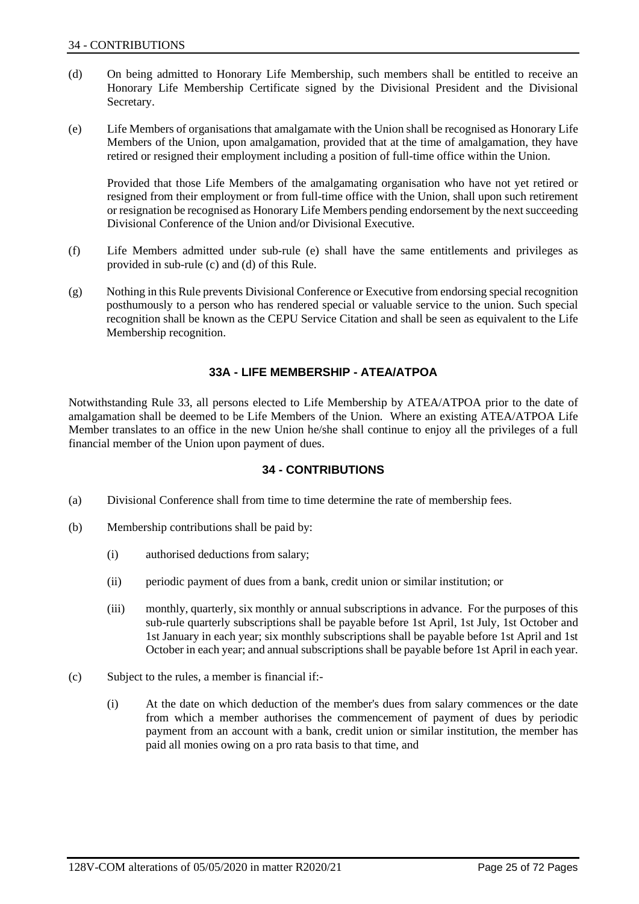- (d) On being admitted to Honorary Life Membership, such members shall be entitled to receive an Honorary Life Membership Certificate signed by the Divisional President and the Divisional Secretary.
- (e) Life Members of organisations that amalgamate with the Union shall be recognised as Honorary Life Members of the Union, upon amalgamation, provided that at the time of amalgamation, they have retired or resigned their employment including a position of full-time office within the Union.

Provided that those Life Members of the amalgamating organisation who have not yet retired or resigned from their employment or from full-time office with the Union, shall upon such retirement or resignation be recognised as Honorary Life Members pending endorsement by the next succeeding Divisional Conference of the Union and/or Divisional Executive.

- (f) Life Members admitted under sub-rule (e) shall have the same entitlements and privileges as provided in sub-rule (c) and (d) of this Rule.
- (g) Nothing in this Rule prevents Divisional Conference or Executive from endorsing special recognition posthumously to a person who has rendered special or valuable service to the union. Such special recognition shall be known as the CEPU Service Citation and shall be seen as equivalent to the Life Membership recognition.

## **33A - LIFE MEMBERSHIP - ATEA/ATPOA**

<span id="page-28-0"></span>Notwithstanding Rule 33, all persons elected to Life Membership by ATEA/ATPOA prior to the date of amalgamation shall be deemed to be Life Members of the Union. Where an existing ATEA/ATPOA Life Member translates to an office in the new Union he/she shall continue to enjoy all the privileges of a full financial member of the Union upon payment of dues.

#### **34 - CONTRIBUTIONS**

- <span id="page-28-1"></span>(a) Divisional Conference shall from time to time determine the rate of membership fees.
- (b) Membership contributions shall be paid by:
	- (i) authorised deductions from salary;
	- (ii) periodic payment of dues from a bank, credit union or similar institution; or
	- (iii) monthly, quarterly, six monthly or annual subscriptions in advance. For the purposes of this sub-rule quarterly subscriptions shall be payable before 1st April, 1st July, 1st October and 1st January in each year; six monthly subscriptions shall be payable before 1st April and 1st October in each year; and annual subscriptions shall be payable before 1st April in each year.
- (c) Subject to the rules, a member is financial if:-
	- (i) At the date on which deduction of the member's dues from salary commences or the date from which a member authorises the commencement of payment of dues by periodic payment from an account with a bank, credit union or similar institution, the member has paid all monies owing on a pro rata basis to that time, and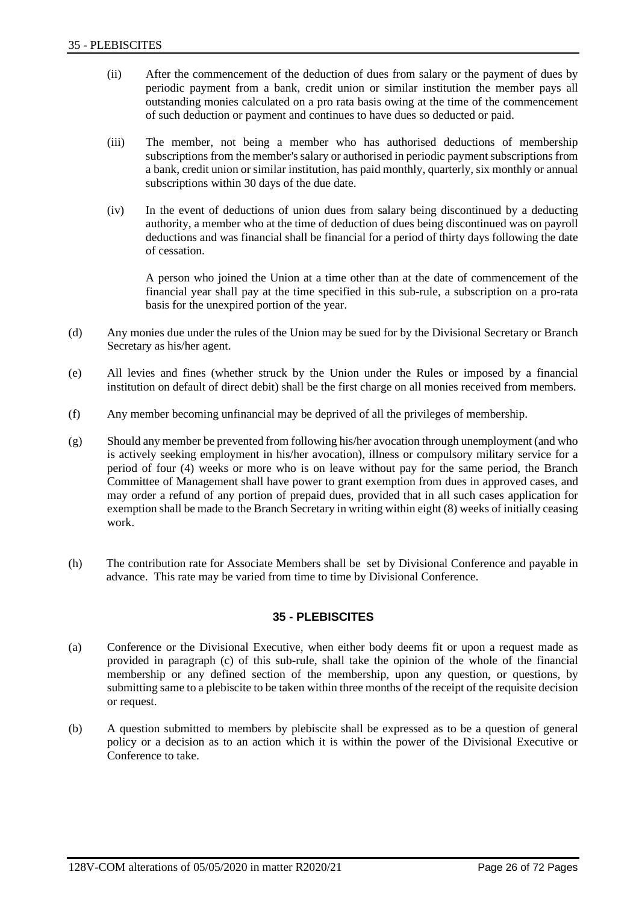- (ii) After the commencement of the deduction of dues from salary or the payment of dues by periodic payment from a bank, credit union or similar institution the member pays all outstanding monies calculated on a pro rata basis owing at the time of the commencement of such deduction or payment and continues to have dues so deducted or paid.
- (iii) The member, not being a member who has authorised deductions of membership subscriptions from the member's salary or authorised in periodic payment subscriptions from a bank, credit union or similar institution, has paid monthly, quarterly, six monthly or annual subscriptions within 30 days of the due date.
- (iv) In the event of deductions of union dues from salary being discontinued by a deducting authority, a member who at the time of deduction of dues being discontinued was on payroll deductions and was financial shall be financial for a period of thirty days following the date of cessation.

A person who joined the Union at a time other than at the date of commencement of the financial year shall pay at the time specified in this sub-rule, a subscription on a pro-rata basis for the unexpired portion of the year.

- (d) Any monies due under the rules of the Union may be sued for by the Divisional Secretary or Branch Secretary as his/her agent.
- (e) All levies and fines (whether struck by the Union under the Rules or imposed by a financial institution on default of direct debit) shall be the first charge on all monies received from members.
- (f) Any member becoming unfinancial may be deprived of all the privileges of membership.
- (g) Should any member be prevented from following his/her avocation through unemployment (and who is actively seeking employment in his/her avocation), illness or compulsory military service for a period of four (4) weeks or more who is on leave without pay for the same period, the Branch Committee of Management shall have power to grant exemption from dues in approved cases, and may order a refund of any portion of prepaid dues, provided that in all such cases application for exemption shall be made to the Branch Secretary in writing within eight (8) weeks of initially ceasing work.
- <span id="page-29-0"></span>(h) The contribution rate for Associate Members shall be set by Divisional Conference and payable in advance. This rate may be varied from time to time by Divisional Conference.

#### **35 - PLEBISCITES**

- (a) Conference or the Divisional Executive, when either body deems fit or upon a request made as provided in paragraph (c) of this sub-rule, shall take the opinion of the whole of the financial membership or any defined section of the membership, upon any question, or questions, by submitting same to a plebiscite to be taken within three months of the receipt of the requisite decision or request.
- (b) A question submitted to members by plebiscite shall be expressed as to be a question of general policy or a decision as to an action which it is within the power of the Divisional Executive or Conference to take.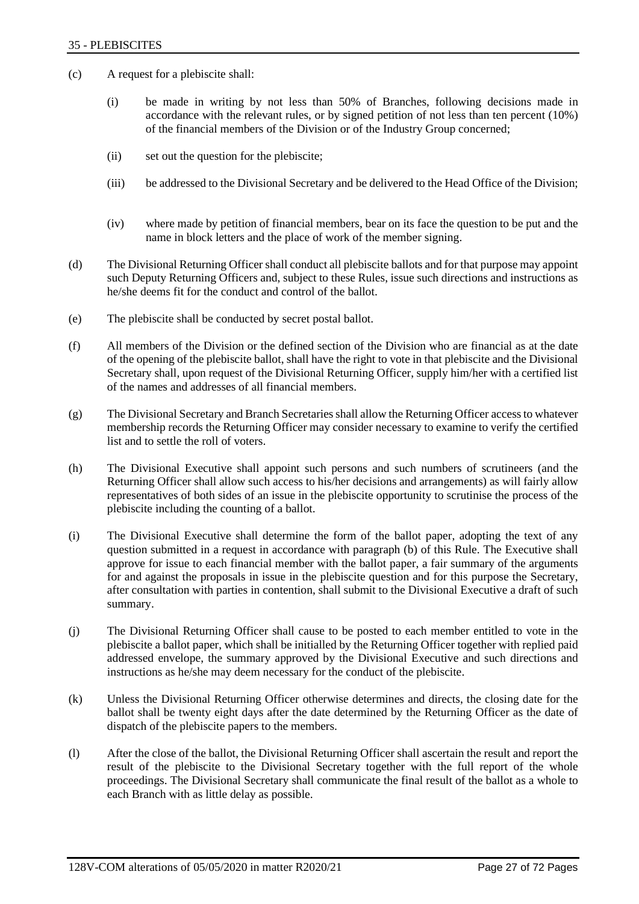- (c) A request for a plebiscite shall:
	- (i) be made in writing by not less than 50% of Branches, following decisions made in accordance with the relevant rules, or by signed petition of not less than ten percent (10%) of the financial members of the Division or of the Industry Group concerned;
	- (ii) set out the question for the plebiscite;
	- (iii) be addressed to the Divisional Secretary and be delivered to the Head Office of the Division;
	- (iv) where made by petition of financial members, bear on its face the question to be put and the name in block letters and the place of work of the member signing.
- (d) The Divisional Returning Officer shall conduct all plebiscite ballots and for that purpose may appoint such Deputy Returning Officers and, subject to these Rules, issue such directions and instructions as he/she deems fit for the conduct and control of the ballot.
- (e) The plebiscite shall be conducted by secret postal ballot.
- (f) All members of the Division or the defined section of the Division who are financial as at the date of the opening of the plebiscite ballot, shall have the right to vote in that plebiscite and the Divisional Secretary shall, upon request of the Divisional Returning Officer, supply him/her with a certified list of the names and addresses of all financial members.
- (g) The Divisional Secretary and Branch Secretaries shall allow the Returning Officer access to whatever membership records the Returning Officer may consider necessary to examine to verify the certified list and to settle the roll of voters.
- (h) The Divisional Executive shall appoint such persons and such numbers of scrutineers (and the Returning Officer shall allow such access to his/her decisions and arrangements) as will fairly allow representatives of both sides of an issue in the plebiscite opportunity to scrutinise the process of the plebiscite including the counting of a ballot.
- (i) The Divisional Executive shall determine the form of the ballot paper, adopting the text of any question submitted in a request in accordance with paragraph (b) of this Rule. The Executive shall approve for issue to each financial member with the ballot paper, a fair summary of the arguments for and against the proposals in issue in the plebiscite question and for this purpose the Secretary, after consultation with parties in contention, shall submit to the Divisional Executive a draft of such summary.
- (j) The Divisional Returning Officer shall cause to be posted to each member entitled to vote in the plebiscite a ballot paper, which shall be initialled by the Returning Officer together with replied paid addressed envelope, the summary approved by the Divisional Executive and such directions and instructions as he/she may deem necessary for the conduct of the plebiscite.
- (k) Unless the Divisional Returning Officer otherwise determines and directs, the closing date for the ballot shall be twenty eight days after the date determined by the Returning Officer as the date of dispatch of the plebiscite papers to the members.
- (l) After the close of the ballot, the Divisional Returning Officer shall ascertain the result and report the result of the plebiscite to the Divisional Secretary together with the full report of the whole proceedings. The Divisional Secretary shall communicate the final result of the ballot as a whole to each Branch with as little delay as possible.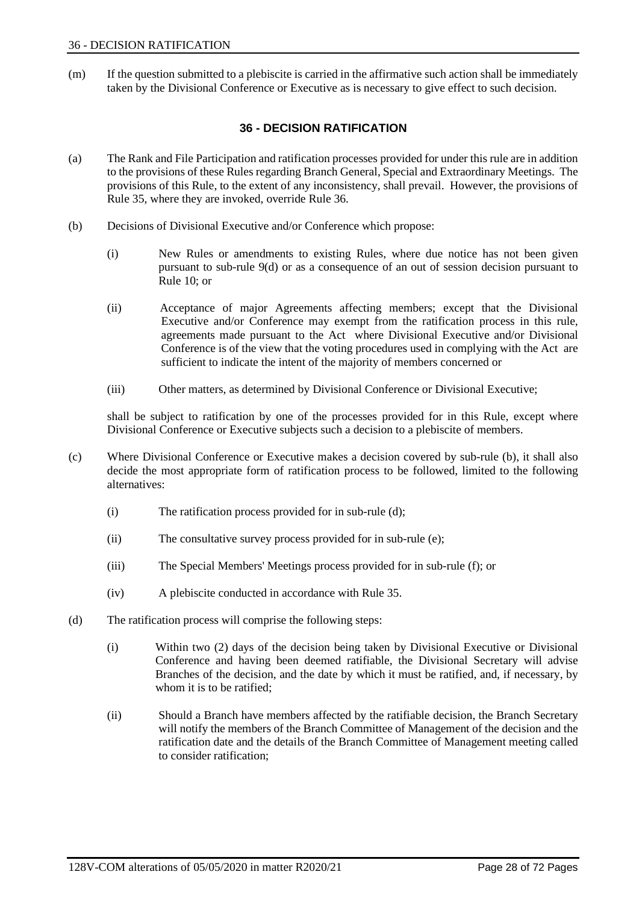<span id="page-31-0"></span>(m) If the question submitted to a plebiscite is carried in the affirmative such action shall be immediately taken by the Divisional Conference or Executive as is necessary to give effect to such decision.

## **36 - DECISION RATIFICATION**

- (a) The Rank and File Participation and ratification processes provided for under this rule are in addition to the provisions of these Rules regarding Branch General, Special and Extraordinary Meetings. The provisions of this Rule, to the extent of any inconsistency, shall prevail. However, the provisions of Rule 35, where they are invoked, override Rule 36.
- (b) Decisions of Divisional Executive and/or Conference which propose:
	- (i) New Rules or amendments to existing Rules, where due notice has not been given pursuant to sub-rule 9(d) or as a consequence of an out of session decision pursuant to Rule 10; or
	- (ii) Acceptance of major Agreements affecting members; except that the Divisional Executive and/or Conference may exempt from the ratification process in this rule, agreements made pursuant to the Act where Divisional Executive and/or Divisional Conference is of the view that the voting procedures used in complying with the Act are sufficient to indicate the intent of the majority of members concerned or
	- (iii) Other matters, as determined by Divisional Conference or Divisional Executive;

shall be subject to ratification by one of the processes provided for in this Rule, except where Divisional Conference or Executive subjects such a decision to a plebiscite of members.

- (c) Where Divisional Conference or Executive makes a decision covered by sub-rule (b), it shall also decide the most appropriate form of ratification process to be followed, limited to the following alternatives:
	- (i) The ratification process provided for in sub-rule (d);
	- (ii) The consultative survey process provided for in sub-rule (e);
	- (iii) The Special Members' Meetings process provided for in sub-rule (f); or
	- (iv) A plebiscite conducted in accordance with Rule 35.
- (d) The ratification process will comprise the following steps:
	- (i) Within two (2) days of the decision being taken by Divisional Executive or Divisional Conference and having been deemed ratifiable, the Divisional Secretary will advise Branches of the decision, and the date by which it must be ratified, and, if necessary, by whom it is to be ratified;
	- (ii) Should a Branch have members affected by the ratifiable decision, the Branch Secretary will notify the members of the Branch Committee of Management of the decision and the ratification date and the details of the Branch Committee of Management meeting called to consider ratification;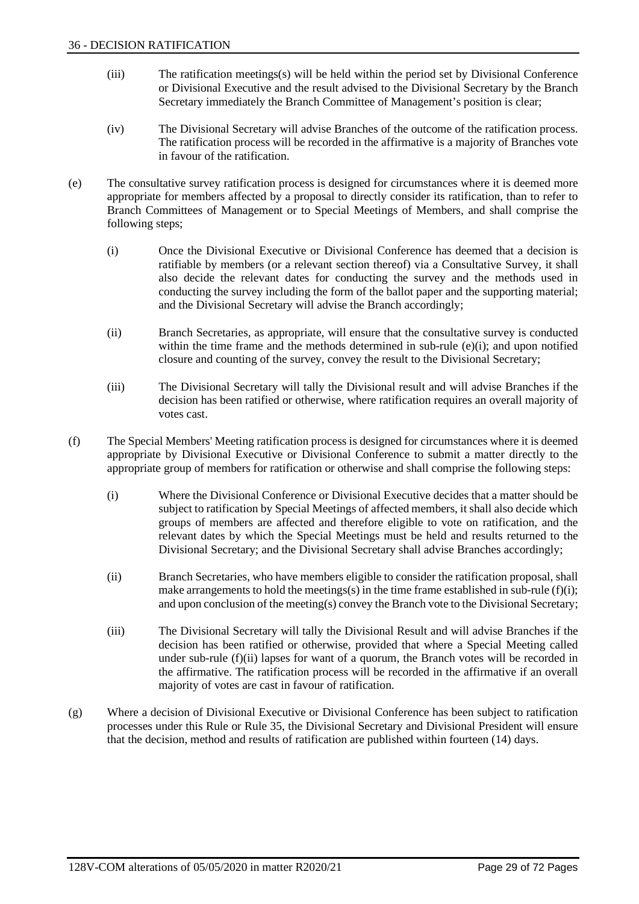- (iii) The ratification meetings(s) will be held within the period set by Divisional Conference or Divisional Executive and the result advised to the Divisional Secretary by the Branch Secretary immediately the Branch Committee of Management's position is clear;
- (iv) The Divisional Secretary will advise Branches of the outcome of the ratification process. The ratification process will be recorded in the affirmative is a majority of Branches vote in favour of the ratification.
- (e) The consultative survey ratification process is designed for circumstances where it is deemed more appropriate for members affected by a proposal to directly consider its ratification, than to refer to Branch Committees of Management or to Special Meetings of Members, and shall comprise the following steps;
	- (i) Once the Divisional Executive or Divisional Conference has deemed that a decision is ratifiable by members (or a relevant section thereof) via a Consultative Survey, it shall also decide the relevant dates for conducting the survey and the methods used in conducting the survey including the form of the ballot paper and the supporting material; and the Divisional Secretary will advise the Branch accordingly;
	- (ii) Branch Secretaries, as appropriate, will ensure that the consultative survey is conducted within the time frame and the methods determined in sub-rule  $(e)(i)$ ; and upon notified closure and counting of the survey, convey the result to the Divisional Secretary;
	- (iii) The Divisional Secretary will tally the Divisional result and will advise Branches if the decision has been ratified or otherwise, where ratification requires an overall majority of votes cast.
- (f) The Special Members' Meeting ratification process is designed for circumstances where it is deemed appropriate by Divisional Executive or Divisional Conference to submit a matter directly to the appropriate group of members for ratification or otherwise and shall comprise the following steps:
	- (i) Where the Divisional Conference or Divisional Executive decides that a matter should be subject to ratification by Special Meetings of affected members, it shall also decide which groups of members are affected and therefore eligible to vote on ratification, and the relevant dates by which the Special Meetings must be held and results returned to the Divisional Secretary; and the Divisional Secretary shall advise Branches accordingly;
	- (ii) Branch Secretaries, who have members eligible to consider the ratification proposal, shall make arrangements to hold the meetings(s) in the time frame established in sub-rule (f)(i); and upon conclusion of the meeting(s) convey the Branch vote to the Divisional Secretary;
	- (iii) The Divisional Secretary will tally the Divisional Result and will advise Branches if the decision has been ratified or otherwise, provided that where a Special Meeting called under sub-rule (f)(ii) lapses for want of a quorum, the Branch votes will be recorded in the affirmative. The ratification process will be recorded in the affirmative if an overall majority of votes are cast in favour of ratification.
- (g) Where a decision of Divisional Executive or Divisional Conference has been subject to ratification processes under this Rule or Rule 35, the Divisional Secretary and Divisional President will ensure that the decision, method and results of ratification are published within fourteen (14) days.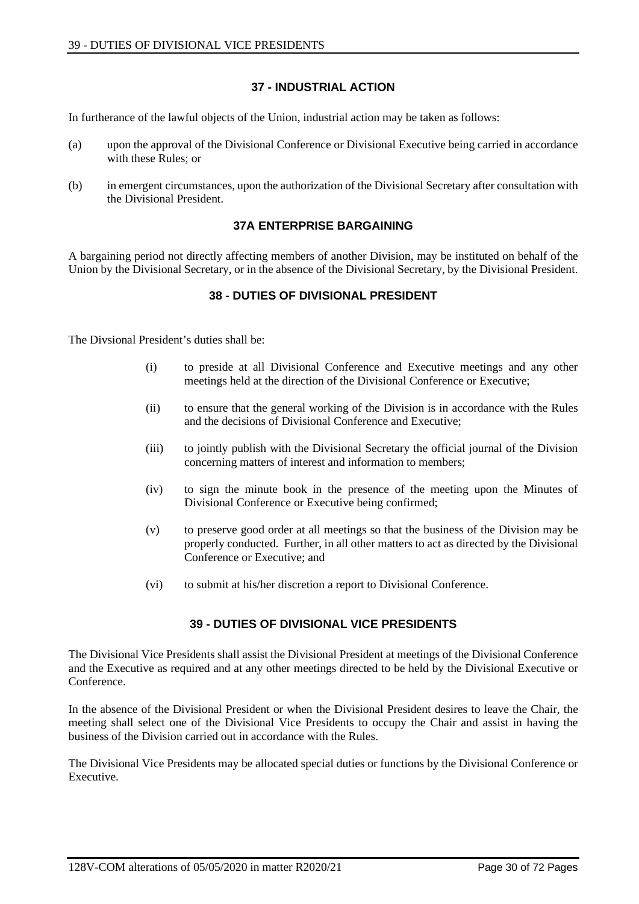#### **37 - INDUSTRIAL ACTION**

<span id="page-33-0"></span>In furtherance of the lawful objects of the Union, industrial action may be taken as follows:

- (a) upon the approval of the Divisional Conference or Divisional Executive being carried in accordance with these Rules; or
- <span id="page-33-1"></span>(b) in emergent circumstances, upon the authorization of the Divisional Secretary after consultation with the Divisional President.

#### **37A ENTERPRISE BARGAINING**

<span id="page-33-2"></span>A bargaining period not directly affecting members of another Division, may be instituted on behalf of the Union by the Divisional Secretary, or in the absence of the Divisional Secretary, by the Divisional President.

#### **38 - DUTIES OF DIVISIONAL PRESIDENT**

The Divsional President's duties shall be:

- (i) to preside at all Divisional Conference and Executive meetings and any other meetings held at the direction of the Divisional Conference or Executive;
- (ii) to ensure that the general working of the Division is in accordance with the Rules and the decisions of Divisional Conference and Executive;
- (iii) to jointly publish with the Divisional Secretary the official journal of the Division concerning matters of interest and information to members;
- (iv) to sign the minute book in the presence of the meeting upon the Minutes of Divisional Conference or Executive being confirmed;
- (v) to preserve good order at all meetings so that the business of the Division may be properly conducted. Further, in all other matters to act as directed by the Divisional Conference or Executive; and
- (vi) to submit at his/her discretion a report to Divisional Conference.

#### **39 - DUTIES OF DIVISIONAL VICE PRESIDENTS**

<span id="page-33-3"></span>The Divisional Vice Presidents shall assist the Divisional President at meetings of the Divisional Conference and the Executive as required and at any other meetings directed to be held by the Divisional Executive or Conference.

In the absence of the Divisional President or when the Divisional President desires to leave the Chair, the meeting shall select one of the Divisional Vice Presidents to occupy the Chair and assist in having the business of the Division carried out in accordance with the Rules.

The Divisional Vice Presidents may be allocated special duties or functions by the Divisional Conference or Executive.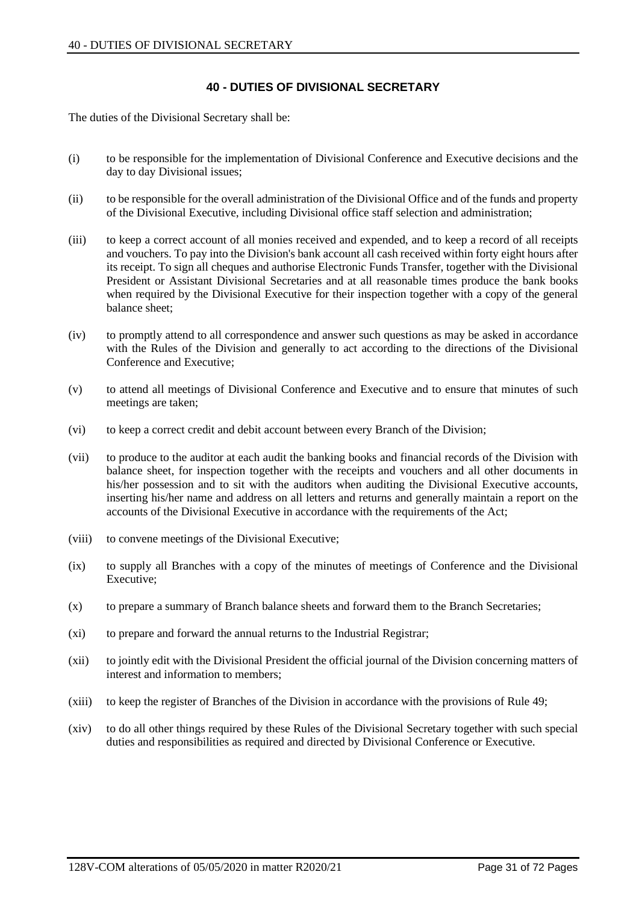#### **40 - DUTIES OF DIVISIONAL SECRETARY**

<span id="page-34-0"></span>The duties of the Divisional Secretary shall be:

- (i) to be responsible for the implementation of Divisional Conference and Executive decisions and the day to day Divisional issues;
- (ii) to be responsible for the overall administration of the Divisional Office and of the funds and property of the Divisional Executive, including Divisional office staff selection and administration;
- (iii) to keep a correct account of all monies received and expended, and to keep a record of all receipts and vouchers. To pay into the Division's bank account all cash received within forty eight hours after its receipt. To sign all cheques and authorise Electronic Funds Transfer, together with the Divisional President or Assistant Divisional Secretaries and at all reasonable times produce the bank books when required by the Divisional Executive for their inspection together with a copy of the general balance sheet;
- (iv) to promptly attend to all correspondence and answer such questions as may be asked in accordance with the Rules of the Division and generally to act according to the directions of the Divisional Conference and Executive;
- (v) to attend all meetings of Divisional Conference and Executive and to ensure that minutes of such meetings are taken;
- (vi) to keep a correct credit and debit account between every Branch of the Division;
- (vii) to produce to the auditor at each audit the banking books and financial records of the Division with balance sheet, for inspection together with the receipts and vouchers and all other documents in his/her possession and to sit with the auditors when auditing the Divisional Executive accounts, inserting his/her name and address on all letters and returns and generally maintain a report on the accounts of the Divisional Executive in accordance with the requirements of the Act;
- (viii) to convene meetings of the Divisional Executive;
- (ix) to supply all Branches with a copy of the minutes of meetings of Conference and the Divisional Executive;
- (x) to prepare a summary of Branch balance sheets and forward them to the Branch Secretaries;
- (xi) to prepare and forward the annual returns to the Industrial Registrar;
- (xii) to jointly edit with the Divisional President the official journal of the Division concerning matters of interest and information to members;
- (xiii) to keep the register of Branches of the Division in accordance with the provisions of Rule 49;
- (xiv) to do all other things required by these Rules of the Divisional Secretary together with such special duties and responsibilities as required and directed by Divisional Conference or Executive.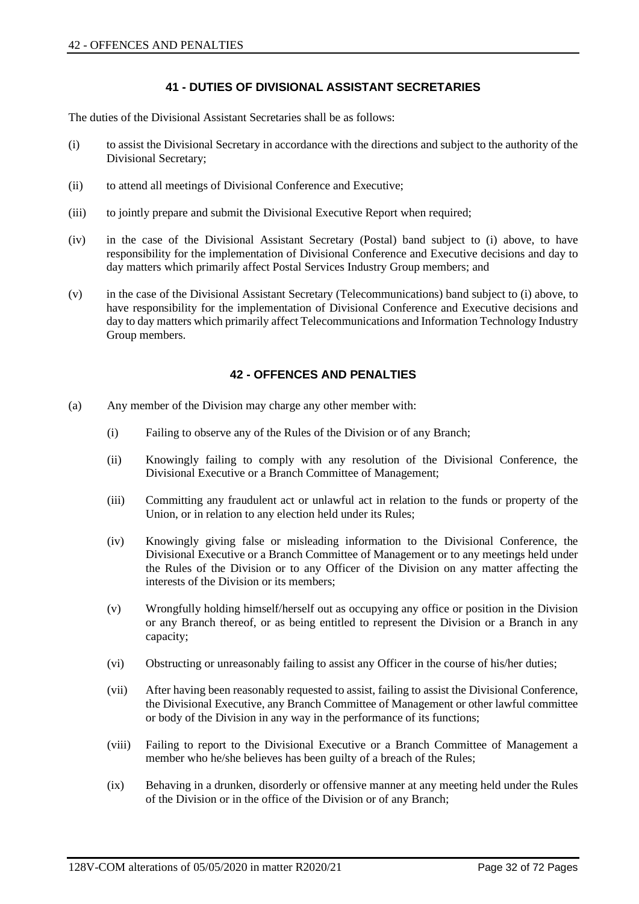## **41 - DUTIES OF DIVISIONAL ASSISTANT SECRETARIES**

<span id="page-35-0"></span>The duties of the Divisional Assistant Secretaries shall be as follows:

- (i) to assist the Divisional Secretary in accordance with the directions and subject to the authority of the Divisional Secretary;
- (ii) to attend all meetings of Divisional Conference and Executive;
- (iii) to jointly prepare and submit the Divisional Executive Report when required;
- (iv) in the case of the Divisional Assistant Secretary (Postal) band subject to (i) above, to have responsibility for the implementation of Divisional Conference and Executive decisions and day to day matters which primarily affect Postal Services Industry Group members; and
- (v) in the case of the Divisional Assistant Secretary (Telecommunications) band subject to (i) above, to have responsibility for the implementation of Divisional Conference and Executive decisions and day to day matters which primarily affect Telecommunications and Information Technology Industry Group members.

#### **42 - OFFENCES AND PENALTIES**

- <span id="page-35-1"></span>(a) Any member of the Division may charge any other member with:
	- (i) Failing to observe any of the Rules of the Division or of any Branch;
	- (ii) Knowingly failing to comply with any resolution of the Divisional Conference, the Divisional Executive or a Branch Committee of Management;
	- (iii) Committing any fraudulent act or unlawful act in relation to the funds or property of the Union, or in relation to any election held under its Rules;
	- (iv) Knowingly giving false or misleading information to the Divisional Conference, the Divisional Executive or a Branch Committee of Management or to any meetings held under the Rules of the Division or to any Officer of the Division on any matter affecting the interests of the Division or its members;
	- (v) Wrongfully holding himself/herself out as occupying any office or position in the Division or any Branch thereof, or as being entitled to represent the Division or a Branch in any capacity;
	- (vi) Obstructing or unreasonably failing to assist any Officer in the course of his/her duties;
	- (vii) After having been reasonably requested to assist, failing to assist the Divisional Conference, the Divisional Executive, any Branch Committee of Management or other lawful committee or body of the Division in any way in the performance of its functions;
	- (viii) Failing to report to the Divisional Executive or a Branch Committee of Management a member who he/she believes has been guilty of a breach of the Rules;
	- (ix) Behaving in a drunken, disorderly or offensive manner at any meeting held under the Rules of the Division or in the office of the Division or of any Branch;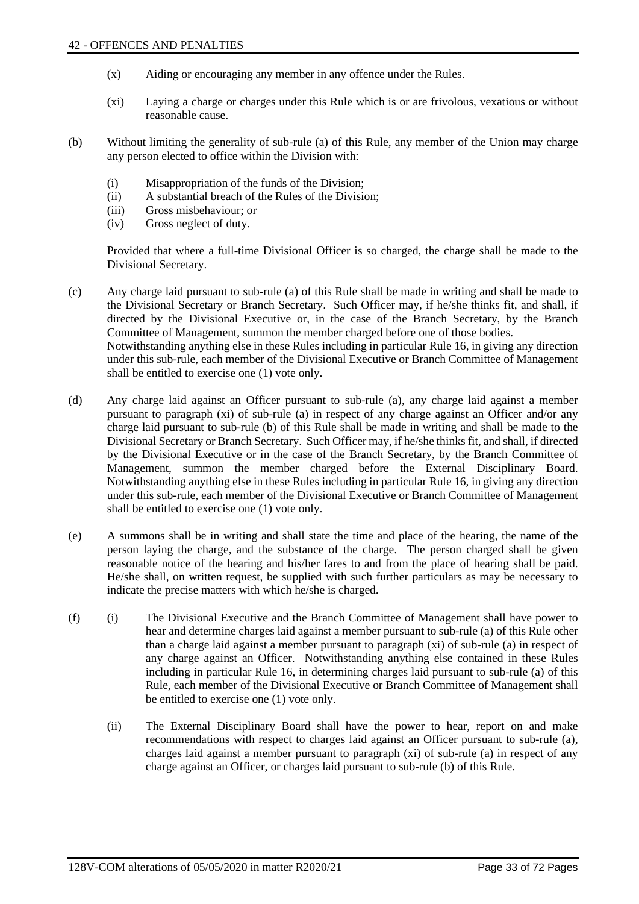- (x) Aiding or encouraging any member in any offence under the Rules.
- (xi) Laying a charge or charges under this Rule which is or are frivolous, vexatious or without reasonable cause.
- (b) Without limiting the generality of sub-rule (a) of this Rule, any member of the Union may charge any person elected to office within the Division with:
	- (i) Misappropriation of the funds of the Division;
	- (ii) A substantial breach of the Rules of the Division;
	- (iii) Gross misbehaviour; or
	- (iv) Gross neglect of duty.

Provided that where a full-time Divisional Officer is so charged, the charge shall be made to the Divisional Secretary.

- (c) Any charge laid pursuant to sub-rule (a) of this Rule shall be made in writing and shall be made to the Divisional Secretary or Branch Secretary. Such Officer may, if he/she thinks fit, and shall, if directed by the Divisional Executive or, in the case of the Branch Secretary, by the Branch Committee of Management, summon the member charged before one of those bodies. Notwithstanding anything else in these Rules including in particular Rule 16, in giving any direction under this sub-rule, each member of the Divisional Executive or Branch Committee of Management shall be entitled to exercise one (1) vote only.
- (d) Any charge laid against an Officer pursuant to sub-rule (a), any charge laid against a member pursuant to paragraph (xi) of sub-rule (a) in respect of any charge against an Officer and/or any charge laid pursuant to sub-rule (b) of this Rule shall be made in writing and shall be made to the Divisional Secretary or Branch Secretary. Such Officer may, if he/she thinks fit, and shall, if directed by the Divisional Executive or in the case of the Branch Secretary, by the Branch Committee of Management, summon the member charged before the External Disciplinary Board. Notwithstanding anything else in these Rules including in particular Rule 16, in giving any direction under this sub-rule, each member of the Divisional Executive or Branch Committee of Management shall be entitled to exercise one (1) vote only.
- (e) A summons shall be in writing and shall state the time and place of the hearing, the name of the person laying the charge, and the substance of the charge. The person charged shall be given reasonable notice of the hearing and his/her fares to and from the place of hearing shall be paid. He/she shall, on written request, be supplied with such further particulars as may be necessary to indicate the precise matters with which he/she is charged.
- (f) (i) The Divisional Executive and the Branch Committee of Management shall have power to hear and determine charges laid against a member pursuant to sub-rule (a) of this Rule other than a charge laid against a member pursuant to paragraph (xi) of sub-rule (a) in respect of any charge against an Officer. Notwithstanding anything else contained in these Rules including in particular Rule 16, in determining charges laid pursuant to sub-rule (a) of this Rule, each member of the Divisional Executive or Branch Committee of Management shall be entitled to exercise one (1) vote only.
	- (ii) The External Disciplinary Board shall have the power to hear, report on and make recommendations with respect to charges laid against an Officer pursuant to sub-rule (a), charges laid against a member pursuant to paragraph (xi) of sub-rule (a) in respect of any charge against an Officer, or charges laid pursuant to sub-rule (b) of this Rule.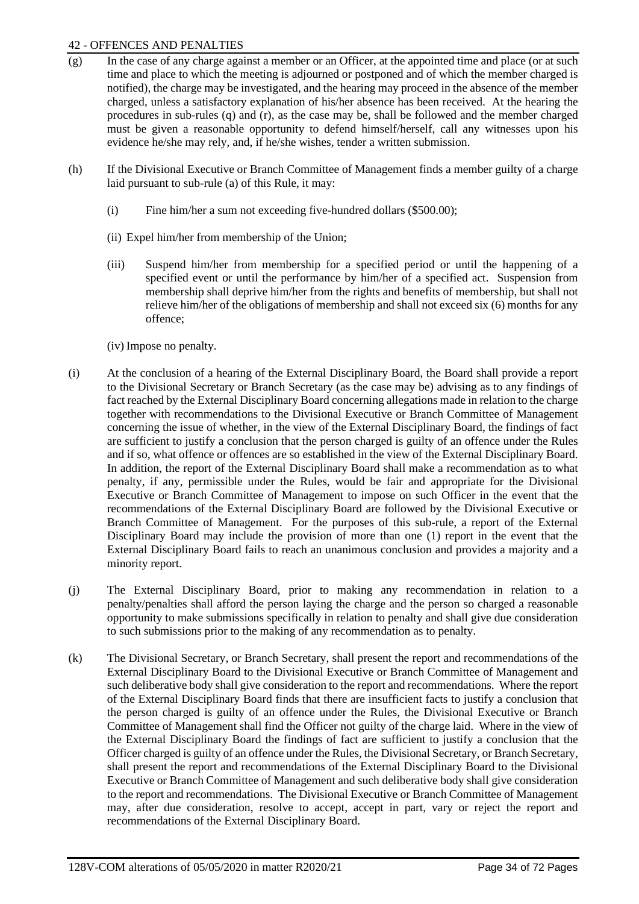#### 42 - OFFENCES AND PENALTIES

- (g) In the case of any charge against a member or an Officer, at the appointed time and place (or at such time and place to which the meeting is adjourned or postponed and of which the member charged is notified), the charge may be investigated, and the hearing may proceed in the absence of the member charged, unless a satisfactory explanation of his/her absence has been received. At the hearing the procedures in sub-rules (q) and (r), as the case may be, shall be followed and the member charged must be given a reasonable opportunity to defend himself/herself, call any witnesses upon his evidence he/she may rely, and, if he/she wishes, tender a written submission.
- (h) If the Divisional Executive or Branch Committee of Management finds a member guilty of a charge laid pursuant to sub-rule (a) of this Rule, it may:
	- (i) Fine him/her a sum not exceeding five-hundred dollars (\$500.00);
	- (ii) Expel him/her from membership of the Union;
	- (iii) Suspend him/her from membership for a specified period or until the happening of a specified event or until the performance by him/her of a specified act. Suspension from membership shall deprive him/her from the rights and benefits of membership, but shall not relieve him/her of the obligations of membership and shall not exceed six (6) months for any offence;
	- (iv) Impose no penalty.
- (i) At the conclusion of a hearing of the External Disciplinary Board, the Board shall provide a report to the Divisional Secretary or Branch Secretary (as the case may be) advising as to any findings of fact reached by the External Disciplinary Board concerning allegations made in relation to the charge together with recommendations to the Divisional Executive or Branch Committee of Management concerning the issue of whether, in the view of the External Disciplinary Board, the findings of fact are sufficient to justify a conclusion that the person charged is guilty of an offence under the Rules and if so, what offence or offences are so established in the view of the External Disciplinary Board. In addition, the report of the External Disciplinary Board shall make a recommendation as to what penalty, if any, permissible under the Rules, would be fair and appropriate for the Divisional Executive or Branch Committee of Management to impose on such Officer in the event that the recommendations of the External Disciplinary Board are followed by the Divisional Executive or Branch Committee of Management. For the purposes of this sub-rule, a report of the External Disciplinary Board may include the provision of more than one (1) report in the event that the External Disciplinary Board fails to reach an unanimous conclusion and provides a majority and a minority report.
- (j) The External Disciplinary Board, prior to making any recommendation in relation to a penalty/penalties shall afford the person laying the charge and the person so charged a reasonable opportunity to make submissions specifically in relation to penalty and shall give due consideration to such submissions prior to the making of any recommendation as to penalty.
- (k) The Divisional Secretary, or Branch Secretary, shall present the report and recommendations of the External Disciplinary Board to the Divisional Executive or Branch Committee of Management and such deliberative body shall give consideration to the report and recommendations. Where the report of the External Disciplinary Board finds that there are insufficient facts to justify a conclusion that the person charged is guilty of an offence under the Rules, the Divisional Executive or Branch Committee of Management shall find the Officer not guilty of the charge laid. Where in the view of the External Disciplinary Board the findings of fact are sufficient to justify a conclusion that the Officer charged is guilty of an offence under the Rules, the Divisional Secretary, or Branch Secretary, shall present the report and recommendations of the External Disciplinary Board to the Divisional Executive or Branch Committee of Management and such deliberative body shall give consideration to the report and recommendations. The Divisional Executive or Branch Committee of Management may, after due consideration, resolve to accept, accept in part, vary or reject the report and recommendations of the External Disciplinary Board.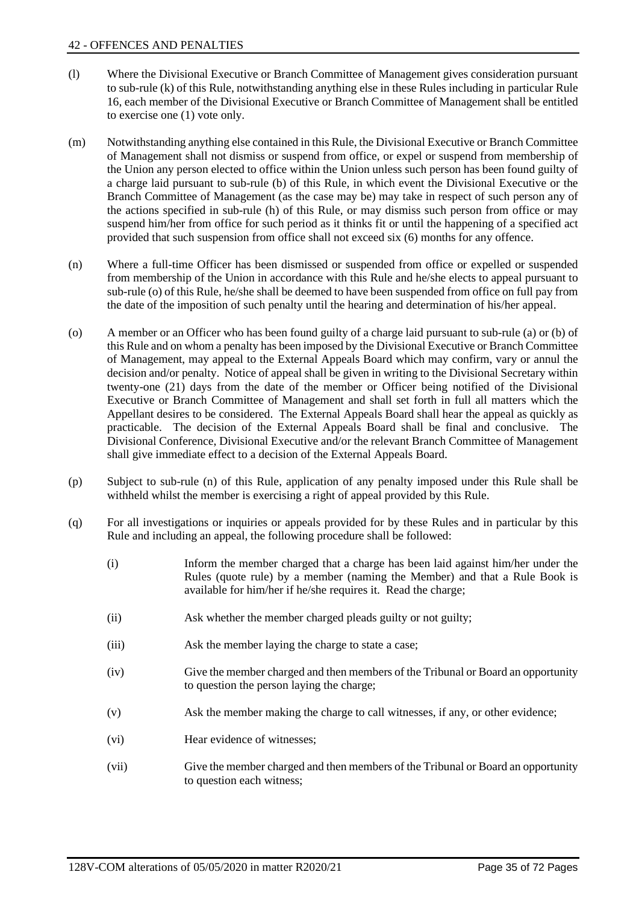- (l) Where the Divisional Executive or Branch Committee of Management gives consideration pursuant to sub-rule (k) of this Rule, notwithstanding anything else in these Rules including in particular Rule 16, each member of the Divisional Executive or Branch Committee of Management shall be entitled to exercise one (1) vote only.
- (m) Notwithstanding anything else contained in this Rule, the Divisional Executive or Branch Committee of Management shall not dismiss or suspend from office, or expel or suspend from membership of the Union any person elected to office within the Union unless such person has been found guilty of a charge laid pursuant to sub-rule (b) of this Rule, in which event the Divisional Executive or the Branch Committee of Management (as the case may be) may take in respect of such person any of the actions specified in sub-rule (h) of this Rule, or may dismiss such person from office or may suspend him/her from office for such period as it thinks fit or until the happening of a specified act provided that such suspension from office shall not exceed six (6) months for any offence.
- (n) Where a full-time Officer has been dismissed or suspended from office or expelled or suspended from membership of the Union in accordance with this Rule and he/she elects to appeal pursuant to sub-rule (o) of this Rule, he/she shall be deemed to have been suspended from office on full pay from the date of the imposition of such penalty until the hearing and determination of his/her appeal.
- (o) A member or an Officer who has been found guilty of a charge laid pursuant to sub-rule (a) or (b) of this Rule and on whom a penalty has been imposed by the Divisional Executive or Branch Committee of Management, may appeal to the External Appeals Board which may confirm, vary or annul the decision and/or penalty. Notice of appeal shall be given in writing to the Divisional Secretary within twenty-one (21) days from the date of the member or Officer being notified of the Divisional Executive or Branch Committee of Management and shall set forth in full all matters which the Appellant desires to be considered. The External Appeals Board shall hear the appeal as quickly as practicable. The decision of the External Appeals Board shall be final and conclusive. The Divisional Conference, Divisional Executive and/or the relevant Branch Committee of Management shall give immediate effect to a decision of the External Appeals Board.
- (p) Subject to sub-rule (n) of this Rule, application of any penalty imposed under this Rule shall be withheld whilst the member is exercising a right of appeal provided by this Rule.
- (q) For all investigations or inquiries or appeals provided for by these Rules and in particular by this Rule and including an appeal, the following procedure shall be followed:
	- (i) Inform the member charged that a charge has been laid against him/her under the Rules (quote rule) by a member (naming the Member) and that a Rule Book is available for him/her if he/she requires it. Read the charge;
	- (ii) Ask whether the member charged pleads guilty or not guilty;
	- (iii) Ask the member laying the charge to state a case;
	- (iv) Give the member charged and then members of the Tribunal or Board an opportunity to question the person laying the charge;
	- (v) Ask the member making the charge to call witnesses, if any, or other evidence;
	- (vi) Hear evidence of witnesses;
	- (vii) Give the member charged and then members of the Tribunal or Board an opportunity to question each witness;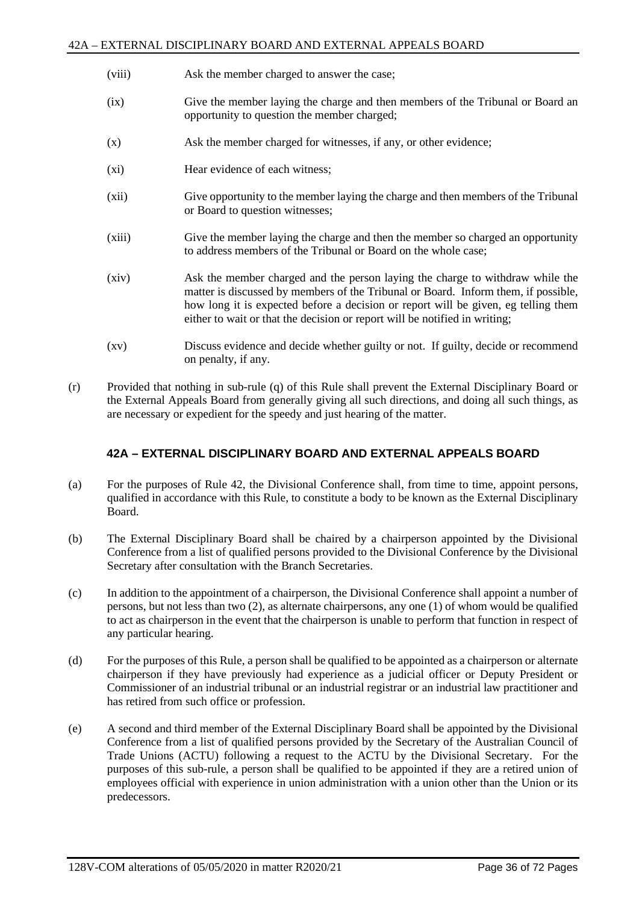- (viii) Ask the member charged to answer the case;
- (ix) Give the member laying the charge and then members of the Tribunal or Board an opportunity to question the member charged;
- (x) Ask the member charged for witnesses, if any, or other evidence;
- (xi) Hear evidence of each witness;
- (xii) Give opportunity to the member laying the charge and then members of the Tribunal or Board to question witnesses;
- (xiii) Give the member laying the charge and then the member so charged an opportunity to address members of the Tribunal or Board on the whole case;
- (xiv) Ask the member charged and the person laying the charge to withdraw while the matter is discussed by members of the Tribunal or Board. Inform them, if possible, how long it is expected before a decision or report will be given, eg telling them either to wait or that the decision or report will be notified in writing;
- (xv) Discuss evidence and decide whether guilty or not. If guilty, decide or recommend on penalty, if any.
- (r) Provided that nothing in sub-rule (q) of this Rule shall prevent the External Disciplinary Board or the External Appeals Board from generally giving all such directions, and doing all such things, as are necessary or expedient for the speedy and just hearing of the matter.

# **42A – EXTERNAL DISCIPLINARY BOARD AND EXTERNAL APPEALS BOARD**

- (a) For the purposes of Rule 42, the Divisional Conference shall, from time to time, appoint persons, qualified in accordance with this Rule, to constitute a body to be known as the External Disciplinary Board.
- (b) The External Disciplinary Board shall be chaired by a chairperson appointed by the Divisional Conference from a list of qualified persons provided to the Divisional Conference by the Divisional Secretary after consultation with the Branch Secretaries.
- (c) In addition to the appointment of a chairperson, the Divisional Conference shall appoint a number of persons, but not less than two (2), as alternate chairpersons, any one (1) of whom would be qualified to act as chairperson in the event that the chairperson is unable to perform that function in respect of any particular hearing.
- (d) For the purposes of this Rule, a person shall be qualified to be appointed as a chairperson or alternate chairperson if they have previously had experience as a judicial officer or Deputy President or Commissioner of an industrial tribunal or an industrial registrar or an industrial law practitioner and has retired from such office or profession.
- (e) A second and third member of the External Disciplinary Board shall be appointed by the Divisional Conference from a list of qualified persons provided by the Secretary of the Australian Council of Trade Unions (ACTU) following a request to the ACTU by the Divisional Secretary. For the purposes of this sub-rule, a person shall be qualified to be appointed if they are a retired union of employees official with experience in union administration with a union other than the Union or its predecessors.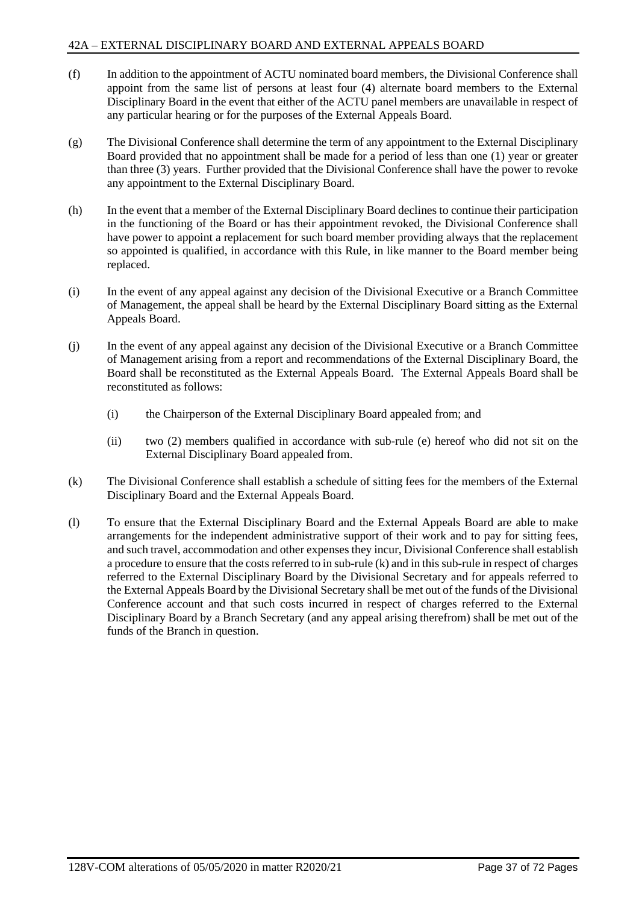- (f) In addition to the appointment of ACTU nominated board members, the Divisional Conference shall appoint from the same list of persons at least four (4) alternate board members to the External Disciplinary Board in the event that either of the ACTU panel members are unavailable in respect of any particular hearing or for the purposes of the External Appeals Board.
- (g) The Divisional Conference shall determine the term of any appointment to the External Disciplinary Board provided that no appointment shall be made for a period of less than one (1) year or greater than three (3) years. Further provided that the Divisional Conference shall have the power to revoke any appointment to the External Disciplinary Board.
- (h) In the event that a member of the External Disciplinary Board declines to continue their participation in the functioning of the Board or has their appointment revoked, the Divisional Conference shall have power to appoint a replacement for such board member providing always that the replacement so appointed is qualified, in accordance with this Rule, in like manner to the Board member being replaced.
- (i) In the event of any appeal against any decision of the Divisional Executive or a Branch Committee of Management, the appeal shall be heard by the External Disciplinary Board sitting as the External Appeals Board.
- (j) In the event of any appeal against any decision of the Divisional Executive or a Branch Committee of Management arising from a report and recommendations of the External Disciplinary Board, the Board shall be reconstituted as the External Appeals Board. The External Appeals Board shall be reconstituted as follows:
	- (i) the Chairperson of the External Disciplinary Board appealed from; and
	- (ii) two (2) members qualified in accordance with sub-rule (e) hereof who did not sit on the External Disciplinary Board appealed from.
- (k) The Divisional Conference shall establish a schedule of sitting fees for the members of the External Disciplinary Board and the External Appeals Board.
- (l) To ensure that the External Disciplinary Board and the External Appeals Board are able to make arrangements for the independent administrative support of their work and to pay for sitting fees, and such travel, accommodation and other expenses they incur, Divisional Conference shall establish a procedure to ensure that the costs referred to in sub-rule (k) and in this sub-rule in respect of charges referred to the External Disciplinary Board by the Divisional Secretary and for appeals referred to the External Appeals Board by the Divisional Secretary shall be met out of the funds of the Divisional Conference account and that such costs incurred in respect of charges referred to the External Disciplinary Board by a Branch Secretary (and any appeal arising therefrom) shall be met out of the funds of the Branch in question.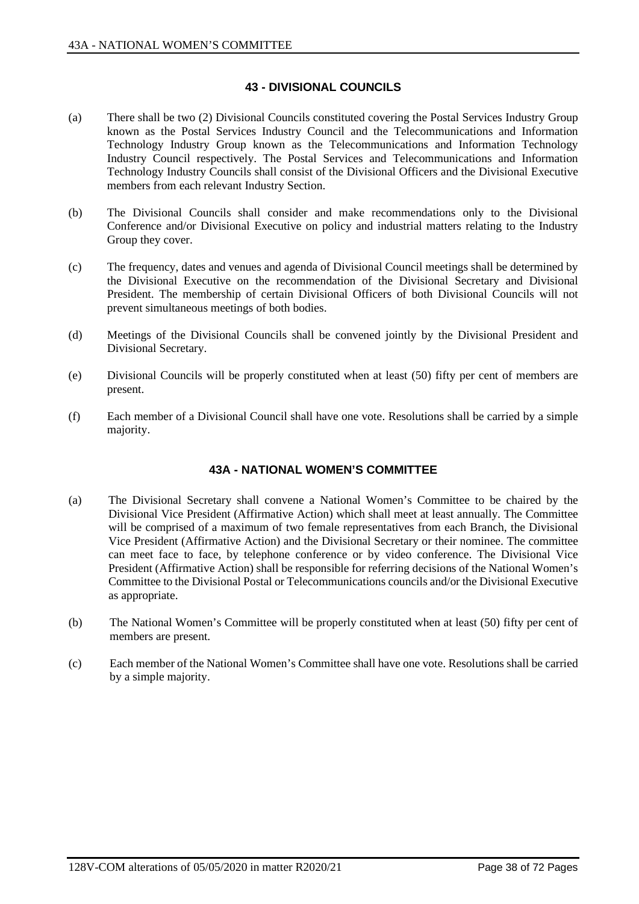#### **43 - DIVISIONAL COUNCILS**

- (a) There shall be two (2) Divisional Councils constituted covering the Postal Services Industry Group known as the Postal Services Industry Council and the Telecommunications and Information Technology Industry Group known as the Telecommunications and Information Technology Industry Council respectively. The Postal Services and Telecommunications and Information Technology Industry Councils shall consist of the Divisional Officers and the Divisional Executive members from each relevant Industry Section.
- (b) The Divisional Councils shall consider and make recommendations only to the Divisional Conference and/or Divisional Executive on policy and industrial matters relating to the Industry Group they cover.
- (c) The frequency, dates and venues and agenda of Divisional Council meetings shall be determined by the Divisional Executive on the recommendation of the Divisional Secretary and Divisional President. The membership of certain Divisional Officers of both Divisional Councils will not prevent simultaneous meetings of both bodies.
- (d) Meetings of the Divisional Councils shall be convened jointly by the Divisional President and Divisional Secretary.
- (e) Divisional Councils will be properly constituted when at least (50) fifty per cent of members are present.
- (f) Each member of a Divisional Council shall have one vote. Resolutions shall be carried by a simple majority.

## **43A - NATIONAL WOMEN'S COMMITTEE**

- (a) The Divisional Secretary shall convene a National Women's Committee to be chaired by the Divisional Vice President (Affirmative Action) which shall meet at least annually. The Committee will be comprised of a maximum of two female representatives from each Branch, the Divisional Vice President (Affirmative Action) and the Divisional Secretary or their nominee. The committee can meet face to face, by telephone conference or by video conference. The Divisional Vice President (Affirmative Action) shall be responsible for referring decisions of the National Women's Committee to the Divisional Postal or Telecommunications councils and/or the Divisional Executive as appropriate.
- (b) The National Women's Committee will be properly constituted when at least (50) fifty per cent of members are present.
- (c) Each member of the National Women's Committee shall have one vote. Resolutions shall be carried by a simple majority.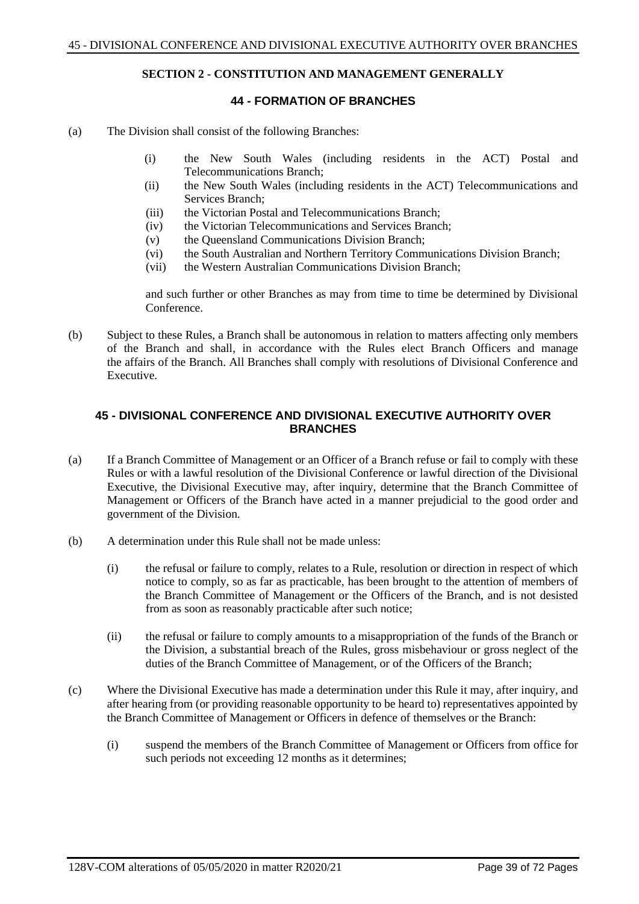#### **SECTION 2 - CONSTITUTION AND MANAGEMENT GENERALLY**

#### **44 - FORMATION OF BRANCHES**

(a) The Division shall consist of the following Branches:

- (i) the New South Wales (including residents in the ACT) Postal and Telecommunications Branch;
- (ii) the New South Wales (including residents in the ACT) Telecommunications and Services Branch;
- (iii) the Victorian Postal and Telecommunications Branch;
- (iv) the Victorian Telecommunications and Services Branch;
- (v) the Queensland Communications Division Branch;
- (vi) the South Australian and Northern Territory Communications Division Branch;
- (vii) the Western Australian Communications Division Branch;

and such further or other Branches as may from time to time be determined by Divisional Conference.

(b) Subject to these Rules, a Branch shall be autonomous in relation to matters affecting only members of the Branch and shall, in accordance with the Rules elect Branch Officers and manage the affairs of the Branch. All Branches shall comply with resolutions of Divisional Conference and Executive.

#### **45 - DIVISIONAL CONFERENCE AND DIVISIONAL EXECUTIVE AUTHORITY OVER BRANCHES**

- (a) If a Branch Committee of Management or an Officer of a Branch refuse or fail to comply with these Rules or with a lawful resolution of the Divisional Conference or lawful direction of the Divisional Executive, the Divisional Executive may, after inquiry, determine that the Branch Committee of Management or Officers of the Branch have acted in a manner prejudicial to the good order and government of the Division.
- (b) A determination under this Rule shall not be made unless:
	- (i) the refusal or failure to comply, relates to a Rule, resolution or direction in respect of which notice to comply, so as far as practicable, has been brought to the attention of members of the Branch Committee of Management or the Officers of the Branch, and is not desisted from as soon as reasonably practicable after such notice;
	- (ii) the refusal or failure to comply amounts to a misappropriation of the funds of the Branch or the Division, a substantial breach of the Rules, gross misbehaviour or gross neglect of the duties of the Branch Committee of Management, or of the Officers of the Branch;
- (c) Where the Divisional Executive has made a determination under this Rule it may, after inquiry, and after hearing from (or providing reasonable opportunity to be heard to) representatives appointed by the Branch Committee of Management or Officers in defence of themselves or the Branch:
	- (i) suspend the members of the Branch Committee of Management or Officers from office for such periods not exceeding 12 months as it determines;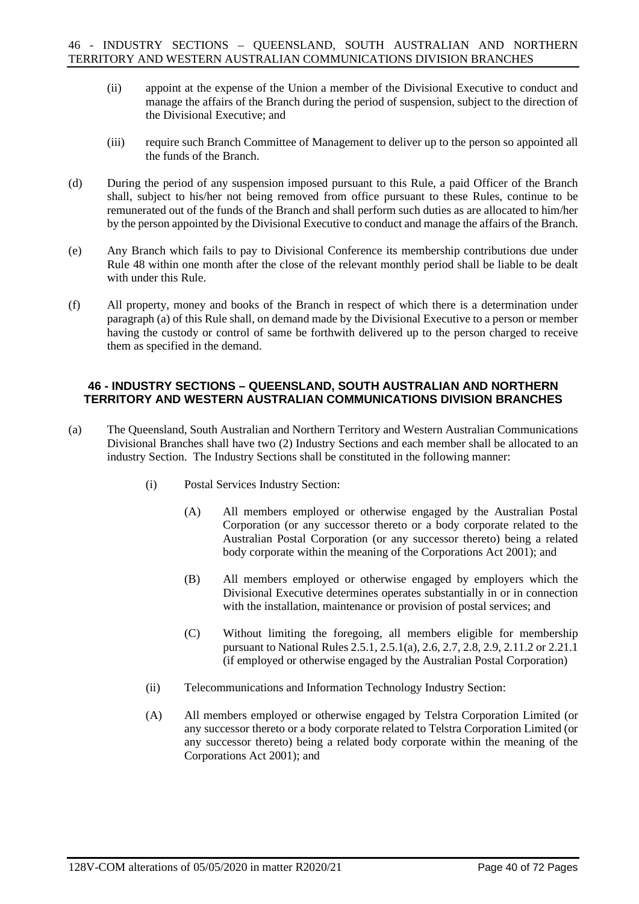- (ii) appoint at the expense of the Union a member of the Divisional Executive to conduct and manage the affairs of the Branch during the period of suspension, subject to the direction of the Divisional Executive; and
- (iii) require such Branch Committee of Management to deliver up to the person so appointed all the funds of the Branch.
- (d) During the period of any suspension imposed pursuant to this Rule, a paid Officer of the Branch shall, subject to his/her not being removed from office pursuant to these Rules, continue to be remunerated out of the funds of the Branch and shall perform such duties as are allocated to him/her by the person appointed by the Divisional Executive to conduct and manage the affairs of the Branch.
- (e) Any Branch which fails to pay to Divisional Conference its membership contributions due under Rule 48 within one month after the close of the relevant monthly period shall be liable to be dealt with under this Rule.
- (f) All property, money and books of the Branch in respect of which there is a determination under paragraph (a) of this Rule shall, on demand made by the Divisional Executive to a person or member having the custody or control of same be forthwith delivered up to the person charged to receive them as specified in the demand.

#### **46 - INDUSTRY SECTIONS – QUEENSLAND, SOUTH AUSTRALIAN AND NORTHERN TERRITORY AND WESTERN AUSTRALIAN COMMUNICATIONS DIVISION BRANCHES**

- (a) The Queensland, South Australian and Northern Territory and Western Australian Communications Divisional Branches shall have two (2) Industry Sections and each member shall be allocated to an industry Section. The Industry Sections shall be constituted in the following manner:
	- (i) Postal Services Industry Section:
		- (A) All members employed or otherwise engaged by the Australian Postal Corporation (or any successor thereto or a body corporate related to the Australian Postal Corporation (or any successor thereto) being a related body corporate within the meaning of the Corporations Act 2001); and
		- (B) All members employed or otherwise engaged by employers which the Divisional Executive determines operates substantially in or in connection with the installation, maintenance or provision of postal services; and
		- (C) Without limiting the foregoing, all members eligible for membership pursuant to National Rules 2.5.1, 2.5.1(a), 2.6, 2.7, 2.8, 2.9, 2.11.2 or 2.21.1 (if employed or otherwise engaged by the Australian Postal Corporation)
	- (ii) Telecommunications and Information Technology Industry Section:
	- (A) All members employed or otherwise engaged by Telstra Corporation Limited (or any successor thereto or a body corporate related to Telstra Corporation Limited (or any successor thereto) being a related body corporate within the meaning of the Corporations Act 2001); and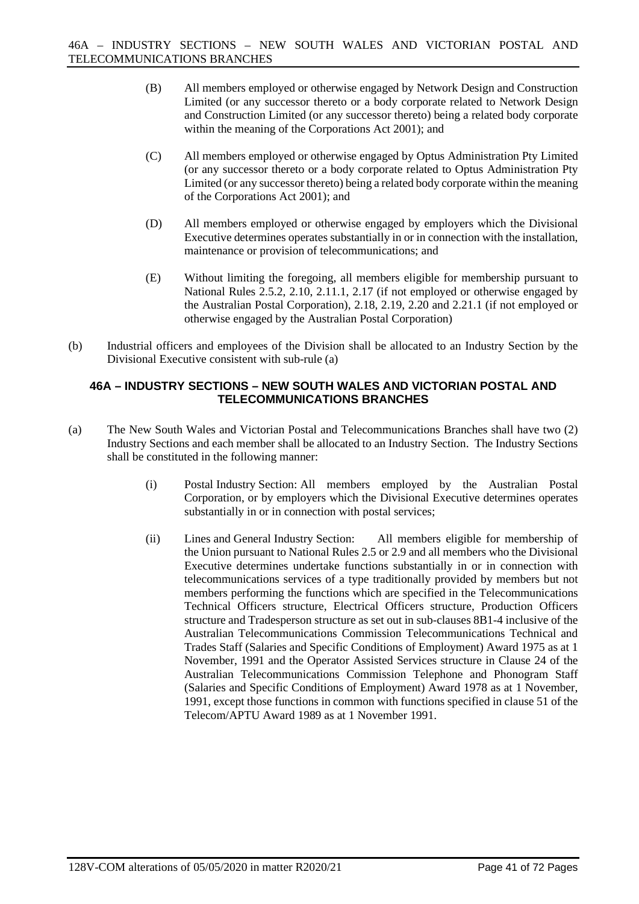- (B) All members employed or otherwise engaged by Network Design and Construction Limited (or any successor thereto or a body corporate related to Network Design and Construction Limited (or any successor thereto) being a related body corporate within the meaning of the Corporations Act 2001); and
- (C) All members employed or otherwise engaged by Optus Administration Pty Limited (or any successor thereto or a body corporate related to Optus Administration Pty Limited (or any successor thereto) being a related body corporate within the meaning of the Corporations Act 2001); and
- (D) All members employed or otherwise engaged by employers which the Divisional Executive determines operates substantially in or in connection with the installation, maintenance or provision of telecommunications; and
- (E) Without limiting the foregoing, all members eligible for membership pursuant to National Rules 2.5.2, 2.10, 2.11.1, 2.17 (if not employed or otherwise engaged by the Australian Postal Corporation), 2.18, 2.19, 2.20 and 2.21.1 (if not employed or otherwise engaged by the Australian Postal Corporation)
- (b) Industrial officers and employees of the Division shall be allocated to an Industry Section by the Divisional Executive consistent with sub-rule (a)

## **46A – INDUSTRY SECTIONS – NEW SOUTH WALES AND VICTORIAN POSTAL AND TELECOMMUNICATIONS BRANCHES**

- (a) The New South Wales and Victorian Postal and Telecommunications Branches shall have two (2) Industry Sections and each member shall be allocated to an Industry Section. The Industry Sections shall be constituted in the following manner:
	- (i) Postal Industry Section: All members employed by the Australian Postal Corporation, or by employers which the Divisional Executive determines operates substantially in or in connection with postal services;
	- (ii) Lines and General Industry Section: All members eligible for membership of the Union pursuant to National Rules 2.5 or 2.9 and all members who the Divisional Executive determines undertake functions substantially in or in connection with telecommunications services of a type traditionally provided by members but not members performing the functions which are specified in the Telecommunications Technical Officers structure, Electrical Officers structure, Production Officers structure and Tradesperson structure as set out in sub-clauses 8B1-4 inclusive of the Australian Telecommunications Commission Telecommunications Technical and Trades Staff (Salaries and Specific Conditions of Employment) Award 1975 as at 1 November, 1991 and the Operator Assisted Services structure in Clause 24 of the Australian Telecommunications Commission Telephone and Phonogram Staff (Salaries and Specific Conditions of Employment) Award 1978 as at 1 November, 1991, except those functions in common with functions specified in clause 51 of the Telecom/APTU Award 1989 as at 1 November 1991.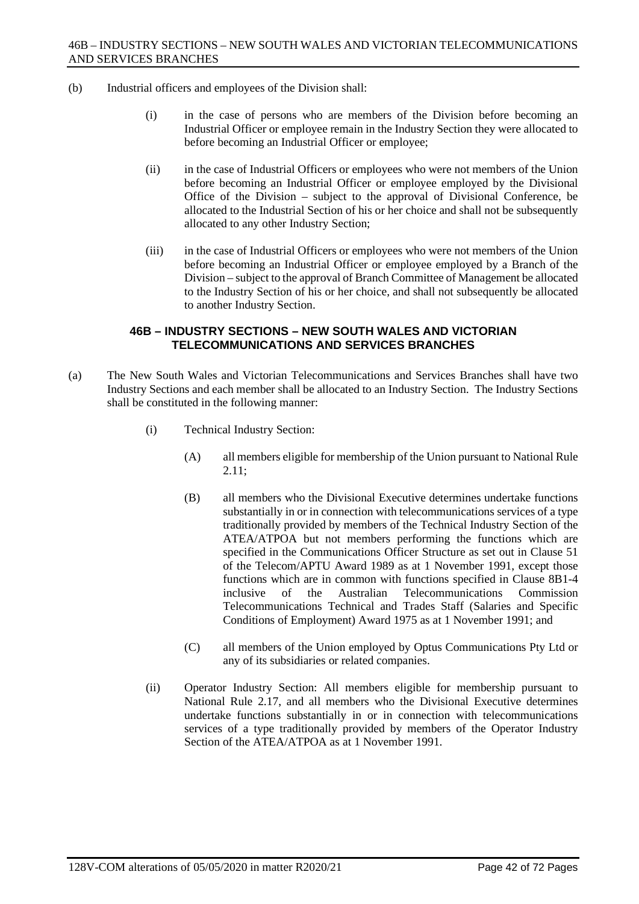- (b) Industrial officers and employees of the Division shall:
	- (i) in the case of persons who are members of the Division before becoming an Industrial Officer or employee remain in the Industry Section they were allocated to before becoming an Industrial Officer or employee;
	- (ii) in the case of Industrial Officers or employees who were not members of the Union before becoming an Industrial Officer or employee employed by the Divisional Office of the Division – subject to the approval of Divisional Conference, be allocated to the Industrial Section of his or her choice and shall not be subsequently allocated to any other Industry Section;
	- (iii) in the case of Industrial Officers or employees who were not members of the Union before becoming an Industrial Officer or employee employed by a Branch of the Division – subject to the approval of Branch Committee of Management be allocated to the Industry Section of his or her choice, and shall not subsequently be allocated to another Industry Section.

## **46B – INDUSTRY SECTIONS – NEW SOUTH WALES AND VICTORIAN TELECOMMUNICATIONS AND SERVICES BRANCHES**

- (a) The New South Wales and Victorian Telecommunications and Services Branches shall have two Industry Sections and each member shall be allocated to an Industry Section. The Industry Sections shall be constituted in the following manner:
	- (i) Technical Industry Section:
		- (A) all members eligible for membership of the Union pursuant to National Rule 2.11;
		- (B) all members who the Divisional Executive determines undertake functions substantially in or in connection with telecommunications services of a type traditionally provided by members of the Technical Industry Section of the ATEA/ATPOA but not members performing the functions which are specified in the Communications Officer Structure as set out in Clause 51 of the Telecom/APTU Award 1989 as at 1 November 1991, except those functions which are in common with functions specified in Clause 8B1-4 inclusive of the Australian Telecommunications Commission inclusive of the Australian Telecommunications Commission Telecommunications Technical and Trades Staff (Salaries and Specific Conditions of Employment) Award 1975 as at 1 November 1991; and
		- (C) all members of the Union employed by Optus Communications Pty Ltd or any of its subsidiaries or related companies.
	- (ii) Operator Industry Section: All members eligible for membership pursuant to National Rule 2.17, and all members who the Divisional Executive determines undertake functions substantially in or in connection with telecommunications services of a type traditionally provided by members of the Operator Industry Section of the ATEA/ATPOA as at 1 November 1991.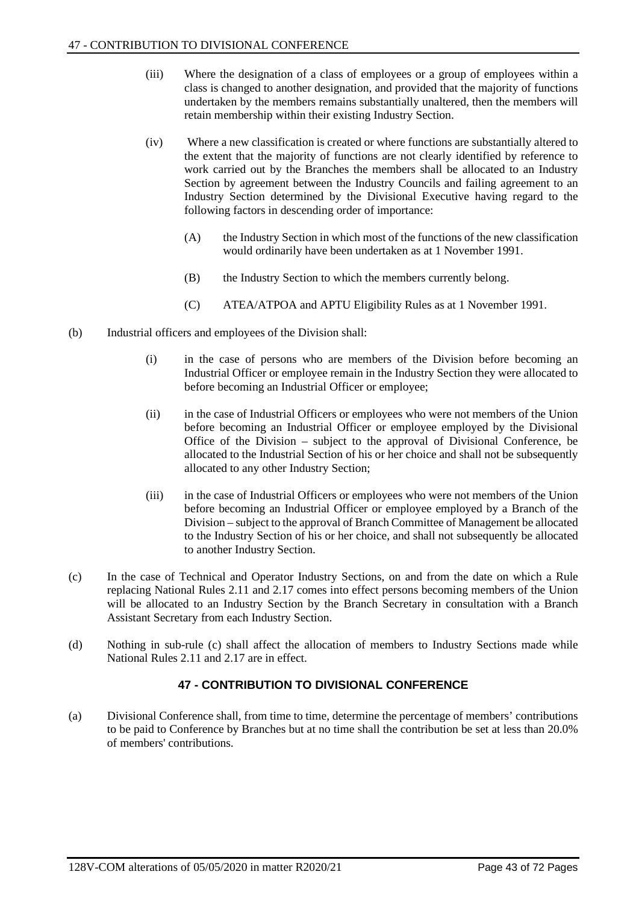- (iii) Where the designation of a class of employees or a group of employees within a class is changed to another designation, and provided that the majority of functions undertaken by the members remains substantially unaltered, then the members will retain membership within their existing Industry Section.
- (iv) Where a new classification is created or where functions are substantially altered to the extent that the majority of functions are not clearly identified by reference to work carried out by the Branches the members shall be allocated to an Industry Section by agreement between the Industry Councils and failing agreement to an Industry Section determined by the Divisional Executive having regard to the following factors in descending order of importance:
	- (A) the Industry Section in which most of the functions of the new classification would ordinarily have been undertaken as at 1 November 1991.
	- (B) the Industry Section to which the members currently belong.
	- (C) ATEA/ATPOA and APTU Eligibility Rules as at 1 November 1991.
- (b) Industrial officers and employees of the Division shall:
	- (i) in the case of persons who are members of the Division before becoming an Industrial Officer or employee remain in the Industry Section they were allocated to before becoming an Industrial Officer or employee;
	- (ii) in the case of Industrial Officers or employees who were not members of the Union before becoming an Industrial Officer or employee employed by the Divisional Office of the Division – subject to the approval of Divisional Conference, be allocated to the Industrial Section of his or her choice and shall not be subsequently allocated to any other Industry Section;
	- (iii) in the case of Industrial Officers or employees who were not members of the Union before becoming an Industrial Officer or employee employed by a Branch of the Division – subject to the approval of Branch Committee of Management be allocated to the Industry Section of his or her choice, and shall not subsequently be allocated to another Industry Section.
- (c) In the case of Technical and Operator Industry Sections, on and from the date on which a Rule replacing National Rules 2.11 and 2.17 comes into effect persons becoming members of the Union will be allocated to an Industry Section by the Branch Secretary in consultation with a Branch Assistant Secretary from each Industry Section.
- (d) Nothing in sub-rule (c) shall affect the allocation of members to Industry Sections made while National Rules 2.11 and 2.17 are in effect.

# **47 - CONTRIBUTION TO DIVISIONAL CONFERENCE**

(a) Divisional Conference shall, from time to time, determine the percentage of members' contributions to be paid to Conference by Branches but at no time shall the contribution be set at less than 20.0% of members' contributions.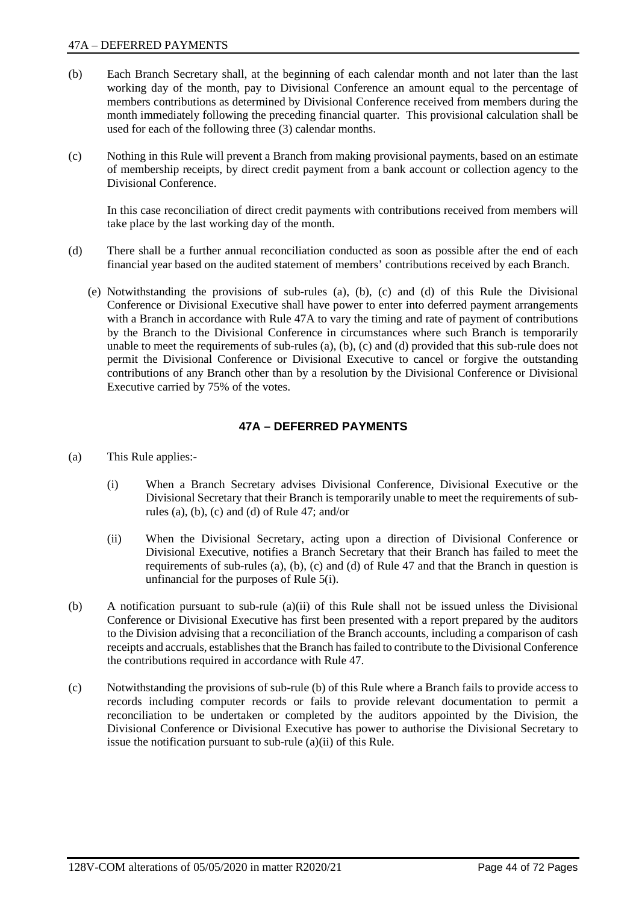#### 47A – DEFERRED PAYMENTS

- (b) Each Branch Secretary shall, at the beginning of each calendar month and not later than the last working day of the month, pay to Divisional Conference an amount equal to the percentage of members contributions as determined by Divisional Conference received from members during the month immediately following the preceding financial quarter. This provisional calculation shall be used for each of the following three (3) calendar months.
- (c) Nothing in this Rule will prevent a Branch from making provisional payments, based on an estimate of membership receipts, by direct credit payment from a bank account or collection agency to the Divisional Conference.

In this case reconciliation of direct credit payments with contributions received from members will take place by the last working day of the month.

- (d) There shall be a further annual reconciliation conducted as soon as possible after the end of each financial year based on the audited statement of members' contributions received by each Branch.
	- (e) Notwithstanding the provisions of sub-rules (a), (b), (c) and (d) of this Rule the Divisional Conference or Divisional Executive shall have power to enter into deferred payment arrangements with a Branch in accordance with Rule 47A to vary the timing and rate of payment of contributions by the Branch to the Divisional Conference in circumstances where such Branch is temporarily unable to meet the requirements of sub-rules (a), (b), (c) and (d) provided that this sub-rule does not permit the Divisional Conference or Divisional Executive to cancel or forgive the outstanding contributions of any Branch other than by a resolution by the Divisional Conference or Divisional Executive carried by 75% of the votes.

# **47A – DEFERRED PAYMENTS**

- (a) This Rule applies:-
	- (i) When a Branch Secretary advises Divisional Conference, Divisional Executive or the Divisional Secretary that their Branch is temporarily unable to meet the requirements of subrules (a), (b), (c) and (d) of Rule 47; and/or
	- (ii) When the Divisional Secretary, acting upon a direction of Divisional Conference or Divisional Executive, notifies a Branch Secretary that their Branch has failed to meet the requirements of sub-rules (a), (b), (c) and (d) of Rule 47 and that the Branch in question is unfinancial for the purposes of Rule 5(i).
- (b) A notification pursuant to sub-rule (a)(ii) of this Rule shall not be issued unless the Divisional Conference or Divisional Executive has first been presented with a report prepared by the auditors to the Division advising that a reconciliation of the Branch accounts, including a comparison of cash receipts and accruals, establishes that the Branch has failed to contribute to the Divisional Conference the contributions required in accordance with Rule 47.
- (c) Notwithstanding the provisions of sub-rule (b) of this Rule where a Branch fails to provide access to records including computer records or fails to provide relevant documentation to permit a reconciliation to be undertaken or completed by the auditors appointed by the Division, the Divisional Conference or Divisional Executive has power to authorise the Divisional Secretary to issue the notification pursuant to sub-rule (a)(ii) of this Rule.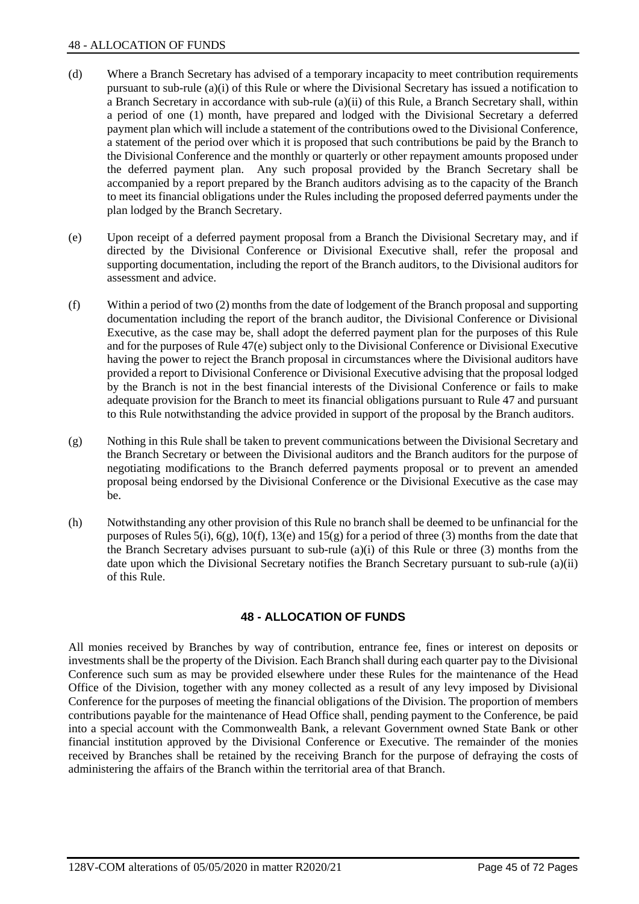- (d) Where a Branch Secretary has advised of a temporary incapacity to meet contribution requirements pursuant to sub-rule (a)(i) of this Rule or where the Divisional Secretary has issued a notification to a Branch Secretary in accordance with sub-rule (a)(ii) of this Rule, a Branch Secretary shall, within a period of one (1) month, have prepared and lodged with the Divisional Secretary a deferred payment plan which will include a statement of the contributions owed to the Divisional Conference, a statement of the period over which it is proposed that such contributions be paid by the Branch to the Divisional Conference and the monthly or quarterly or other repayment amounts proposed under the deferred payment plan. Any such proposal provided by the Branch Secretary shall be accompanied by a report prepared by the Branch auditors advising as to the capacity of the Branch to meet its financial obligations under the Rules including the proposed deferred payments under the plan lodged by the Branch Secretary.
- (e) Upon receipt of a deferred payment proposal from a Branch the Divisional Secretary may, and if directed by the Divisional Conference or Divisional Executive shall, refer the proposal and supporting documentation, including the report of the Branch auditors, to the Divisional auditors for assessment and advice.
- (f) Within a period of two (2) months from the date of lodgement of the Branch proposal and supporting documentation including the report of the branch auditor, the Divisional Conference or Divisional Executive, as the case may be, shall adopt the deferred payment plan for the purposes of this Rule and for the purposes of Rule 47(e) subject only to the Divisional Conference or Divisional Executive having the power to reject the Branch proposal in circumstances where the Divisional auditors have provided a report to Divisional Conference or Divisional Executive advising that the proposal lodged by the Branch is not in the best financial interests of the Divisional Conference or fails to make adequate provision for the Branch to meet its financial obligations pursuant to Rule 47 and pursuant to this Rule notwithstanding the advice provided in support of the proposal by the Branch auditors.
- (g) Nothing in this Rule shall be taken to prevent communications between the Divisional Secretary and the Branch Secretary or between the Divisional auditors and the Branch auditors for the purpose of negotiating modifications to the Branch deferred payments proposal or to prevent an amended proposal being endorsed by the Divisional Conference or the Divisional Executive as the case may be.
- (h) Notwithstanding any other provision of this Rule no branch shall be deemed to be unfinancial for the purposes of Rules 5(i),  $6(g)$ ,  $10(f)$ ,  $13(e)$  and  $15(g)$  for a period of three (3) months from the date that the Branch Secretary advises pursuant to sub-rule (a)(i) of this Rule or three (3) months from the date upon which the Divisional Secretary notifies the Branch Secretary pursuant to sub-rule (a)(ii) of this Rule.

# **48 - ALLOCATION OF FUNDS**

All monies received by Branches by way of contribution, entrance fee, fines or interest on deposits or investments shall be the property of the Division. Each Branch shall during each quarter pay to the Divisional Conference such sum as may be provided elsewhere under these Rules for the maintenance of the Head Office of the Division, together with any money collected as a result of any levy imposed by Divisional Conference for the purposes of meeting the financial obligations of the Division. The proportion of members contributions payable for the maintenance of Head Office shall, pending payment to the Conference, be paid into a special account with the Commonwealth Bank, a relevant Government owned State Bank or other financial institution approved by the Divisional Conference or Executive. The remainder of the monies received by Branches shall be retained by the receiving Branch for the purpose of defraying the costs of administering the affairs of the Branch within the territorial area of that Branch.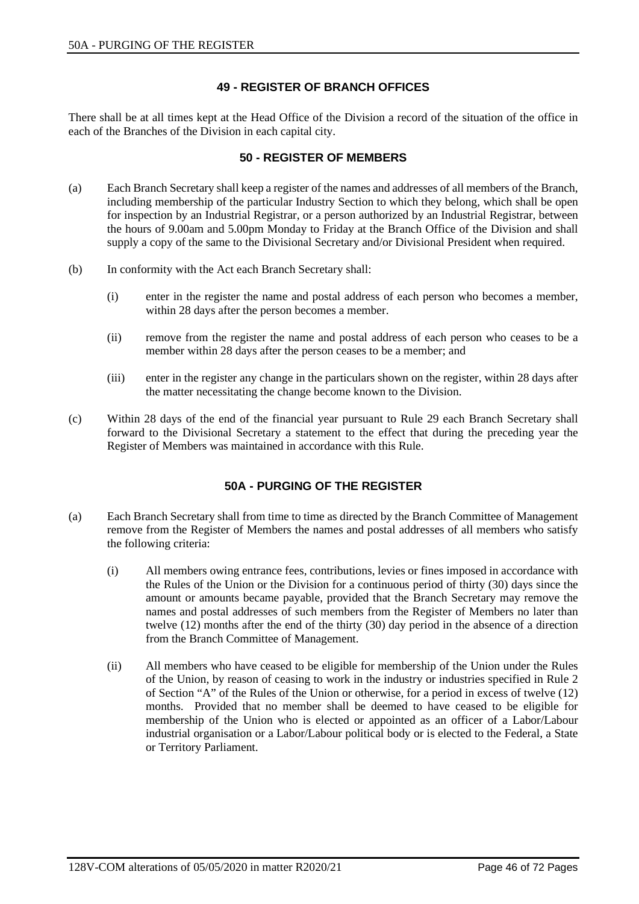# **49 - REGISTER OF BRANCH OFFICES**

There shall be at all times kept at the Head Office of the Division a record of the situation of the office in each of the Branches of the Division in each capital city.

# **50 - REGISTER OF MEMBERS**

- (a) Each Branch Secretary shall keep a register of the names and addresses of all members of the Branch, including membership of the particular Industry Section to which they belong, which shall be open for inspection by an Industrial Registrar, or a person authorized by an Industrial Registrar, between the hours of 9.00am and 5.00pm Monday to Friday at the Branch Office of the Division and shall supply a copy of the same to the Divisional Secretary and/or Divisional President when required.
- (b) In conformity with the Act each Branch Secretary shall:
	- (i) enter in the register the name and postal address of each person who becomes a member, within 28 days after the person becomes a member.
	- (ii) remove from the register the name and postal address of each person who ceases to be a member within 28 days after the person ceases to be a member; and
	- (iii) enter in the register any change in the particulars shown on the register, within 28 days after the matter necessitating the change become known to the Division.
- (c) Within 28 days of the end of the financial year pursuant to Rule 29 each Branch Secretary shall forward to the Divisional Secretary a statement to the effect that during the preceding year the Register of Members was maintained in accordance with this Rule.

# **50A - PURGING OF THE REGISTER**

- (a) Each Branch Secretary shall from time to time as directed by the Branch Committee of Management remove from the Register of Members the names and postal addresses of all members who satisfy the following criteria:
	- (i) All members owing entrance fees, contributions, levies or fines imposed in accordance with the Rules of the Union or the Division for a continuous period of thirty (30) days since the amount or amounts became payable, provided that the Branch Secretary may remove the names and postal addresses of such members from the Register of Members no later than twelve (12) months after the end of the thirty (30) day period in the absence of a direction from the Branch Committee of Management.
	- (ii) All members who have ceased to be eligible for membership of the Union under the Rules of the Union, by reason of ceasing to work in the industry or industries specified in Rule 2 of Section "A" of the Rules of the Union or otherwise, for a period in excess of twelve (12) months. Provided that no member shall be deemed to have ceased to be eligible for membership of the Union who is elected or appointed as an officer of a Labor/Labour industrial organisation or a Labor/Labour political body or is elected to the Federal, a State or Territory Parliament.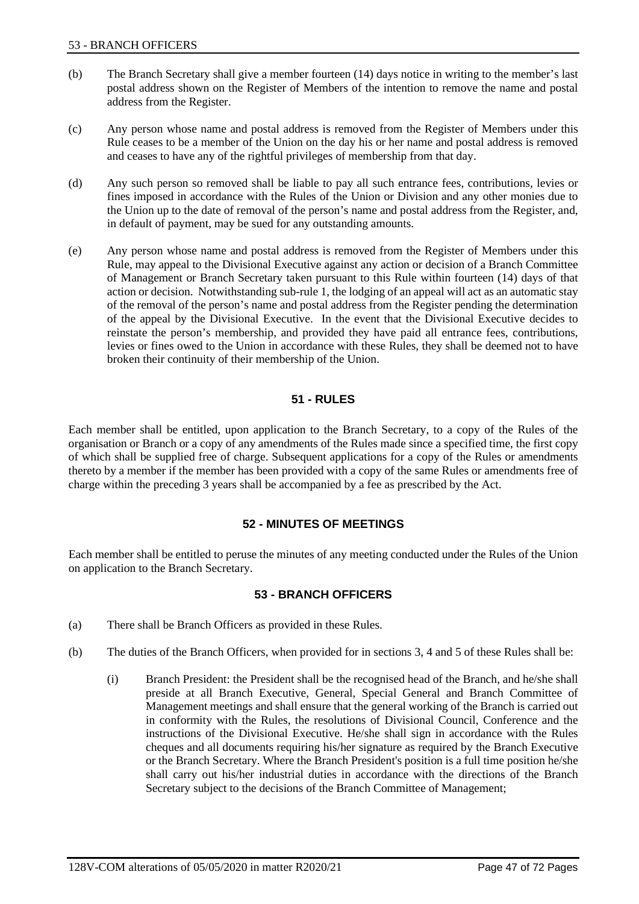- (b) The Branch Secretary shall give a member fourteen (14) days notice in writing to the member's last postal address shown on the Register of Members of the intention to remove the name and postal address from the Register.
- (c) Any person whose name and postal address is removed from the Register of Members under this Rule ceases to be a member of the Union on the day his or her name and postal address is removed and ceases to have any of the rightful privileges of membership from that day.
- (d) Any such person so removed shall be liable to pay all such entrance fees, contributions, levies or fines imposed in accordance with the Rules of the Union or Division and any other monies due to the Union up to the date of removal of the person's name and postal address from the Register, and, in default of payment, may be sued for any outstanding amounts.
- (e) Any person whose name and postal address is removed from the Register of Members under this Rule, may appeal to the Divisional Executive against any action or decision of a Branch Committee of Management or Branch Secretary taken pursuant to this Rule within fourteen (14) days of that action or decision. Notwithstanding sub-rule 1, the lodging of an appeal will act as an automatic stay of the removal of the person's name and postal address from the Register pending the determination of the appeal by the Divisional Executive. In the event that the Divisional Executive decides to reinstate the person's membership, and provided they have paid all entrance fees, contributions, levies or fines owed to the Union in accordance with these Rules, they shall be deemed not to have broken their continuity of their membership of the Union.

# **51 - RULES**

Each member shall be entitled, upon application to the Branch Secretary, to a copy of the Rules of the organisation or Branch or a copy of any amendments of the Rules made since a specified time, the first copy of which shall be supplied free of charge. Subsequent applications for a copy of the Rules or amendments thereto by a member if the member has been provided with a copy of the same Rules or amendments free of charge within the preceding 3 years shall be accompanied by a fee as prescribed by the Act.

## **52 - MINUTES OF MEETINGS**

Each member shall be entitled to peruse the minutes of any meeting conducted under the Rules of the Union on application to the Branch Secretary.

# **53 - BRANCH OFFICERS**

- (a) There shall be Branch Officers as provided in these Rules.
- (b) The duties of the Branch Officers, when provided for in sections 3, 4 and 5 of these Rules shall be:
	- (i) Branch President: the President shall be the recognised head of the Branch, and he/she shall preside at all Branch Executive, General, Special General and Branch Committee of Management meetings and shall ensure that the general working of the Branch is carried out in conformity with the Rules, the resolutions of Divisional Council, Conference and the instructions of the Divisional Executive. He/she shall sign in accordance with the Rules cheques and all documents requiring his/her signature as required by the Branch Executive or the Branch Secretary. Where the Branch President's position is a full time position he/she shall carry out his/her industrial duties in accordance with the directions of the Branch Secretary subject to the decisions of the Branch Committee of Management;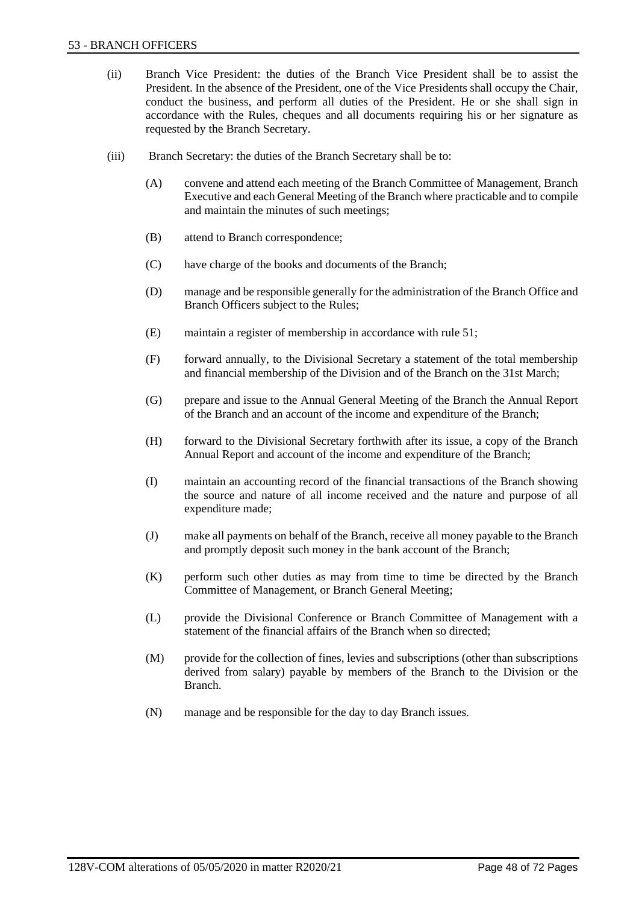- (ii) Branch Vice President: the duties of the Branch Vice President shall be to assist the President. In the absence of the President, one of the Vice Presidents shall occupy the Chair, conduct the business, and perform all duties of the President. He or she shall sign in accordance with the Rules, cheques and all documents requiring his or her signature as requested by the Branch Secretary.
- (iii) Branch Secretary: the duties of the Branch Secretary shall be to:
	- (A) convene and attend each meeting of the Branch Committee of Management, Branch Executive and each General Meeting of the Branch where practicable and to compile and maintain the minutes of such meetings;
	- (B) attend to Branch correspondence;
	- (C) have charge of the books and documents of the Branch;
	- (D) manage and be responsible generally for the administration of the Branch Office and Branch Officers subject to the Rules;
	- (E) maintain a register of membership in accordance with rule 51;
	- (F) forward annually, to the Divisional Secretary a statement of the total membership and financial membership of the Division and of the Branch on the 31st March;
	- (G) prepare and issue to the Annual General Meeting of the Branch the Annual Report of the Branch and an account of the income and expenditure of the Branch;
	- (H) forward to the Divisional Secretary forthwith after its issue, a copy of the Branch Annual Report and account of the income and expenditure of the Branch;
	- (I) maintain an accounting record of the financial transactions of the Branch showing the source and nature of all income received and the nature and purpose of all expenditure made;
	- (J) make all payments on behalf of the Branch, receive all money payable to the Branch and promptly deposit such money in the bank account of the Branch;
	- (K) perform such other duties as may from time to time be directed by the Branch Committee of Management, or Branch General Meeting;
	- (L) provide the Divisional Conference or Branch Committee of Management with a statement of the financial affairs of the Branch when so directed;
	- (M) provide for the collection of fines, levies and subscriptions (other than subscriptions derived from salary) payable by members of the Branch to the Division or the Branch.
	- (N) manage and be responsible for the day to day Branch issues.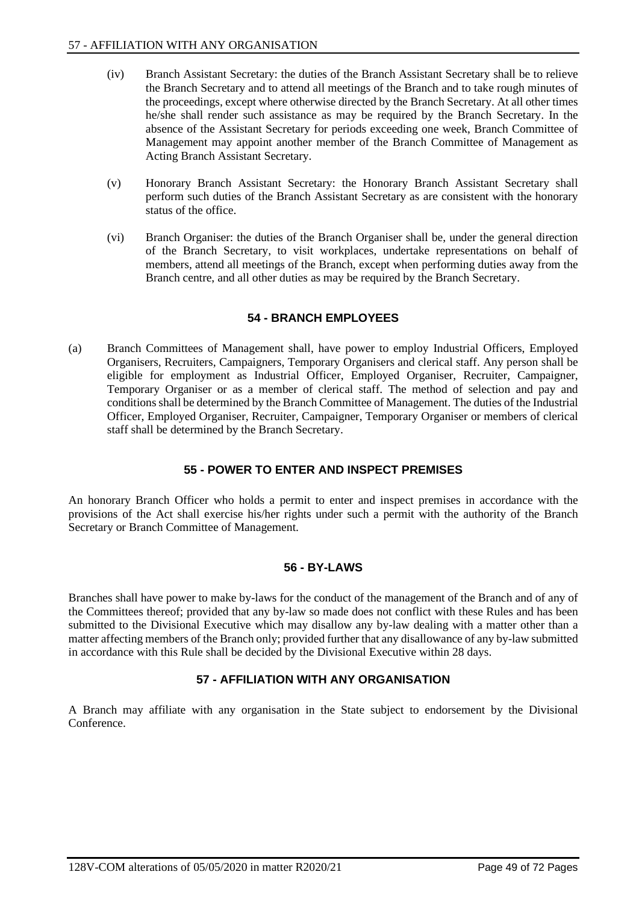- (iv) Branch Assistant Secretary: the duties of the Branch Assistant Secretary shall be to relieve the Branch Secretary and to attend all meetings of the Branch and to take rough minutes of the proceedings, except where otherwise directed by the Branch Secretary. At all other times he/she shall render such assistance as may be required by the Branch Secretary. In the absence of the Assistant Secretary for periods exceeding one week, Branch Committee of Management may appoint another member of the Branch Committee of Management as Acting Branch Assistant Secretary.
- (v) Honorary Branch Assistant Secretary: the Honorary Branch Assistant Secretary shall perform such duties of the Branch Assistant Secretary as are consistent with the honorary status of the office.
- (vi) Branch Organiser: the duties of the Branch Organiser shall be, under the general direction of the Branch Secretary, to visit workplaces, undertake representations on behalf of members, attend all meetings of the Branch, except when performing duties away from the Branch centre, and all other duties as may be required by the Branch Secretary.

# **54 - BRANCH EMPLOYEES**

(a) Branch Committees of Management shall, have power to employ Industrial Officers, Employed Organisers, Recruiters, Campaigners, Temporary Organisers and clerical staff. Any person shall be eligible for employment as Industrial Officer, Employed Organiser, Recruiter, Campaigner, Temporary Organiser or as a member of clerical staff. The method of selection and pay and conditions shall be determined by the Branch Committee of Management. The duties of the Industrial Officer, Employed Organiser, Recruiter, Campaigner, Temporary Organiser or members of clerical staff shall be determined by the Branch Secretary.

# **55 - POWER TO ENTER AND INSPECT PREMISES**

An honorary Branch Officer who holds a permit to enter and inspect premises in accordance with the provisions of the Act shall exercise his/her rights under such a permit with the authority of the Branch Secretary or Branch Committee of Management.

## **56 - BY-LAWS**

Branches shall have power to make by-laws for the conduct of the management of the Branch and of any of the Committees thereof; provided that any by-law so made does not conflict with these Rules and has been submitted to the Divisional Executive which may disallow any by-law dealing with a matter other than a matter affecting members of the Branch only; provided further that any disallowance of any by-law submitted in accordance with this Rule shall be decided by the Divisional Executive within 28 days.

# **57 - AFFILIATION WITH ANY ORGANISATION**

A Branch may affiliate with any organisation in the State subject to endorsement by the Divisional Conference.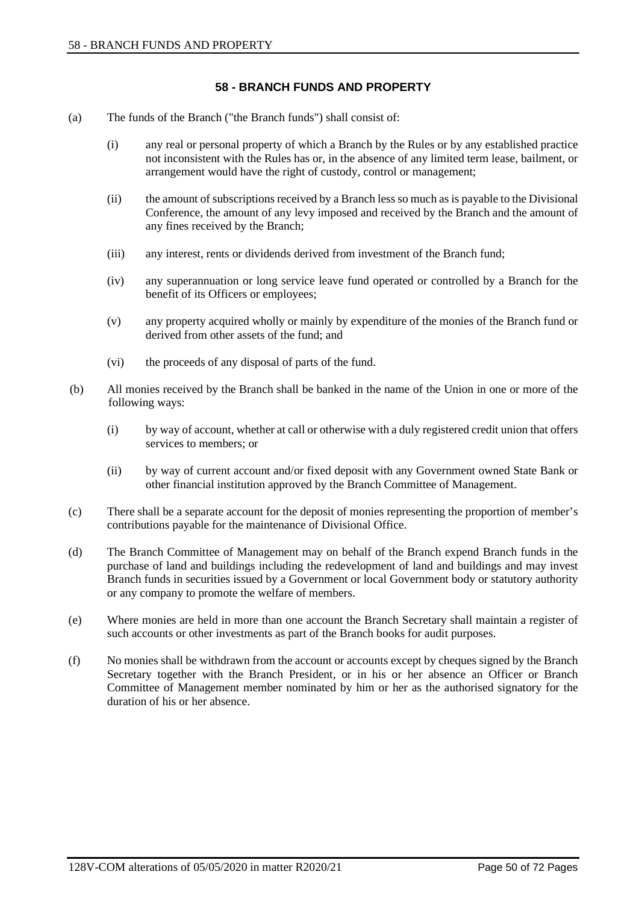# **58 - BRANCH FUNDS AND PROPERTY**

- (a) The funds of the Branch ("the Branch funds") shall consist of:
	- (i) any real or personal property of which a Branch by the Rules or by any established practice not inconsistent with the Rules has or, in the absence of any limited term lease, bailment, or arrangement would have the right of custody, control or management;
	- (ii) the amount of subscriptions received by a Branch less so much as is payable to the Divisional Conference, the amount of any levy imposed and received by the Branch and the amount of any fines received by the Branch;
	- (iii) any interest, rents or dividends derived from investment of the Branch fund;
	- (iv) any superannuation or long service leave fund operated or controlled by a Branch for the benefit of its Officers or employees;
	- (v) any property acquired wholly or mainly by expenditure of the monies of the Branch fund or derived from other assets of the fund; and
	- (vi) the proceeds of any disposal of parts of the fund.
- (b) All monies received by the Branch shall be banked in the name of the Union in one or more of the following ways:
	- (i) by way of account, whether at call or otherwise with a duly registered credit union that offers services to members; or
	- (ii) by way of current account and/or fixed deposit with any Government owned State Bank or other financial institution approved by the Branch Committee of Management.
- (c) There shall be a separate account for the deposit of monies representing the proportion of member's contributions payable for the maintenance of Divisional Office.
- (d) The Branch Committee of Management may on behalf of the Branch expend Branch funds in the purchase of land and buildings including the redevelopment of land and buildings and may invest Branch funds in securities issued by a Government or local Government body or statutory authority or any company to promote the welfare of members.
- (e) Where monies are held in more than one account the Branch Secretary shall maintain a register of such accounts or other investments as part of the Branch books for audit purposes.
- (f) No monies shall be withdrawn from the account or accounts except by cheques signed by the Branch Secretary together with the Branch President, or in his or her absence an Officer or Branch Committee of Management member nominated by him or her as the authorised signatory for the duration of his or her absence.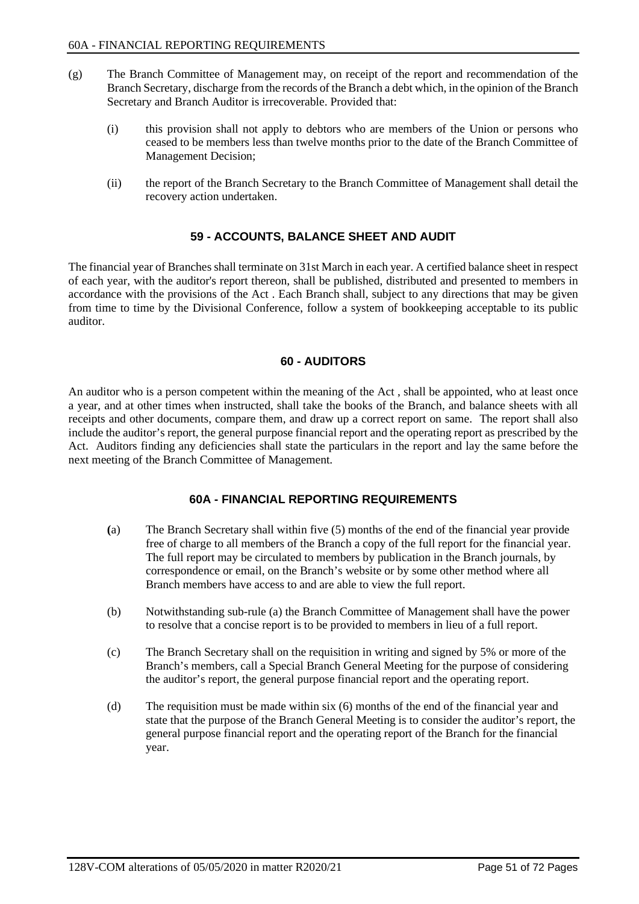- (g) The Branch Committee of Management may, on receipt of the report and recommendation of the Branch Secretary, discharge from the records of the Branch a debt which, in the opinion of the Branch Secretary and Branch Auditor is irrecoverable. Provided that:
	- (i) this provision shall not apply to debtors who are members of the Union or persons who ceased to be members less than twelve months prior to the date of the Branch Committee of Management Decision;
	- (ii) the report of the Branch Secretary to the Branch Committee of Management shall detail the recovery action undertaken.

## **59 - ACCOUNTS, BALANCE SHEET AND AUDIT**

The financial year of Branches shall terminate on 31st March in each year. A certified balance sheet in respect of each year, with the auditor's report thereon, shall be published, distributed and presented to members in accordance with the provisions of the Act . Each Branch shall, subject to any directions that may be given from time to time by the Divisional Conference, follow a system of bookkeeping acceptable to its public auditor.

## **60 - AUDITORS**

An auditor who is a person competent within the meaning of the Act , shall be appointed, who at least once a year, and at other times when instructed, shall take the books of the Branch, and balance sheets with all receipts and other documents, compare them, and draw up a correct report on same. The report shall also include the auditor's report, the general purpose financial report and the operating report as prescribed by the Act.Auditors finding any deficiencies shall state the particulars in the report and lay the same before the next meeting of the Branch Committee of Management.

## **60A - FINANCIAL REPORTING REQUIREMENTS**

- **(**a) The Branch Secretary shall within five (5) months of the end of the financial year provide free of charge to all members of the Branch a copy of the full report for the financial year. The full report may be circulated to members by publication in the Branch journals, by correspondence or email, on the Branch's website or by some other method where all Branch members have access to and are able to view the full report.
- (b) Notwithstanding sub-rule (a) the Branch Committee of Management shall have the power to resolve that a concise report is to be provided to members in lieu of a full report.
- (c) The Branch Secretary shall on the requisition in writing and signed by 5% or more of the Branch's members, call a Special Branch General Meeting for the purpose of considering the auditor's report, the general purpose financial report and the operating report.
- (d) The requisition must be made within six (6) months of the end of the financial year and state that the purpose of the Branch General Meeting is to consider the auditor's report, the general purpose financial report and the operating report of the Branch for the financial year.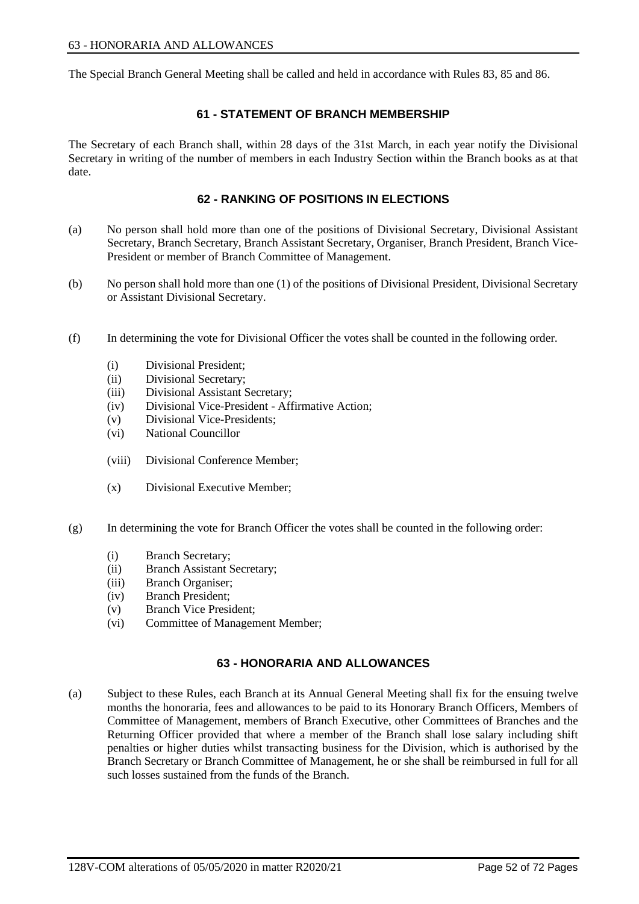The Special Branch General Meeting shall be called and held in accordance with Rules 83, 85 and 86.

# **61 - STATEMENT OF BRANCH MEMBERSHIP**

The Secretary of each Branch shall, within 28 days of the 31st March, in each year notify the Divisional Secretary in writing of the number of members in each Industry Section within the Branch books as at that date.

# **62 - RANKING OF POSITIONS IN ELECTIONS**

- (a) No person shall hold more than one of the positions of Divisional Secretary, Divisional Assistant Secretary, Branch Secretary, Branch Assistant Secretary, Organiser, Branch President, Branch Vice-President or member of Branch Committee of Management.
- (b) No person shall hold more than one (1) of the positions of Divisional President, Divisional Secretary or Assistant Divisional Secretary.
- (f) In determining the vote for Divisional Officer the votes shall be counted in the following order.
	- (i) Divisional President;
	- (ii) Divisional Secretary;
	- (iii) Divisional Assistant Secretary;
	- (iv) Divisional Vice-President Affirmative Action;
	- (v) Divisional Vice-Presidents;
	- (vi) National Councillor
	- (viii) Divisional Conference Member;
	- (x) Divisional Executive Member;
- (g) In determining the vote for Branch Officer the votes shall be counted in the following order:
	- (i) Branch Secretary;
	- (ii) Branch Assistant Secretary;
	- (iii) Branch Organiser;
	- (iv) Branch President;
	- (v) Branch Vice President;
	- (vi) Committee of Management Member;

## **63 - HONORARIA AND ALLOWANCES**

(a) Subject to these Rules, each Branch at its Annual General Meeting shall fix for the ensuing twelve months the honoraria, fees and allowances to be paid to its Honorary Branch Officers, Members of Committee of Management, members of Branch Executive, other Committees of Branches and the Returning Officer provided that where a member of the Branch shall lose salary including shift penalties or higher duties whilst transacting business for the Division, which is authorised by the Branch Secretary or Branch Committee of Management, he or she shall be reimbursed in full for all such losses sustained from the funds of the Branch.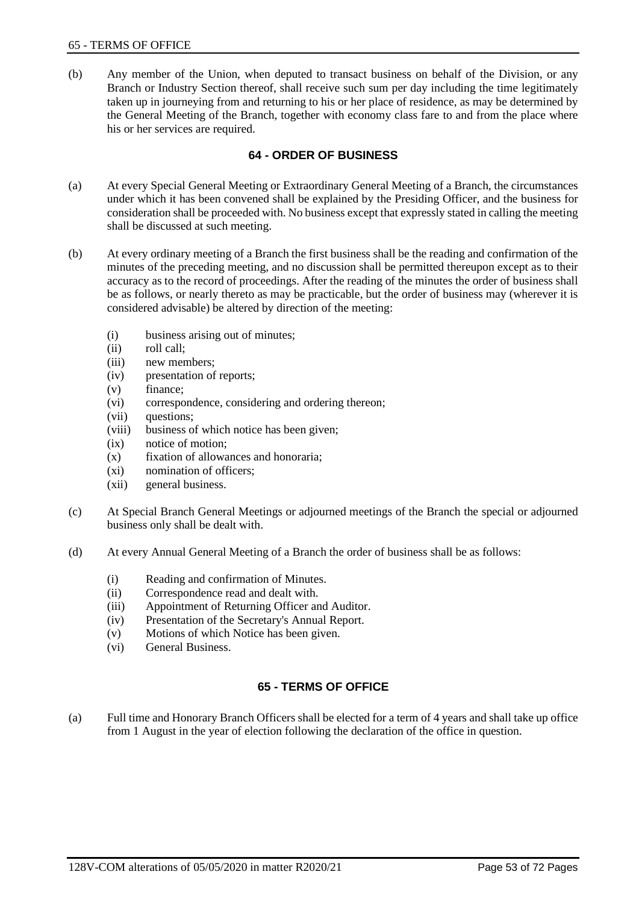(b) Any member of the Union, when deputed to transact business on behalf of the Division, or any Branch or Industry Section thereof, shall receive such sum per day including the time legitimately taken up in journeying from and returning to his or her place of residence, as may be determined by the General Meeting of the Branch, together with economy class fare to and from the place where his or her services are required.

#### **64 - ORDER OF BUSINESS**

- (a) At every Special General Meeting or Extraordinary General Meeting of a Branch, the circumstances under which it has been convened shall be explained by the Presiding Officer, and the business for consideration shall be proceeded with. No business except that expressly stated in calling the meeting shall be discussed at such meeting.
- (b) At every ordinary meeting of a Branch the first business shall be the reading and confirmation of the minutes of the preceding meeting, and no discussion shall be permitted thereupon except as to their accuracy as to the record of proceedings. After the reading of the minutes the order of business shall be as follows, or nearly thereto as may be practicable, but the order of business may (wherever it is considered advisable) be altered by direction of the meeting:
	- (i) business arising out of minutes;
	- (ii) roll call;
	- (iii) new members;
	- (iv) presentation of reports;
	- (v) finance;
	- (vi) correspondence, considering and ordering thereon;
	- (vii) questions;
	- (viii) business of which notice has been given;
	- (ix) notice of motion;
	- (x) fixation of allowances and honoraria;
	- (xi) nomination of officers;
	- (xii) general business.
- (c) At Special Branch General Meetings or adjourned meetings of the Branch the special or adjourned business only shall be dealt with.
- (d) At every Annual General Meeting of a Branch the order of business shall be as follows:
	- (i) Reading and confirmation of Minutes.
	- (ii) Correspondence read and dealt with.
	- (iii) Appointment of Returning Officer and Auditor.
	- (iv) Presentation of the Secretary's Annual Report.
	- (v) Motions of which Notice has been given.
	- (vi) General Business.

# **65 - TERMS OF OFFICE**

(a) Full time and Honorary Branch Officers shall be elected for a term of 4 years and shall take up office from 1 August in the year of election following the declaration of the office in question.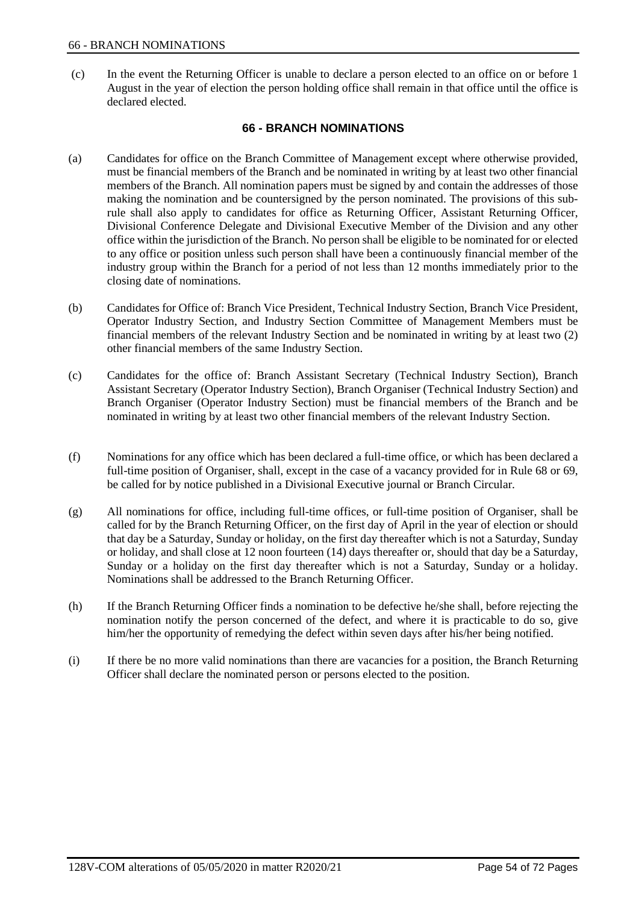(c) In the event the Returning Officer is unable to declare a person elected to an office on or before 1 August in the year of election the person holding office shall remain in that office until the office is declared elected.

## **66 - BRANCH NOMINATIONS**

- (a) Candidates for office on the Branch Committee of Management except where otherwise provided, must be financial members of the Branch and be nominated in writing by at least two other financial members of the Branch. All nomination papers must be signed by and contain the addresses of those making the nomination and be countersigned by the person nominated. The provisions of this subrule shall also apply to candidates for office as Returning Officer, Assistant Returning Officer, Divisional Conference Delegate and Divisional Executive Member of the Division and any other office within the jurisdiction of the Branch. No person shall be eligible to be nominated for or elected to any office or position unless such person shall have been a continuously financial member of the industry group within the Branch for a period of not less than 12 months immediately prior to the closing date of nominations.
- (b) Candidates for Office of: Branch Vice President, Technical Industry Section, Branch Vice President, Operator Industry Section, and Industry Section Committee of Management Members must be financial members of the relevant Industry Section and be nominated in writing by at least two (2) other financial members of the same Industry Section.
- (c) Candidates for the office of: Branch Assistant Secretary (Technical Industry Section), Branch Assistant Secretary (Operator Industry Section), Branch Organiser (Technical Industry Section) and Branch Organiser (Operator Industry Section) must be financial members of the Branch and be nominated in writing by at least two other financial members of the relevant Industry Section.
- (f) Nominations for any office which has been declared a full-time office, or which has been declared a full-time position of Organiser, shall, except in the case of a vacancy provided for in Rule 68 or 69, be called for by notice published in a Divisional Executive journal or Branch Circular.
- (g) All nominations for office, including full-time offices, or full-time position of Organiser, shall be called for by the Branch Returning Officer, on the first day of April in the year of election or should that day be a Saturday, Sunday or holiday, on the first day thereafter which is not a Saturday, Sunday or holiday, and shall close at 12 noon fourteen (14) days thereafter or, should that day be a Saturday, Sunday or a holiday on the first day thereafter which is not a Saturday, Sunday or a holiday. Nominations shall be addressed to the Branch Returning Officer.
- (h) If the Branch Returning Officer finds a nomination to be defective he/she shall, before rejecting the nomination notify the person concerned of the defect, and where it is practicable to do so, give him/her the opportunity of remedying the defect within seven days after his/her being notified.
- (i) If there be no more valid nominations than there are vacancies for a position, the Branch Returning Officer shall declare the nominated person or persons elected to the position.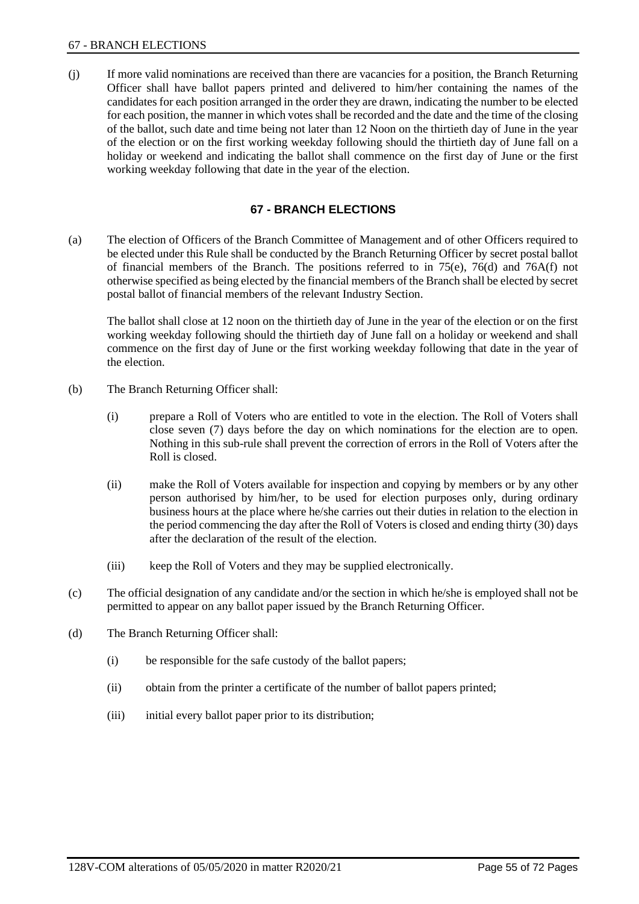(j) If more valid nominations are received than there are vacancies for a position, the Branch Returning Officer shall have ballot papers printed and delivered to him/her containing the names of the candidates for each position arranged in the order they are drawn, indicating the number to be elected for each position, the manner in which votes shall be recorded and the date and the time of the closing of the ballot, such date and time being not later than 12 Noon on the thirtieth day of June in the year of the election or on the first working weekday following should the thirtieth day of June fall on a holiday or weekend and indicating the ballot shall commence on the first day of June or the first working weekday following that date in the year of the election.

#### **67 - BRANCH ELECTIONS**

(a) The election of Officers of the Branch Committee of Management and of other Officers required to be elected under this Rule shall be conducted by the Branch Returning Officer by secret postal ballot of financial members of the Branch. The positions referred to in 75(e), 76(d) and 76A(f) not otherwise specified as being elected by the financial members of the Branch shall be elected by secret postal ballot of financial members of the relevant Industry Section.

The ballot shall close at 12 noon on the thirtieth day of June in the year of the election or on the first working weekday following should the thirtieth day of June fall on a holiday or weekend and shall commence on the first day of June or the first working weekday following that date in the year of the election.

- (b) The Branch Returning Officer shall:
	- (i) prepare a Roll of Voters who are entitled to vote in the election. The Roll of Voters shall close seven (7) days before the day on which nominations for the election are to open. Nothing in this sub-rule shall prevent the correction of errors in the Roll of Voters after the Roll is closed.
	- (ii) make the Roll of Voters available for inspection and copying by members or by any other person authorised by him/her, to be used for election purposes only, during ordinary business hours at the place where he/she carries out their duties in relation to the election in the period commencing the day after the Roll of Voters is closed and ending thirty (30) days after the declaration of the result of the election.
	- (iii) keep the Roll of Voters and they may be supplied electronically.
- (c) The official designation of any candidate and/or the section in which he/she is employed shall not be permitted to appear on any ballot paper issued by the Branch Returning Officer.
- (d) The Branch Returning Officer shall:
	- (i) be responsible for the safe custody of the ballot papers;
	- (ii) obtain from the printer a certificate of the number of ballot papers printed;
	- (iii) initial every ballot paper prior to its distribution;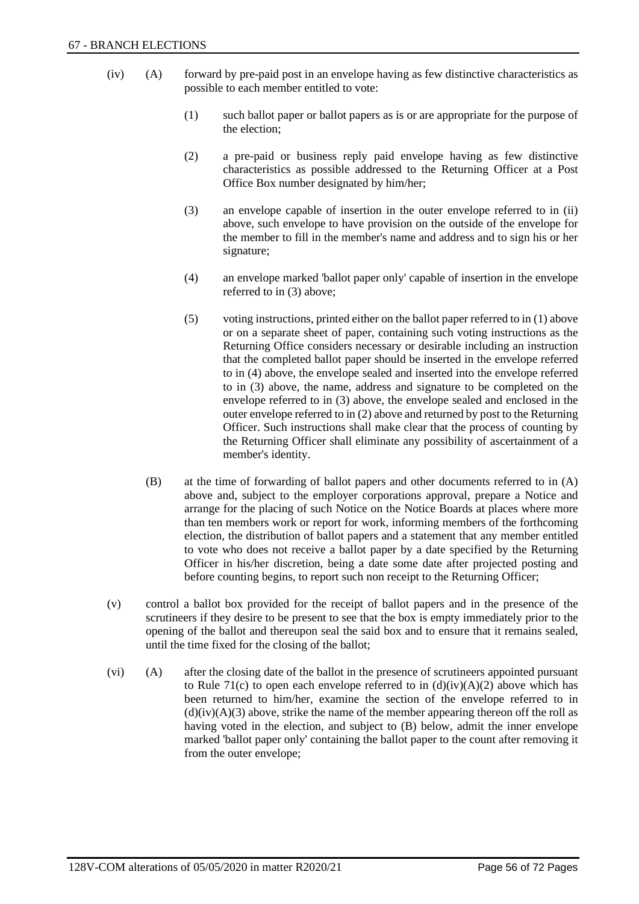- (iv) (A) forward by pre-paid post in an envelope having as few distinctive characteristics as possible to each member entitled to vote:
	- (1) such ballot paper or ballot papers as is or are appropriate for the purpose of the election;
	- (2) a pre-paid or business reply paid envelope having as few distinctive characteristics as possible addressed to the Returning Officer at a Post Office Box number designated by him/her;
	- (3) an envelope capable of insertion in the outer envelope referred to in (ii) above, such envelope to have provision on the outside of the envelope for the member to fill in the member's name and address and to sign his or her signature;
	- (4) an envelope marked 'ballot paper only' capable of insertion in the envelope referred to in (3) above;
	- (5) voting instructions, printed either on the ballot paper referred to in (1) above or on a separate sheet of paper, containing such voting instructions as the Returning Office considers necessary or desirable including an instruction that the completed ballot paper should be inserted in the envelope referred to in (4) above, the envelope sealed and inserted into the envelope referred to in (3) above, the name, address and signature to be completed on the envelope referred to in (3) above, the envelope sealed and enclosed in the outer envelope referred to in (2) above and returned by post to the Returning Officer. Such instructions shall make clear that the process of counting by the Returning Officer shall eliminate any possibility of ascertainment of a member's identity.
	- (B) at the time of forwarding of ballot papers and other documents referred to in (A) above and, subject to the employer corporations approval, prepare a Notice and arrange for the placing of such Notice on the Notice Boards at places where more than ten members work or report for work, informing members of the forthcoming election, the distribution of ballot papers and a statement that any member entitled to vote who does not receive a ballot paper by a date specified by the Returning Officer in his/her discretion, being a date some date after projected posting and before counting begins, to report such non receipt to the Returning Officer;
- (v) control a ballot box provided for the receipt of ballot papers and in the presence of the scrutineers if they desire to be present to see that the box is empty immediately prior to the opening of the ballot and thereupon seal the said box and to ensure that it remains sealed, until the time fixed for the closing of the ballot;
- (vi) (A) after the closing date of the ballot in the presence of scrutineers appointed pursuant to Rule 71(c) to open each envelope referred to in  $(d)(iv)(A)(2)$  above which has been returned to him/her, examine the section of the envelope referred to in  $(d)(iv)(A)(3)$  above, strike the name of the member appearing thereon off the roll as having voted in the election, and subject to (B) below, admit the inner envelope marked 'ballot paper only' containing the ballot paper to the count after removing it from the outer envelope;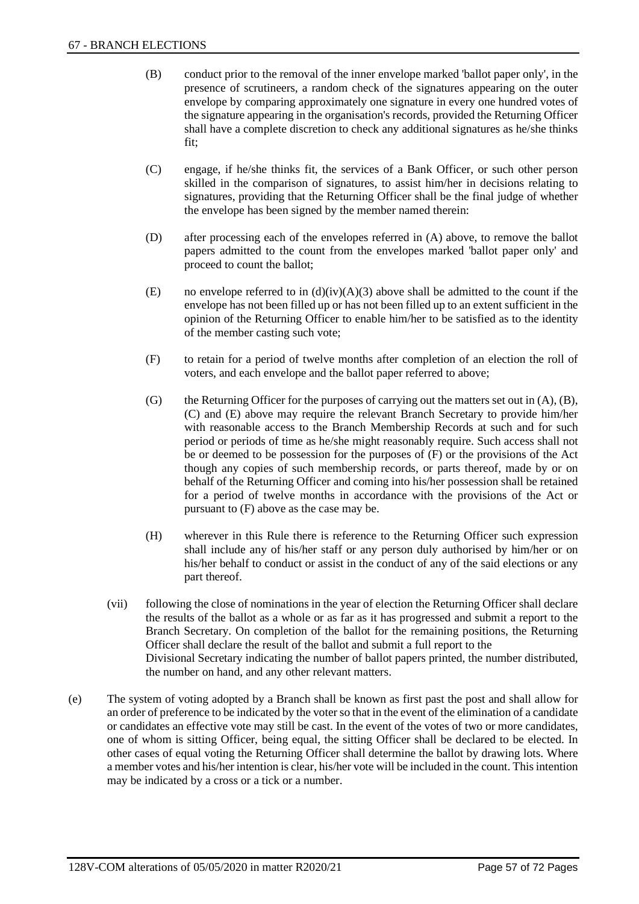- (B) conduct prior to the removal of the inner envelope marked 'ballot paper only', in the presence of scrutineers, a random check of the signatures appearing on the outer envelope by comparing approximately one signature in every one hundred votes of the signature appearing in the organisation's records, provided the Returning Officer shall have a complete discretion to check any additional signatures as he/she thinks fit;
- (C) engage, if he/she thinks fit, the services of a Bank Officer, or such other person skilled in the comparison of signatures, to assist him/her in decisions relating to signatures, providing that the Returning Officer shall be the final judge of whether the envelope has been signed by the member named therein:
- (D) after processing each of the envelopes referred in (A) above, to remove the ballot papers admitted to the count from the envelopes marked 'ballot paper only' and proceed to count the ballot;
- (E) no envelope referred to in  $(d)(iv)(A)(3)$  above shall be admitted to the count if the envelope has not been filled up or has not been filled up to an extent sufficient in the opinion of the Returning Officer to enable him/her to be satisfied as to the identity of the member casting such vote;
- (F) to retain for a period of twelve months after completion of an election the roll of voters, and each envelope and the ballot paper referred to above;
- (G) the Returning Officer for the purposes of carrying out the matters set out in  $(A)$ ,  $(B)$ , (C) and (E) above may require the relevant Branch Secretary to provide him/her with reasonable access to the Branch Membership Records at such and for such period or periods of time as he/she might reasonably require. Such access shall not be or deemed to be possession for the purposes of (F) or the provisions of the Act though any copies of such membership records, or parts thereof, made by or on behalf of the Returning Officer and coming into his/her possession shall be retained for a period of twelve months in accordance with the provisions of the Act or pursuant to (F) above as the case may be.
- (H) wherever in this Rule there is reference to the Returning Officer such expression shall include any of his/her staff or any person duly authorised by him/her or on his/her behalf to conduct or assist in the conduct of any of the said elections or any part thereof.
- (vii) following the close of nominations in the year of election the Returning Officer shall declare the results of the ballot as a whole or as far as it has progressed and submit a report to the Branch Secretary. On completion of the ballot for the remaining positions, the Returning Officer shall declare the result of the ballot and submit a full report to the Divisional Secretary indicating the number of ballot papers printed, the number distributed, the number on hand, and any other relevant matters.
- (e) The system of voting adopted by a Branch shall be known as first past the post and shall allow for an order of preference to be indicated by the voter so that in the event of the elimination of a candidate or candidates an effective vote may still be cast. In the event of the votes of two or more candidates, one of whom is sitting Officer, being equal, the sitting Officer shall be declared to be elected. In other cases of equal voting the Returning Officer shall determine the ballot by drawing lots. Where a member votes and his/her intention is clear, his/her vote will be included in the count. This intention may be indicated by a cross or a tick or a number.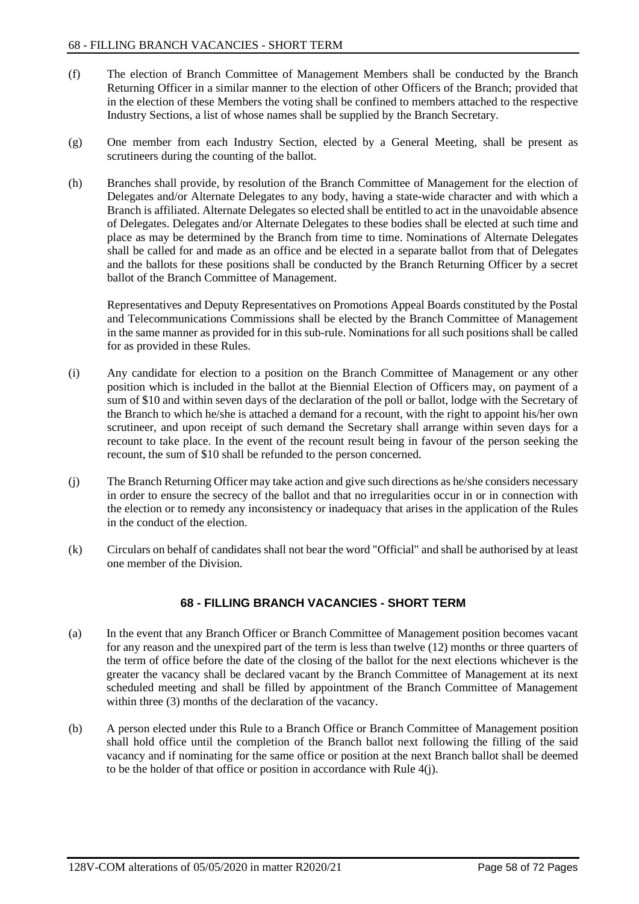- (f) The election of Branch Committee of Management Members shall be conducted by the Branch Returning Officer in a similar manner to the election of other Officers of the Branch; provided that in the election of these Members the voting shall be confined to members attached to the respective Industry Sections, a list of whose names shall be supplied by the Branch Secretary.
- (g) One member from each Industry Section, elected by a General Meeting, shall be present as scrutineers during the counting of the ballot.
- (h) Branches shall provide, by resolution of the Branch Committee of Management for the election of Delegates and/or Alternate Delegates to any body, having a state-wide character and with which a Branch is affiliated. Alternate Delegates so elected shall be entitled to act in the unavoidable absence of Delegates. Delegates and/or Alternate Delegates to these bodies shall be elected at such time and place as may be determined by the Branch from time to time. Nominations of Alternate Delegates shall be called for and made as an office and be elected in a separate ballot from that of Delegates and the ballots for these positions shall be conducted by the Branch Returning Officer by a secret ballot of the Branch Committee of Management.

Representatives and Deputy Representatives on Promotions Appeal Boards constituted by the Postal and Telecommunications Commissions shall be elected by the Branch Committee of Management in the same manner as provided for in this sub-rule. Nominations for all such positions shall be called for as provided in these Rules.

- (i) Any candidate for election to a position on the Branch Committee of Management or any other position which is included in the ballot at the Biennial Election of Officers may, on payment of a sum of \$10 and within seven days of the declaration of the poll or ballot, lodge with the Secretary of the Branch to which he/she is attached a demand for a recount, with the right to appoint his/her own scrutineer, and upon receipt of such demand the Secretary shall arrange within seven days for a recount to take place. In the event of the recount result being in favour of the person seeking the recount, the sum of \$10 shall be refunded to the person concerned.
- (j) The Branch Returning Officer may take action and give such directions as he/she considers necessary in order to ensure the secrecy of the ballot and that no irregularities occur in or in connection with the election or to remedy any inconsistency or inadequacy that arises in the application of the Rules in the conduct of the election.
- (k) Circulars on behalf of candidates shall not bear the word "Official" and shall be authorised by at least one member of the Division.

## **68 - FILLING BRANCH VACANCIES - SHORT TERM**

- (a) In the event that any Branch Officer or Branch Committee of Management position becomes vacant for any reason and the unexpired part of the term is less than twelve (12) months or three quarters of the term of office before the date of the closing of the ballot for the next elections whichever is the greater the vacancy shall be declared vacant by the Branch Committee of Management at its next scheduled meeting and shall be filled by appointment of the Branch Committee of Management within three (3) months of the declaration of the vacancy.
- (b) A person elected under this Rule to a Branch Office or Branch Committee of Management position shall hold office until the completion of the Branch ballot next following the filling of the said vacancy and if nominating for the same office or position at the next Branch ballot shall be deemed to be the holder of that office or position in accordance with Rule 4(j).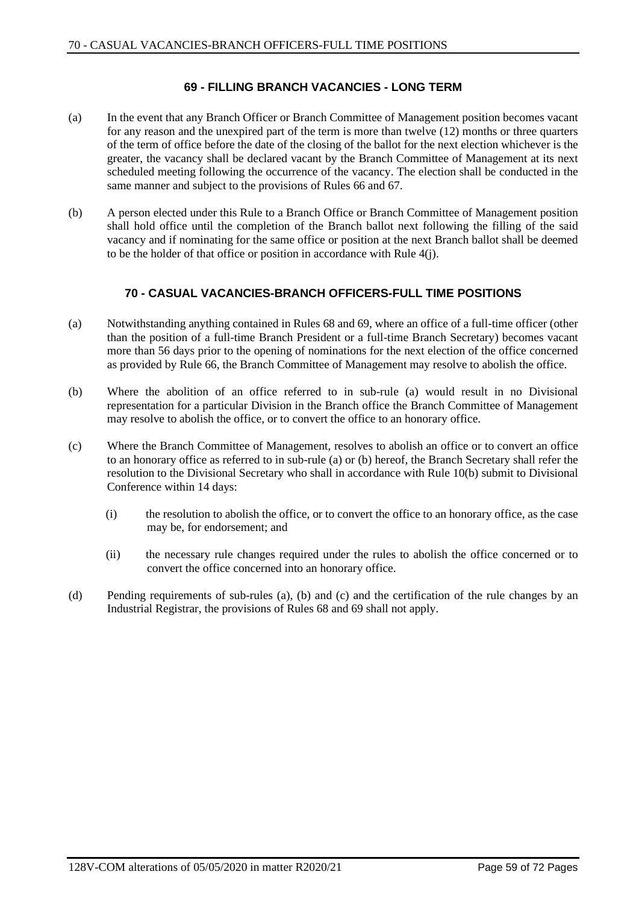# **69 - FILLING BRANCH VACANCIES - LONG TERM**

- (a) In the event that any Branch Officer or Branch Committee of Management position becomes vacant for any reason and the unexpired part of the term is more than twelve (12) months or three quarters of the term of office before the date of the closing of the ballot for the next election whichever is the greater, the vacancy shall be declared vacant by the Branch Committee of Management at its next scheduled meeting following the occurrence of the vacancy. The election shall be conducted in the same manner and subject to the provisions of Rules 66 and 67.
- (b) A person elected under this Rule to a Branch Office or Branch Committee of Management position shall hold office until the completion of the Branch ballot next following the filling of the said vacancy and if nominating for the same office or position at the next Branch ballot shall be deemed to be the holder of that office or position in accordance with Rule 4(j).

## **70 - CASUAL VACANCIES-BRANCH OFFICERS-FULL TIME POSITIONS**

- (a) Notwithstanding anything contained in Rules 68 and 69, where an office of a full-time officer (other than the position of a full-time Branch President or a full-time Branch Secretary) becomes vacant more than 56 days prior to the opening of nominations for the next election of the office concerned as provided by Rule 66, the Branch Committee of Management may resolve to abolish the office.
- (b) Where the abolition of an office referred to in sub-rule (a) would result in no Divisional representation for a particular Division in the Branch office the Branch Committee of Management may resolve to abolish the office, or to convert the office to an honorary office.
- (c) Where the Branch Committee of Management, resolves to abolish an office or to convert an office to an honorary office as referred to in sub-rule (a) or (b) hereof, the Branch Secretary shall refer the resolution to the Divisional Secretary who shall in accordance with Rule 10(b) submit to Divisional Conference within 14 days:
	- (i) the resolution to abolish the office, or to convert the office to an honorary office, as the case may be, for endorsement; and
	- (ii) the necessary rule changes required under the rules to abolish the office concerned or to convert the office concerned into an honorary office.
- (d) Pending requirements of sub-rules (a), (b) and (c) and the certification of the rule changes by an Industrial Registrar, the provisions of Rules 68 and 69 shall not apply.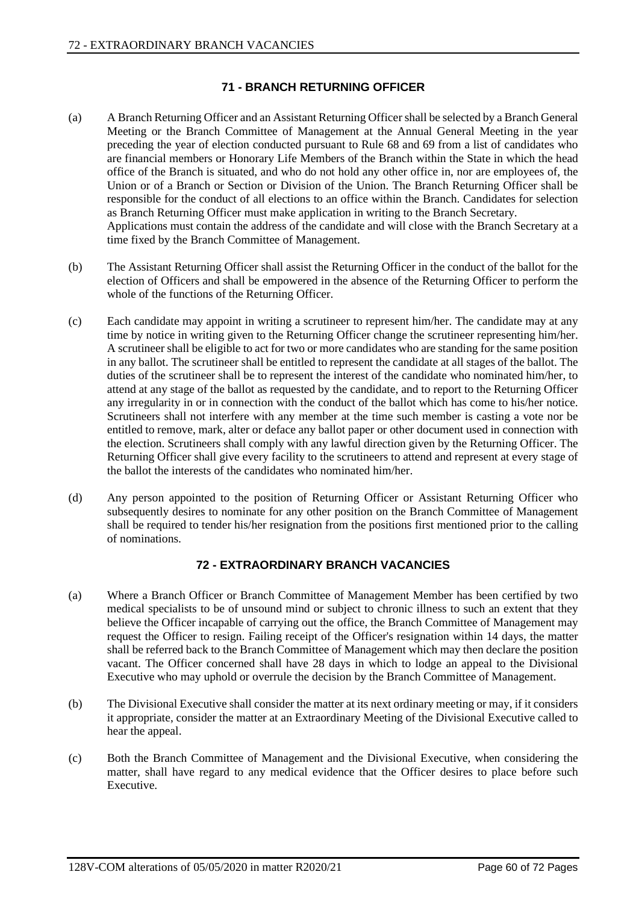# **71 - BRANCH RETURNING OFFICER**

- (a) A Branch Returning Officer and an Assistant Returning Officer shall be selected by a Branch General Meeting or the Branch Committee of Management at the Annual General Meeting in the year preceding the year of election conducted pursuant to Rule 68 and 69 from a list of candidates who are financial members or Honorary Life Members of the Branch within the State in which the head office of the Branch is situated, and who do not hold any other office in, nor are employees of, the Union or of a Branch or Section or Division of the Union. The Branch Returning Officer shall be responsible for the conduct of all elections to an office within the Branch. Candidates for selection as Branch Returning Officer must make application in writing to the Branch Secretary. Applications must contain the address of the candidate and will close with the Branch Secretary at a time fixed by the Branch Committee of Management.
- (b) The Assistant Returning Officer shall assist the Returning Officer in the conduct of the ballot for the election of Officers and shall be empowered in the absence of the Returning Officer to perform the whole of the functions of the Returning Officer.
- (c) Each candidate may appoint in writing a scrutineer to represent him/her. The candidate may at any time by notice in writing given to the Returning Officer change the scrutineer representing him/her. A scrutineer shall be eligible to act for two or more candidates who are standing for the same position in any ballot. The scrutineer shall be entitled to represent the candidate at all stages of the ballot. The duties of the scrutineer shall be to represent the interest of the candidate who nominated him/her, to attend at any stage of the ballot as requested by the candidate, and to report to the Returning Officer any irregularity in or in connection with the conduct of the ballot which has come to his/her notice. Scrutineers shall not interfere with any member at the time such member is casting a vote nor be entitled to remove, mark, alter or deface any ballot paper or other document used in connection with the election. Scrutineers shall comply with any lawful direction given by the Returning Officer. The Returning Officer shall give every facility to the scrutineers to attend and represent at every stage of the ballot the interests of the candidates who nominated him/her.
- (d) Any person appointed to the position of Returning Officer or Assistant Returning Officer who subsequently desires to nominate for any other position on the Branch Committee of Management shall be required to tender his/her resignation from the positions first mentioned prior to the calling of nominations.

## **72 - EXTRAORDINARY BRANCH VACANCIES**

- (a) Where a Branch Officer or Branch Committee of Management Member has been certified by two medical specialists to be of unsound mind or subject to chronic illness to such an extent that they believe the Officer incapable of carrying out the office, the Branch Committee of Management may request the Officer to resign. Failing receipt of the Officer's resignation within 14 days, the matter shall be referred back to the Branch Committee of Management which may then declare the position vacant. The Officer concerned shall have 28 days in which to lodge an appeal to the Divisional Executive who may uphold or overrule the decision by the Branch Committee of Management.
- (b) The Divisional Executive shall consider the matter at its next ordinary meeting or may, if it considers it appropriate, consider the matter at an Extraordinary Meeting of the Divisional Executive called to hear the appeal.
- (c) Both the Branch Committee of Management and the Divisional Executive, when considering the matter, shall have regard to any medical evidence that the Officer desires to place before such Executive.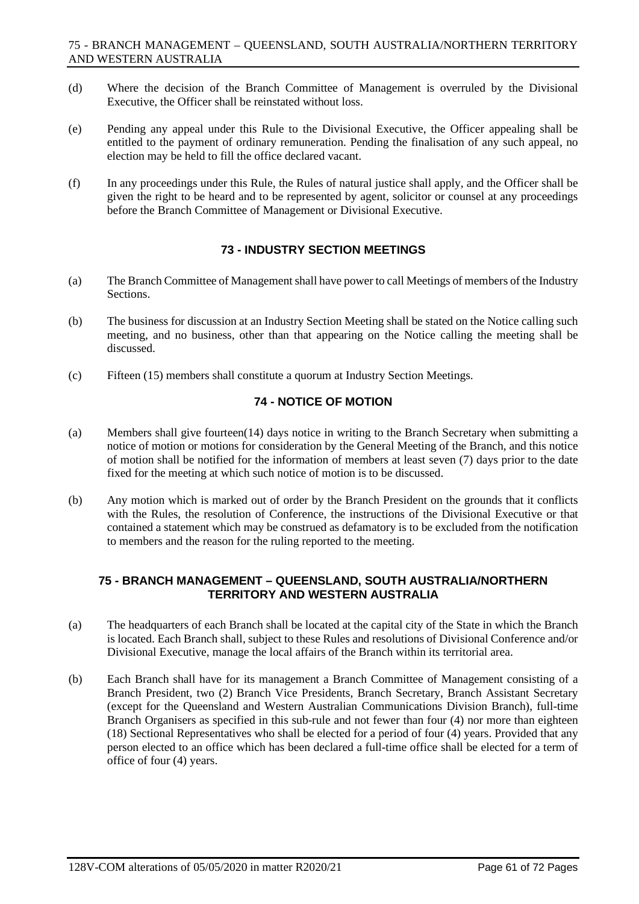- (d) Where the decision of the Branch Committee of Management is overruled by the Divisional Executive, the Officer shall be reinstated without loss.
- (e) Pending any appeal under this Rule to the Divisional Executive, the Officer appealing shall be entitled to the payment of ordinary remuneration. Pending the finalisation of any such appeal, no election may be held to fill the office declared vacant.
- (f) In any proceedings under this Rule, the Rules of natural justice shall apply, and the Officer shall be given the right to be heard and to be represented by agent, solicitor or counsel at any proceedings before the Branch Committee of Management or Divisional Executive.

# **73 - INDUSTRY SECTION MEETINGS**

- (a) The Branch Committee of Management shall have power to call Meetings of members of the Industry Sections.
- (b) The business for discussion at an Industry Section Meeting shall be stated on the Notice calling such meeting, and no business, other than that appearing on the Notice calling the meeting shall be discussed.
- (c) Fifteen (15) members shall constitute a quorum at Industry Section Meetings.

# **74 - NOTICE OF MOTION**

- (a) Members shall give fourteen(14) days notice in writing to the Branch Secretary when submitting a notice of motion or motions for consideration by the General Meeting of the Branch, and this notice of motion shall be notified for the information of members at least seven (7) days prior to the date fixed for the meeting at which such notice of motion is to be discussed.
- (b) Any motion which is marked out of order by the Branch President on the grounds that it conflicts with the Rules, the resolution of Conference, the instructions of the Divisional Executive or that contained a statement which may be construed as defamatory is to be excluded from the notification to members and the reason for the ruling reported to the meeting.

## **75 - BRANCH MANAGEMENT – QUEENSLAND, SOUTH AUSTRALIA/NORTHERN TERRITORY AND WESTERN AUSTRALIA**

- (a) The headquarters of each Branch shall be located at the capital city of the State in which the Branch is located. Each Branch shall, subject to these Rules and resolutions of Divisional Conference and/or Divisional Executive, manage the local affairs of the Branch within its territorial area.
- (b) Each Branch shall have for its management a Branch Committee of Management consisting of a Branch President, two (2) Branch Vice Presidents, Branch Secretary, Branch Assistant Secretary (except for the Queensland and Western Australian Communications Division Branch), full-time Branch Organisers as specified in this sub-rule and not fewer than four (4) nor more than eighteen (18) Sectional Representatives who shall be elected for a period of four (4) years. Provided that any person elected to an office which has been declared a full-time office shall be elected for a term of office of four (4) years.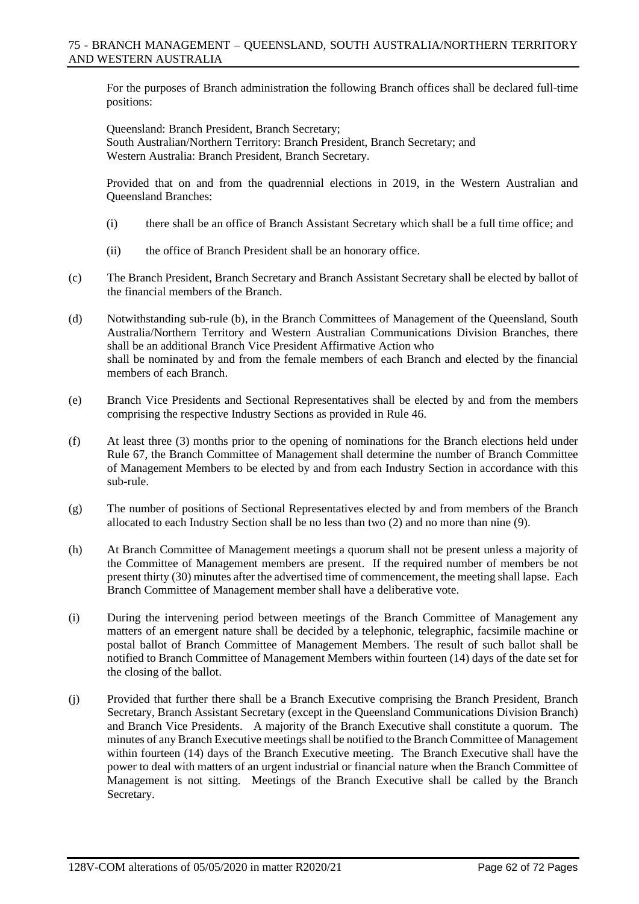For the purposes of Branch administration the following Branch offices shall be declared full-time positions:

Queensland: Branch President, Branch Secretary; South Australian/Northern Territory: Branch President, Branch Secretary; and Western Australia: Branch President, Branch Secretary.

Provided that on and from the quadrennial elections in 2019, in the Western Australian and Queensland Branches:

- (i) there shall be an office of Branch Assistant Secretary which shall be a full time office; and
- (ii) the office of Branch President shall be an honorary office.
- (c) The Branch President, Branch Secretary and Branch Assistant Secretary shall be elected by ballot of the financial members of the Branch.
- (d) Notwithstanding sub-rule (b), in the Branch Committees of Management of the Queensland, South Australia/Northern Territory and Western Australian Communications Division Branches, there shall be an additional Branch Vice President Affirmative Action who shall be nominated by and from the female members of each Branch and elected by the financial members of each Branch.
- (e) Branch Vice Presidents and Sectional Representatives shall be elected by and from the members comprising the respective Industry Sections as provided in Rule 46.
- (f) At least three (3) months prior to the opening of nominations for the Branch elections held under Rule 67, the Branch Committee of Management shall determine the number of Branch Committee of Management Members to be elected by and from each Industry Section in accordance with this sub-rule.
- (g) The number of positions of Sectional Representatives elected by and from members of the Branch allocated to each Industry Section shall be no less than two (2) and no more than nine (9).
- (h) At Branch Committee of Management meetings a quorum shall not be present unless a majority of the Committee of Management members are present. If the required number of members be not present thirty (30) minutes after the advertised time of commencement, the meeting shall lapse. Each Branch Committee of Management member shall have a deliberative vote.
- (i) During the intervening period between meetings of the Branch Committee of Management any matters of an emergent nature shall be decided by a telephonic, telegraphic, facsimile machine or postal ballot of Branch Committee of Management Members. The result of such ballot shall be notified to Branch Committee of Management Members within fourteen (14) days of the date set for the closing of the ballot.
- (j) Provided that further there shall be a Branch Executive comprising the Branch President, Branch Secretary, Branch Assistant Secretary (except in the Queensland Communications Division Branch) and Branch Vice Presidents. A majority of the Branch Executive shall constitute a quorum. The minutes of any Branch Executive meetings shall be notified to the Branch Committee of Management within fourteen (14) days of the Branch Executive meeting. The Branch Executive shall have the power to deal with matters of an urgent industrial or financial nature when the Branch Committee of Management is not sitting. Meetings of the Branch Executive shall be called by the Branch Secretary.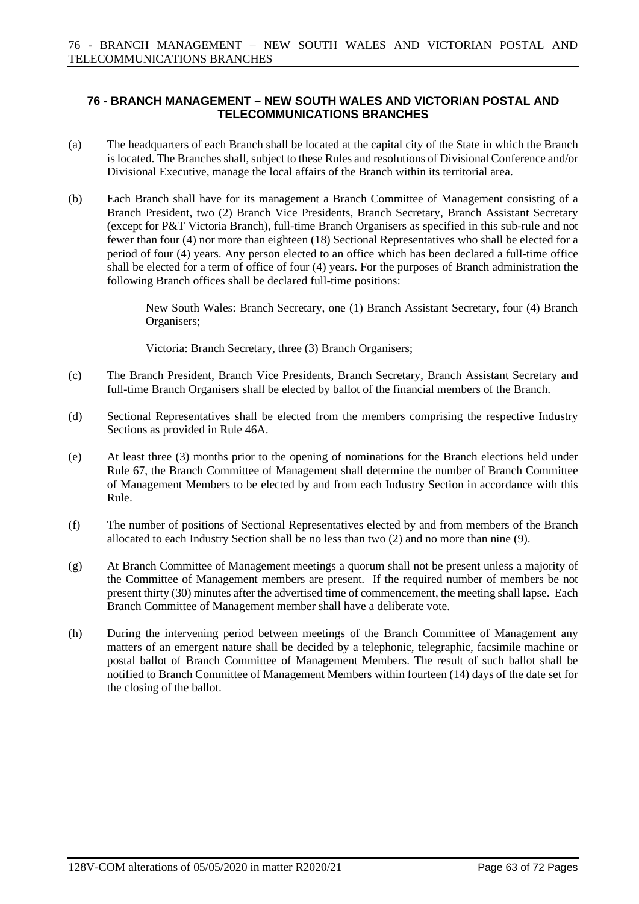# **76 - BRANCH MANAGEMENT – NEW SOUTH WALES AND VICTORIAN POSTAL AND TELECOMMUNICATIONS BRANCHES**

- (a) The headquarters of each Branch shall be located at the capital city of the State in which the Branch is located. The Branches shall, subject to these Rules and resolutions of Divisional Conference and/or Divisional Executive, manage the local affairs of the Branch within its territorial area.
- (b) Each Branch shall have for its management a Branch Committee of Management consisting of a Branch President, two (2) Branch Vice Presidents, Branch Secretary, Branch Assistant Secretary (except for P&T Victoria Branch), full-time Branch Organisers as specified in this sub-rule and not fewer than four (4) nor more than eighteen (18) Sectional Representatives who shall be elected for a period of four (4) years. Any person elected to an office which has been declared a full-time office shall be elected for a term of office of four (4) years. For the purposes of Branch administration the following Branch offices shall be declared full-time positions:

New South Wales: Branch Secretary, one (1) Branch Assistant Secretary, four (4) Branch Organisers;

Victoria: Branch Secretary, three (3) Branch Organisers;

- (c) The Branch President, Branch Vice Presidents, Branch Secretary, Branch Assistant Secretary and full-time Branch Organisers shall be elected by ballot of the financial members of the Branch.
- (d) Sectional Representatives shall be elected from the members comprising the respective Industry Sections as provided in Rule 46A.
- (e) At least three (3) months prior to the opening of nominations for the Branch elections held under Rule 67, the Branch Committee of Management shall determine the number of Branch Committee of Management Members to be elected by and from each Industry Section in accordance with this Rule.
- (f) The number of positions of Sectional Representatives elected by and from members of the Branch allocated to each Industry Section shall be no less than two (2) and no more than nine (9).
- (g) At Branch Committee of Management meetings a quorum shall not be present unless a majority of the Committee of Management members are present. If the required number of members be not present thirty (30) minutes after the advertised time of commencement, the meeting shall lapse. Each Branch Committee of Management member shall have a deliberate vote.
- (h) During the intervening period between meetings of the Branch Committee of Management any matters of an emergent nature shall be decided by a telephonic, telegraphic, facsimile machine or postal ballot of Branch Committee of Management Members. The result of such ballot shall be notified to Branch Committee of Management Members within fourteen (14) days of the date set for the closing of the ballot.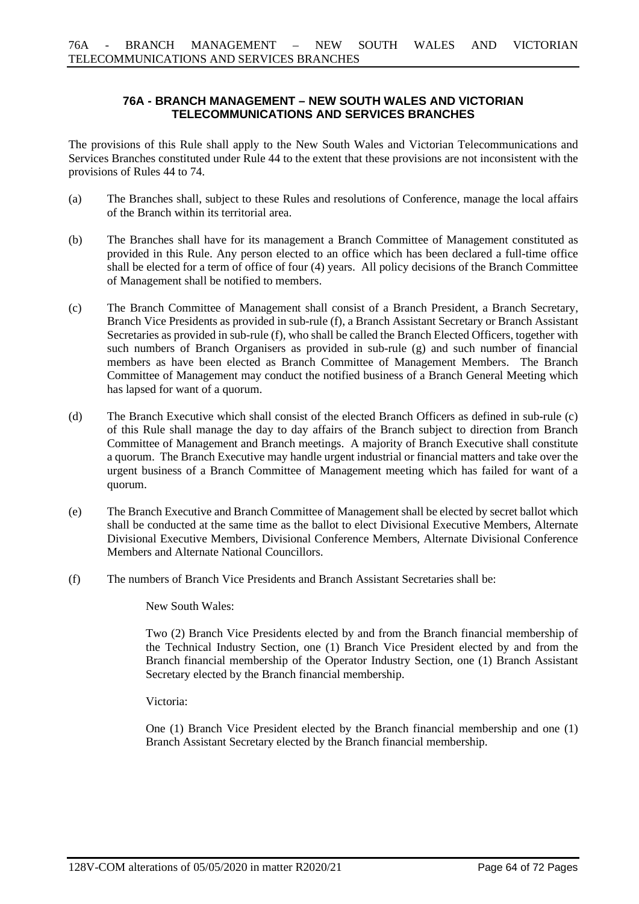# **76A - BRANCH MANAGEMENT – NEW SOUTH WALES AND VICTORIAN TELECOMMUNICATIONS AND SERVICES BRANCHES**

The provisions of this Rule shall apply to the New South Wales and Victorian Telecommunications and Services Branches constituted under Rule 44 to the extent that these provisions are not inconsistent with the provisions of Rules 44 to 74.

- (a) The Branches shall, subject to these Rules and resolutions of Conference, manage the local affairs of the Branch within its territorial area.
- (b) The Branches shall have for its management a Branch Committee of Management constituted as provided in this Rule. Any person elected to an office which has been declared a full-time office shall be elected for a term of office of four (4) years. All policy decisions of the Branch Committee of Management shall be notified to members.
- (c) The Branch Committee of Management shall consist of a Branch President, a Branch Secretary, Branch Vice Presidents as provided in sub-rule (f), a Branch Assistant Secretary or Branch Assistant Secretaries as provided in sub-rule (f), who shall be called the Branch Elected Officers, together with such numbers of Branch Organisers as provided in sub-rule (g) and such number of financial members as have been elected as Branch Committee of Management Members. The Branch Committee of Management may conduct the notified business of a Branch General Meeting which has lapsed for want of a quorum.
- (d) The Branch Executive which shall consist of the elected Branch Officers as defined in sub-rule (c) of this Rule shall manage the day to day affairs of the Branch subject to direction from Branch Committee of Management and Branch meetings. A majority of Branch Executive shall constitute a quorum. The Branch Executive may handle urgent industrial or financial matters and take over the urgent business of a Branch Committee of Management meeting which has failed for want of a quorum.
- (e) The Branch Executive and Branch Committee of Management shall be elected by secret ballot which shall be conducted at the same time as the ballot to elect Divisional Executive Members, Alternate Divisional Executive Members, Divisional Conference Members, Alternate Divisional Conference Members and Alternate National Councillors.
- (f) The numbers of Branch Vice Presidents and Branch Assistant Secretaries shall be:

New South Wales:

Two (2) Branch Vice Presidents elected by and from the Branch financial membership of the Technical Industry Section, one (1) Branch Vice President elected by and from the Branch financial membership of the Operator Industry Section, one (1) Branch Assistant Secretary elected by the Branch financial membership.

Victoria:

One (1) Branch Vice President elected by the Branch financial membership and one (1) Branch Assistant Secretary elected by the Branch financial membership.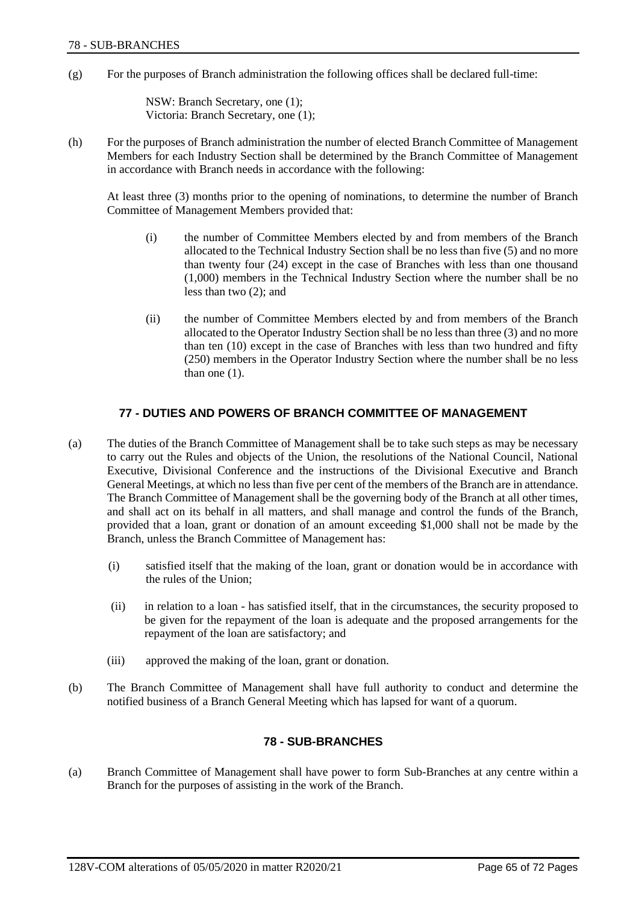(g) For the purposes of Branch administration the following offices shall be declared full-time:

NSW: Branch Secretary, one (1); Victoria: Branch Secretary, one (1);

(h) For the purposes of Branch administration the number of elected Branch Committee of Management Members for each Industry Section shall be determined by the Branch Committee of Management in accordance with Branch needs in accordance with the following:

At least three (3) months prior to the opening of nominations, to determine the number of Branch Committee of Management Members provided that:

- (i) the number of Committee Members elected by and from members of the Branch allocated to the Technical Industry Section shall be no less than five (5) and no more than twenty four (24) except in the case of Branches with less than one thousand (1,000) members in the Technical Industry Section where the number shall be no less than two (2); and
- (ii) the number of Committee Members elected by and from members of the Branch allocated to the Operator Industry Section shall be no less than three (3) and no more than ten (10) except in the case of Branches with less than two hundred and fifty (250) members in the Operator Industry Section where the number shall be no less than one (1).

# **77 - DUTIES AND POWERS OF BRANCH COMMITTEE OF MANAGEMENT**

- (a) The duties of the Branch Committee of Management shall be to take such steps as may be necessary to carry out the Rules and objects of the Union, the resolutions of the National Council, National Executive, Divisional Conference and the instructions of the Divisional Executive and Branch General Meetings, at which no less than five per cent of the members of the Branch are in attendance. The Branch Committee of Management shall be the governing body of the Branch at all other times, and shall act on its behalf in all matters, and shall manage and control the funds of the Branch, provided that a loan, grant or donation of an amount exceeding \$1,000 shall not be made by the Branch, unless the Branch Committee of Management has:
	- (i) satisfied itself that the making of the loan, grant or donation would be in accordance with the rules of the Union;
	- (ii) in relation to a loan has satisfied itself, that in the circumstances, the security proposed to be given for the repayment of the loan is adequate and the proposed arrangements for the repayment of the loan are satisfactory; and
	- (iii) approved the making of the loan, grant or donation.
- (b) The Branch Committee of Management shall have full authority to conduct and determine the notified business of a Branch General Meeting which has lapsed for want of a quorum.

# **78 - SUB-BRANCHES**

(a) Branch Committee of Management shall have power to form Sub-Branches at any centre within a Branch for the purposes of assisting in the work of the Branch.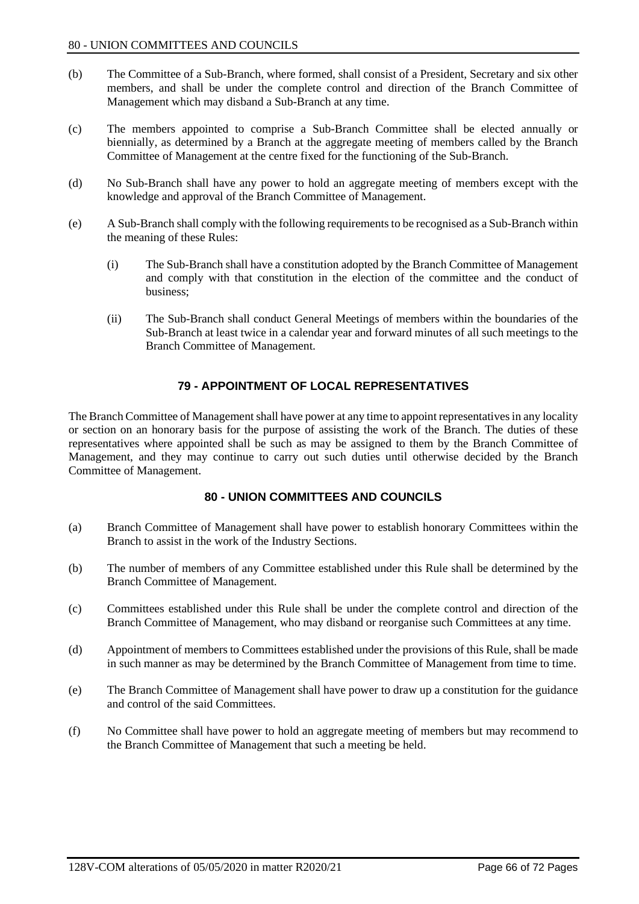- (b) The Committee of a Sub-Branch, where formed, shall consist of a President, Secretary and six other members, and shall be under the complete control and direction of the Branch Committee of Management which may disband a Sub-Branch at any time.
- (c) The members appointed to comprise a Sub-Branch Committee shall be elected annually or biennially, as determined by a Branch at the aggregate meeting of members called by the Branch Committee of Management at the centre fixed for the functioning of the Sub-Branch.
- (d) No Sub-Branch shall have any power to hold an aggregate meeting of members except with the knowledge and approval of the Branch Committee of Management.
- (e) A Sub-Branch shall comply with the following requirements to be recognised as a Sub-Branch within the meaning of these Rules:
	- (i) The Sub-Branch shall have a constitution adopted by the Branch Committee of Management and comply with that constitution in the election of the committee and the conduct of business;
	- (ii) The Sub-Branch shall conduct General Meetings of members within the boundaries of the Sub-Branch at least twice in a calendar year and forward minutes of all such meetings to the Branch Committee of Management.

# **79 - APPOINTMENT OF LOCAL REPRESENTATIVES**

The Branch Committee of Management shall have power at any time to appoint representatives in any locality or section on an honorary basis for the purpose of assisting the work of the Branch. The duties of these representatives where appointed shall be such as may be assigned to them by the Branch Committee of Management, and they may continue to carry out such duties until otherwise decided by the Branch Committee of Management.

## **80 - UNION COMMITTEES AND COUNCILS**

- (a) Branch Committee of Management shall have power to establish honorary Committees within the Branch to assist in the work of the Industry Sections.
- (b) The number of members of any Committee established under this Rule shall be determined by the Branch Committee of Management.
- (c) Committees established under this Rule shall be under the complete control and direction of the Branch Committee of Management, who may disband or reorganise such Committees at any time.
- (d) Appointment of members to Committees established under the provisions of this Rule, shall be made in such manner as may be determined by the Branch Committee of Management from time to time.
- (e) The Branch Committee of Management shall have power to draw up a constitution for the guidance and control of the said Committees.
- (f) No Committee shall have power to hold an aggregate meeting of members but may recommend to the Branch Committee of Management that such a meeting be held.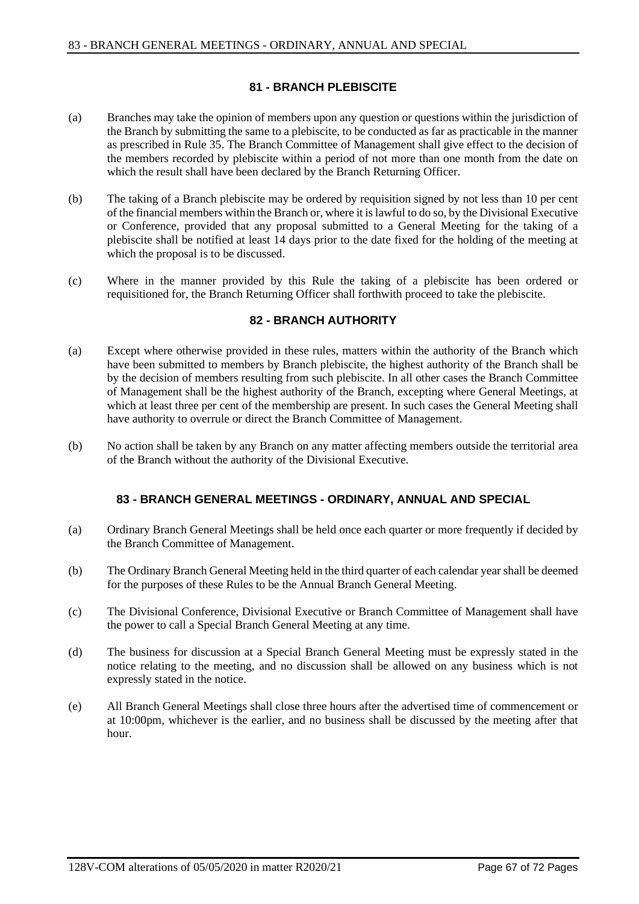## **81 - BRANCH PLEBISCITE**

- (a) Branches may take the opinion of members upon any question or questions within the jurisdiction of the Branch by submitting the same to a plebiscite, to be conducted as far as practicable in the manner as prescribed in Rule 35. The Branch Committee of Management shall give effect to the decision of the members recorded by plebiscite within a period of not more than one month from the date on which the result shall have been declared by the Branch Returning Officer.
- (b) The taking of a Branch plebiscite may be ordered by requisition signed by not less than 10 per cent of the financial members within the Branch or, where it is lawful to do so, by the Divisional Executive or Conference, provided that any proposal submitted to a General Meeting for the taking of a plebiscite shall be notified at least 14 days prior to the date fixed for the holding of the meeting at which the proposal is to be discussed.
- (c) Where in the manner provided by this Rule the taking of a plebiscite has been ordered or requisitioned for, the Branch Returning Officer shall forthwith proceed to take the plebiscite.

## **82 - BRANCH AUTHORITY**

- (a) Except where otherwise provided in these rules, matters within the authority of the Branch which have been submitted to members by Branch plebiscite, the highest authority of the Branch shall be by the decision of members resulting from such plebiscite. In all other cases the Branch Committee of Management shall be the highest authority of the Branch, excepting where General Meetings, at which at least three per cent of the membership are present. In such cases the General Meeting shall have authority to overrule or direct the Branch Committee of Management.
- (b) No action shall be taken by any Branch on any matter affecting members outside the territorial area of the Branch without the authority of the Divisional Executive.

## **83 - BRANCH GENERAL MEETINGS - ORDINARY, ANNUAL AND SPECIAL**

- (a) Ordinary Branch General Meetings shall be held once each quarter or more frequently if decided by the Branch Committee of Management.
- (b) The Ordinary Branch General Meeting held in the third quarter of each calendar year shall be deemed for the purposes of these Rules to be the Annual Branch General Meeting.
- (c) The Divisional Conference, Divisional Executive or Branch Committee of Management shall have the power to call a Special Branch General Meeting at any time.
- (d) The business for discussion at a Special Branch General Meeting must be expressly stated in the notice relating to the meeting, and no discussion shall be allowed on any business which is not expressly stated in the notice.
- (e) All Branch General Meetings shall close three hours after the advertised time of commencement or at 10:00pm, whichever is the earlier, and no business shall be discussed by the meeting after that hour.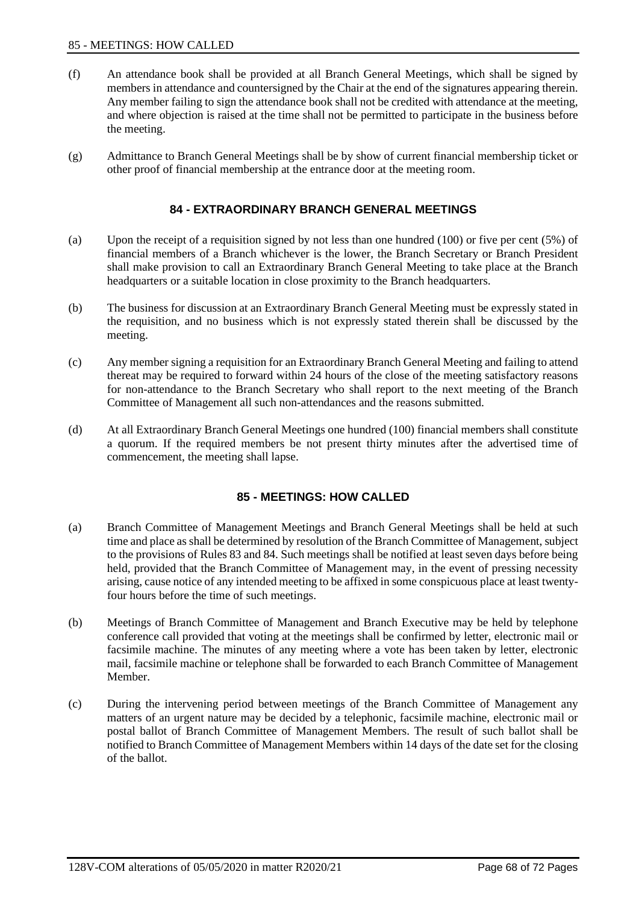- (f) An attendance book shall be provided at all Branch General Meetings, which shall be signed by members in attendance and countersigned by the Chair at the end of the signatures appearing therein. Any member failing to sign the attendance book shall not be credited with attendance at the meeting, and where objection is raised at the time shall not be permitted to participate in the business before the meeting.
- (g) Admittance to Branch General Meetings shall be by show of current financial membership ticket or other proof of financial membership at the entrance door at the meeting room.

# **84 - EXTRAORDINARY BRANCH GENERAL MEETINGS**

- (a) Upon the receipt of a requisition signed by not less than one hundred (100) or five per cent (5%) of financial members of a Branch whichever is the lower, the Branch Secretary or Branch President shall make provision to call an Extraordinary Branch General Meeting to take place at the Branch headquarters or a suitable location in close proximity to the Branch headquarters.
- (b) The business for discussion at an Extraordinary Branch General Meeting must be expressly stated in the requisition, and no business which is not expressly stated therein shall be discussed by the meeting.
- (c) Any member signing a requisition for an Extraordinary Branch General Meeting and failing to attend thereat may be required to forward within 24 hours of the close of the meeting satisfactory reasons for non-attendance to the Branch Secretary who shall report to the next meeting of the Branch Committee of Management all such non-attendances and the reasons submitted.
- (d) At all Extraordinary Branch General Meetings one hundred (100) financial members shall constitute a quorum. If the required members be not present thirty minutes after the advertised time of commencement, the meeting shall lapse.

## **85 - MEETINGS: HOW CALLED**

- (a) Branch Committee of Management Meetings and Branch General Meetings shall be held at such time and place as shall be determined by resolution of the Branch Committee of Management, subject to the provisions of Rules 83 and 84. Such meetings shall be notified at least seven days before being held, provided that the Branch Committee of Management may, in the event of pressing necessity arising, cause notice of any intended meeting to be affixed in some conspicuous place at least twentyfour hours before the time of such meetings.
- (b) Meetings of Branch Committee of Management and Branch Executive may be held by telephone conference call provided that voting at the meetings shall be confirmed by letter, electronic mail or facsimile machine. The minutes of any meeting where a vote has been taken by letter, electronic mail, facsimile machine or telephone shall be forwarded to each Branch Committee of Management Member.
- (c) During the intervening period between meetings of the Branch Committee of Management any matters of an urgent nature may be decided by a telephonic, facsimile machine, electronic mail or postal ballot of Branch Committee of Management Members. The result of such ballot shall be notified to Branch Committee of Management Members within 14 days of the date set for the closing of the ballot.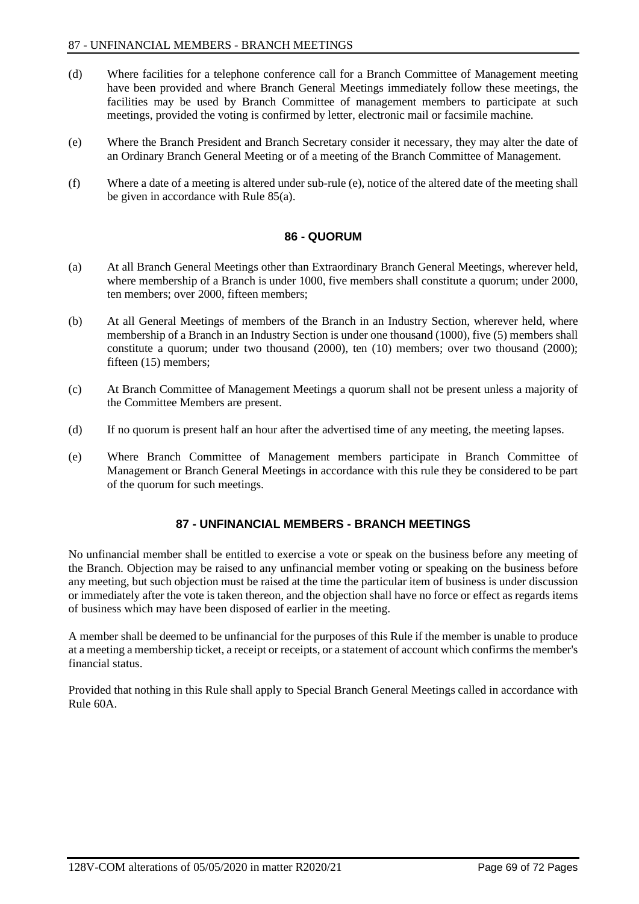- (d) Where facilities for a telephone conference call for a Branch Committee of Management meeting have been provided and where Branch General Meetings immediately follow these meetings, the facilities may be used by Branch Committee of management members to participate at such meetings, provided the voting is confirmed by letter, electronic mail or facsimile machine.
- (e) Where the Branch President and Branch Secretary consider it necessary, they may alter the date of an Ordinary Branch General Meeting or of a meeting of the Branch Committee of Management.
- (f) Where a date of a meeting is altered under sub-rule (e), notice of the altered date of the meeting shall be given in accordance with Rule 85(a).

## **86 - QUORUM**

- (a) At all Branch General Meetings other than Extraordinary Branch General Meetings, wherever held, where membership of a Branch is under 1000, five members shall constitute a quorum; under 2000, ten members; over 2000, fifteen members;
- (b) At all General Meetings of members of the Branch in an Industry Section, wherever held, where membership of a Branch in an Industry Section is under one thousand (1000), five (5) members shall constitute a quorum; under two thousand (2000), ten (10) members; over two thousand (2000); fifteen (15) members;
- (c) At Branch Committee of Management Meetings a quorum shall not be present unless a majority of the Committee Members are present.
- (d) If no quorum is present half an hour after the advertised time of any meeting, the meeting lapses.
- (e) Where Branch Committee of Management members participate in Branch Committee of Management or Branch General Meetings in accordance with this rule they be considered to be part of the quorum for such meetings.

# **87 - UNFINANCIAL MEMBERS - BRANCH MEETINGS**

No unfinancial member shall be entitled to exercise a vote or speak on the business before any meeting of the Branch. Objection may be raised to any unfinancial member voting or speaking on the business before any meeting, but such objection must be raised at the time the particular item of business is under discussion or immediately after the vote is taken thereon, and the objection shall have no force or effect as regards items of business which may have been disposed of earlier in the meeting.

A member shall be deemed to be unfinancial for the purposes of this Rule if the member is unable to produce at a meeting a membership ticket, a receipt or receipts, or a statement of account which confirms the member's financial status.

Provided that nothing in this Rule shall apply to Special Branch General Meetings called in accordance with Rule 60A.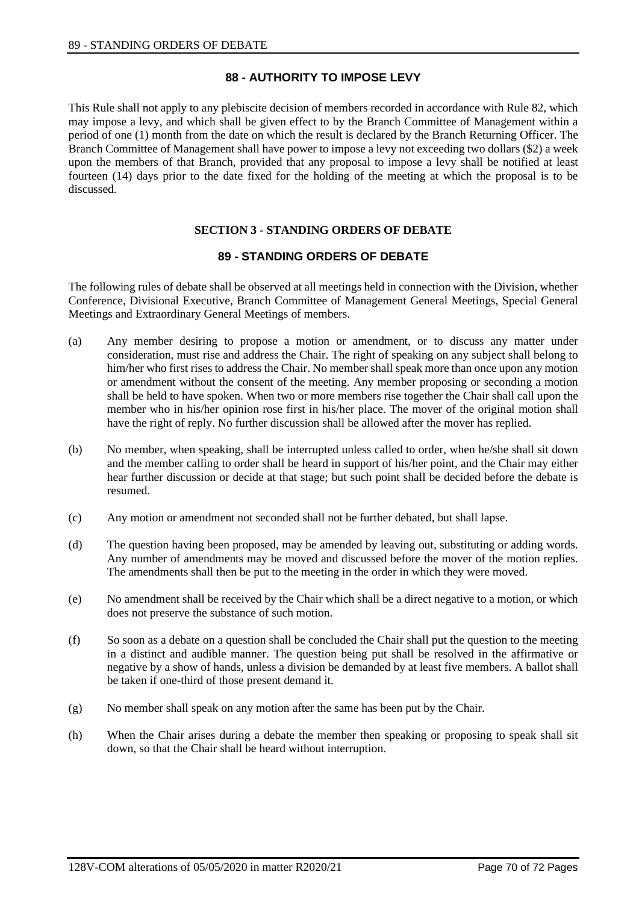# **88 - AUTHORITY TO IMPOSE LEVY**

This Rule shall not apply to any plebiscite decision of members recorded in accordance with Rule 82, which may impose a levy, and which shall be given effect to by the Branch Committee of Management within a period of one (1) month from the date on which the result is declared by the Branch Returning Officer. The Branch Committee of Management shall have power to impose a levy not exceeding two dollars (\$2) a week upon the members of that Branch, provided that any proposal to impose a levy shall be notified at least fourteen (14) days prior to the date fixed for the holding of the meeting at which the proposal is to be discussed.

### **SECTION 3 - STANDING ORDERS OF DEBATE**

## **89 - STANDING ORDERS OF DEBATE**

The following rules of debate shall be observed at all meetings held in connection with the Division, whether Conference, Divisional Executive, Branch Committee of Management General Meetings, Special General Meetings and Extraordinary General Meetings of members.

- (a) Any member desiring to propose a motion or amendment, or to discuss any matter under consideration, must rise and address the Chair. The right of speaking on any subject shall belong to him/her who first rises to address the Chair. No member shall speak more than once upon any motion or amendment without the consent of the meeting. Any member proposing or seconding a motion shall be held to have spoken. When two or more members rise together the Chair shall call upon the member who in his/her opinion rose first in his/her place. The mover of the original motion shall have the right of reply. No further discussion shall be allowed after the mover has replied.
- (b) No member, when speaking, shall be interrupted unless called to order, when he/she shall sit down and the member calling to order shall be heard in support of his/her point, and the Chair may either hear further discussion or decide at that stage; but such point shall be decided before the debate is resumed.
- (c) Any motion or amendment not seconded shall not be further debated, but shall lapse.
- (d) The question having been proposed, may be amended by leaving out, substituting or adding words. Any number of amendments may be moved and discussed before the mover of the motion replies. The amendments shall then be put to the meeting in the order in which they were moved.
- (e) No amendment shall be received by the Chair which shall be a direct negative to a motion, or which does not preserve the substance of such motion.
- (f) So soon as a debate on a question shall be concluded the Chair shall put the question to the meeting in a distinct and audible manner. The question being put shall be resolved in the affirmative or negative by a show of hands, unless a division be demanded by at least five members. A ballot shall be taken if one-third of those present demand it.
- (g) No member shall speak on any motion after the same has been put by the Chair.
- (h) When the Chair arises during a debate the member then speaking or proposing to speak shall sit down, so that the Chair shall be heard without interruption.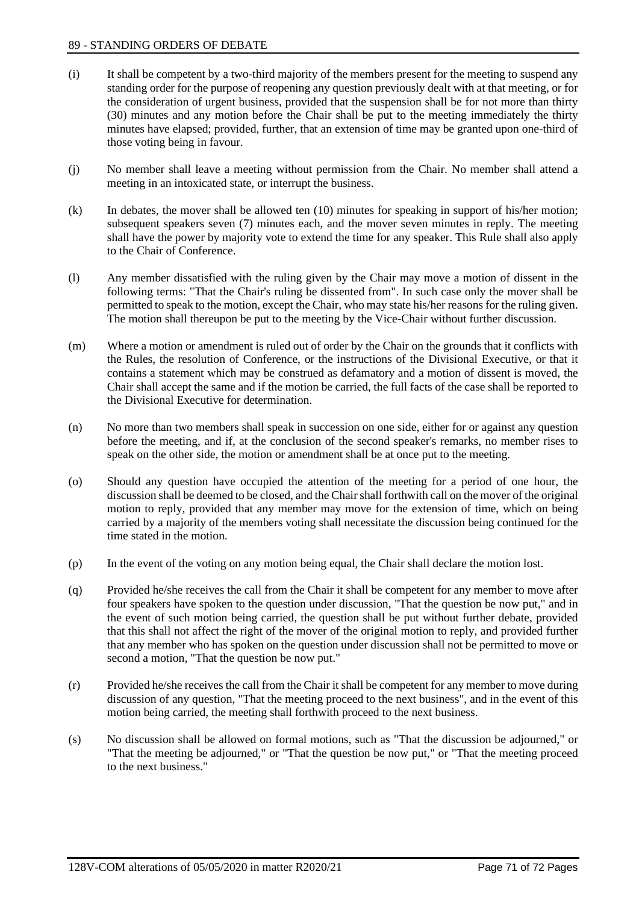#### 89 - STANDING ORDERS OF DEBATE

- (i) It shall be competent by a two-third majority of the members present for the meeting to suspend any standing order for the purpose of reopening any question previously dealt with at that meeting, or for the consideration of urgent business, provided that the suspension shall be for not more than thirty (30) minutes and any motion before the Chair shall be put to the meeting immediately the thirty minutes have elapsed; provided, further, that an extension of time may be granted upon one-third of those voting being in favour.
- (j) No member shall leave a meeting without permission from the Chair. No member shall attend a meeting in an intoxicated state, or interrupt the business.
- (k) In debates, the mover shall be allowed ten (10) minutes for speaking in support of his/her motion; subsequent speakers seven (7) minutes each, and the mover seven minutes in reply. The meeting shall have the power by majority vote to extend the time for any speaker. This Rule shall also apply to the Chair of Conference.
- (l) Any member dissatisfied with the ruling given by the Chair may move a motion of dissent in the following terms: "That the Chair's ruling be dissented from". In such case only the mover shall be permitted to speak to the motion, except the Chair, who may state his/her reasons for the ruling given. The motion shall thereupon be put to the meeting by the Vice-Chair without further discussion.
- (m) Where a motion or amendment is ruled out of order by the Chair on the grounds that it conflicts with the Rules, the resolution of Conference, or the instructions of the Divisional Executive, or that it contains a statement which may be construed as defamatory and a motion of dissent is moved, the Chair shall accept the same and if the motion be carried, the full facts of the case shall be reported to the Divisional Executive for determination.
- (n) No more than two members shall speak in succession on one side, either for or against any question before the meeting, and if, at the conclusion of the second speaker's remarks, no member rises to speak on the other side, the motion or amendment shall be at once put to the meeting.
- (o) Should any question have occupied the attention of the meeting for a period of one hour, the discussion shall be deemed to be closed, and the Chair shall forthwith call on the mover of the original motion to reply, provided that any member may move for the extension of time, which on being carried by a majority of the members voting shall necessitate the discussion being continued for the time stated in the motion.
- (p) In the event of the voting on any motion being equal, the Chair shall declare the motion lost.
- (q) Provided he/she receives the call from the Chair it shall be competent for any member to move after four speakers have spoken to the question under discussion, "That the question be now put," and in the event of such motion being carried, the question shall be put without further debate, provided that this shall not affect the right of the mover of the original motion to reply, and provided further that any member who has spoken on the question under discussion shall not be permitted to move or second a motion, "That the question be now put."
- (r) Provided he/she receives the call from the Chair it shall be competent for any member to move during discussion of any question, "That the meeting proceed to the next business", and in the event of this motion being carried, the meeting shall forthwith proceed to the next business.
- (s) No discussion shall be allowed on formal motions, such as "That the discussion be adjourned," or "That the meeting be adjourned," or "That the question be now put," or "That the meeting proceed to the next business."